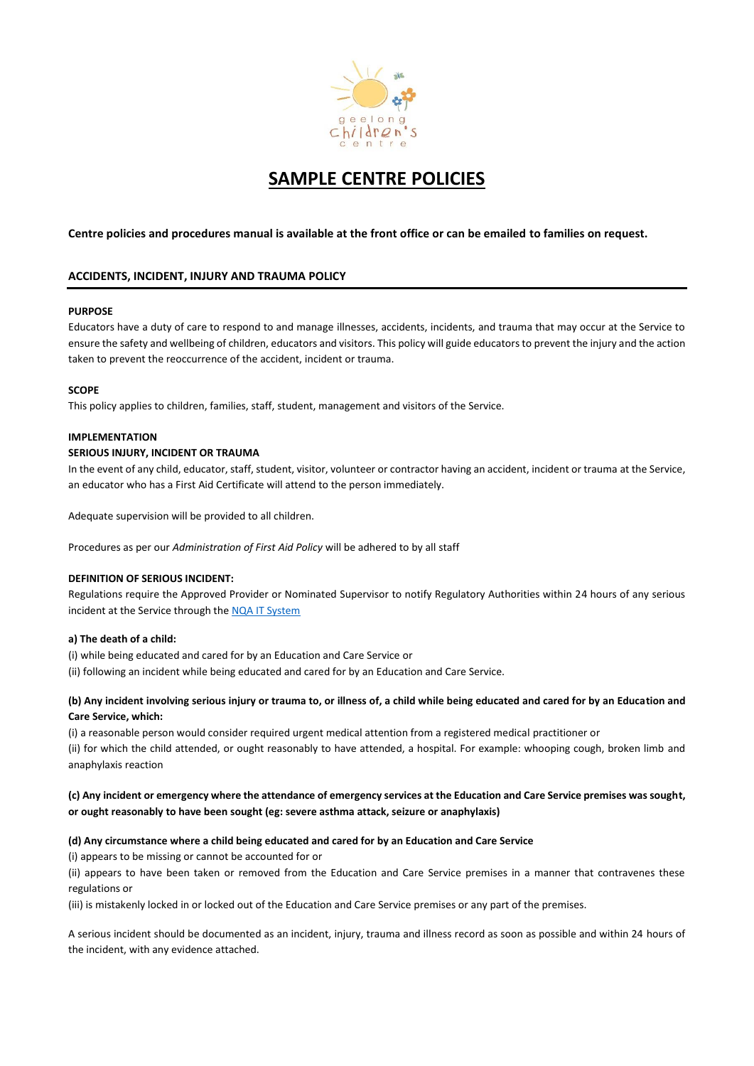

# **SAMPLE CENTRE POLICIES**

# **Centre policies and procedures manual is available at the front office or can be emailed to families on request.**

# **ACCIDENTS, INCIDENT, INJURY AND TRAUMA POLICY**

# **PURPOSE**

Educators have a duty of care to respond to and manage illnesses, accidents, incidents, and trauma that may occur at the Service to ensure the safety and wellbeing of children, educators and visitors. This policy will guide educators to prevent the injury and the action taken to prevent the reoccurrence of the accident, incident or trauma.

# **SCOPE**

This policy applies to children, families, staff, student, management and visitors of the Service.

# **IMPLEMENTATION**

# **SERIOUS INJURY, INCIDENT OR TRAUMA**

In the event of any child, educator, staff, student, visitor, volunteer or contractor having an accident, incident or trauma at the Service, an educator who has a First Aid Certificate will attend to the person immediately.

Adequate supervision will be provided to all children.

Procedures as per our *Administration of First Aid Policy* will be adhered to by all staff

# **DEFINITION OF SERIOUS INCIDENT:**

Regulations require the Approved Provider or Nominated Supervisor to notify Regulatory Authorities within 24 hours of any serious incident at the Service through the [NQA IT System](https://www.acecqa.gov.au/resources/national-quality-agenda-it-system)

# **a) The death of a child:**

(i) while being educated and cared for by an Education and Care Service or (ii) following an incident while being educated and cared for by an Education and Care Service.

# **(b) Any incident involving serious injury or trauma to, or illness of, a child while being educated and cared for by an Education and Care Service, which:**

(i) a reasonable person would consider required urgent medical attention from a registered medical practitioner or (ii) for which the child attended, or ought reasonably to have attended, a hospital. For example: whooping cough, broken limb and anaphylaxis reaction

# **(c) Any incident or emergency where the attendance of emergency services at the Education and Care Service premises was sought, or ought reasonably to have been sought (eg: severe asthma attack, seizure or anaphylaxis)**

# **(d) Any circumstance where a child being educated and cared for by an Education and Care Service**

(i) appears to be missing or cannot be accounted for or

(ii) appears to have been taken or removed from the Education and Care Service premises in a manner that contravenes these regulations or

(iii) is mistakenly locked in or locked out of the Education and Care Service premises or any part of the premises.

A serious incident should be documented as an incident, injury, trauma and illness record as soon as possible and within 24 hours of the incident, with any evidence attached.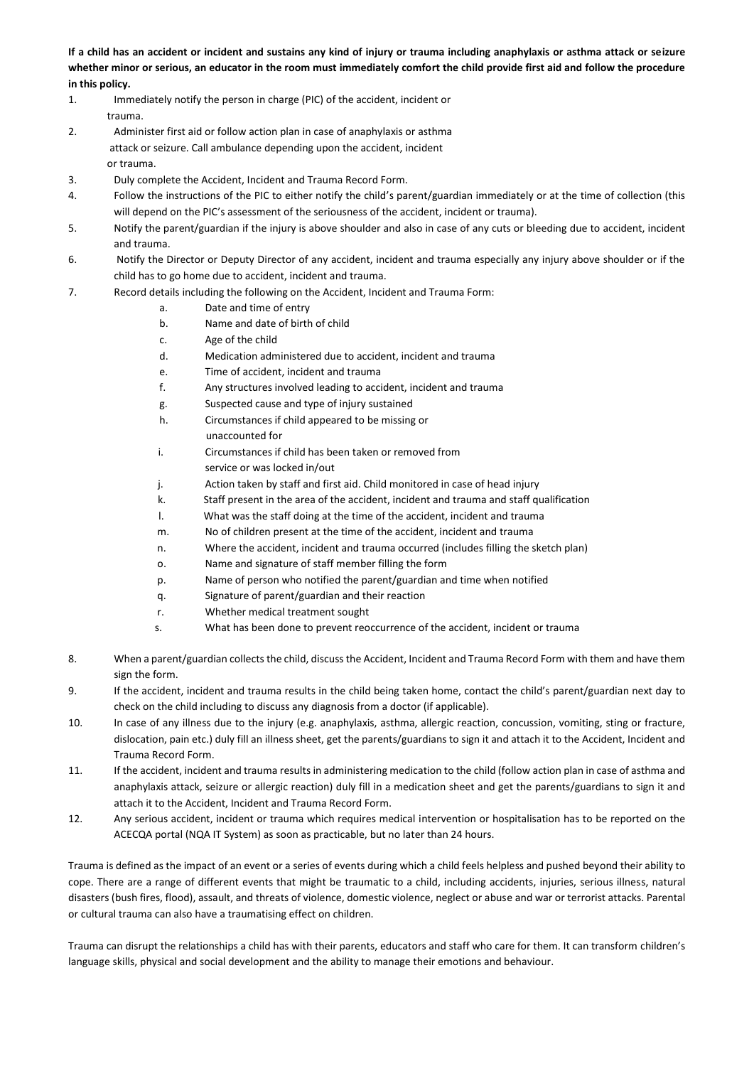**If a child has an accident or incident and sustains any kind of injury or trauma including anaphylaxis or asthma attack or seizure whether minor or serious, an educator in the room must immediately comfort the child provide first aid and follow the procedure in this policy.** 

- 1. Immediately notify the person in charge (PIC) of the accident, incident or trauma.
- 2. Administer first aid or follow action plan in case of anaphylaxis or asthma attack or seizure. Call ambulance depending upon the accident, incident or trauma.
- 3. Duly complete the Accident, Incident and Trauma Record Form.
- 4. Follow the instructions of the PIC to either notify the child's parent/guardian immediately or at the time of collection (this will depend on the PIC's assessment of the seriousness of the accident, incident or trauma).
- 5. Notify the parent/guardian if the injury is above shoulder and also in case of any cuts or bleeding due to accident, incident and trauma.
- 6. Notify the Director or Deputy Director of any accident, incident and trauma especially any injury above shoulder or if the child has to go home due to accident, incident and trauma.
- 7. Record details including the following on the Accident, Incident and Trauma Form:
	- a. Date and time of entry
	- b. Name and date of birth of child
	- c. Age of the child
	- d. Medication administered due to accident, incident and trauma
	- e. Time of accident, incident and trauma
	- f. Any structures involved leading to accident, incident and trauma
	- g. Suspected cause and type of injury sustained
	- h. Circumstances if child appeared to be missing or unaccounted for
	- i. Circumstances if child has been taken or removed from service or was locked in/out
	- j. Action taken by staff and first aid. Child monitored in case of head injury
	- k. Staff present in the area of the accident, incident and trauma and staff qualification
	- l. What was the staff doing at the time of the accident, incident and trauma
	- m. No of children present at the time of the accident, incident and trauma
	- n. Where the accident, incident and trauma occurred (includes filling the sketch plan)
	- o. Name and signature of staff member filling the form
	- p. Name of person who notified the parent/guardian and time when notified
	- q. Signature of parent/guardian and their reaction
	- r. Whether medical treatment sought
	- s. What has been done to prevent reoccurrence of the accident, incident or trauma
- 8. When a parent/guardian collects the child, discuss the Accident, Incident and Trauma Record Form with them and have them sign the form.
- 9. If the accident, incident and trauma results in the child being taken home, contact the child's parent/guardian next day to check on the child including to discuss any diagnosis from a doctor (if applicable).
- 10. In case of any illness due to the injury (e.g. anaphylaxis, asthma, allergic reaction, concussion, vomiting, sting or fracture, dislocation, pain etc.) duly fill an illness sheet, get the parents/guardians to sign it and attach it to the Accident, Incident and Trauma Record Form.
- 11. If the accident, incident and trauma results in administering medication to the child (follow action plan in case of asthma and anaphylaxis attack, seizure or allergic reaction) duly fill in a medication sheet and get the parents/guardians to sign it and attach it to the Accident, Incident and Trauma Record Form.
- 12. Any serious accident, incident or trauma which requires medical intervention or hospitalisation has to be reported on the ACECQA portal (NQA IT System) as soon as practicable, but no later than 24 hours.

Trauma is defined as the impact of an event or a series of events during which a child feels helpless and pushed beyond their ability to cope. There are a range of different events that might be traumatic to a child, including accidents, injuries, serious illness, natural disasters (bush fires, flood), assault, and threats of violence, domestic violence, neglect or abuse and war or terrorist attacks. Parental or cultural trauma can also have a traumatising effect on children.

Trauma can disrupt the relationships a child has with their parents, educators and staff who care for them. It can transform children's language skills, physical and social development and the ability to manage their emotions and behaviour.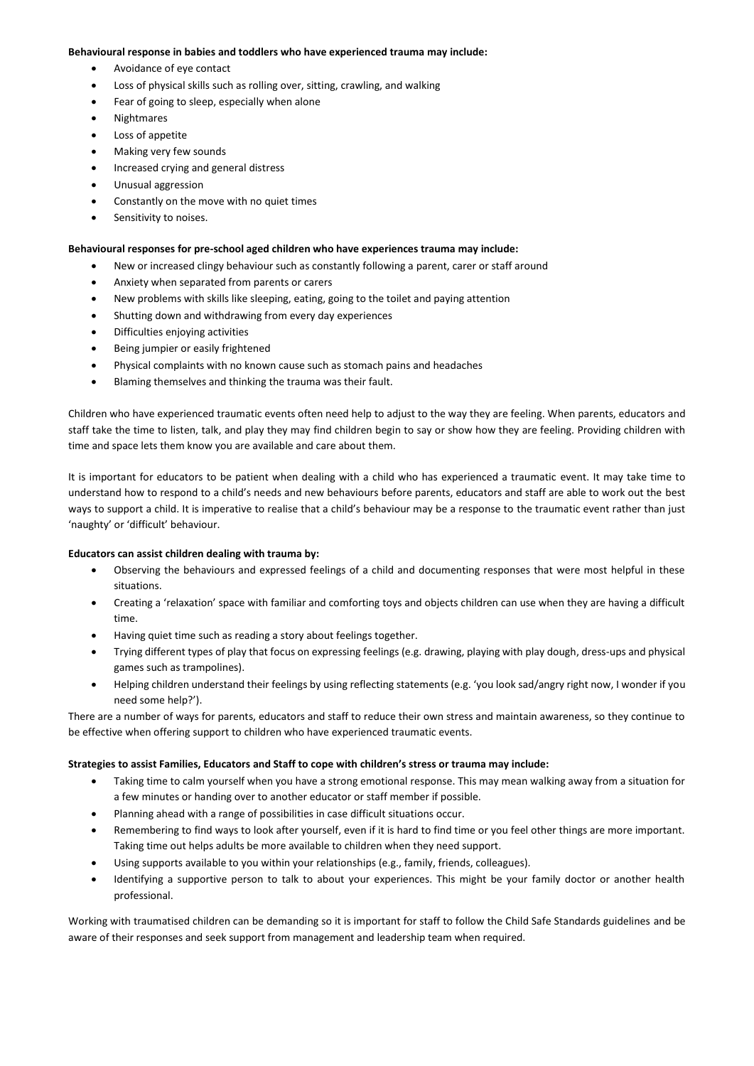### **Behavioural response in babies and toddlers who have experienced trauma may include:**

- Avoidance of eye contact
- Loss of physical skills such as rolling over, sitting, crawling, and walking
- Fear of going to sleep, especially when alone
- Nightmares
- Loss of appetite
- Making very few sounds
- Increased crying and general distress
- Unusual aggression
- Constantly on the move with no quiet times
- Sensitivity to noises.

### **Behavioural responses for pre-school aged children who have experiences trauma may include:**

- New or increased clingy behaviour such as constantly following a parent, carer or staff around
- Anxiety when separated from parents or carers
- New problems with skills like sleeping, eating, going to the toilet and paying attention
- Shutting down and withdrawing from every day experiences
- Difficulties enjoying activities
- Being jumpier or easily frightened
- Physical complaints with no known cause such as stomach pains and headaches
- Blaming themselves and thinking the trauma was their fault.

Children who have experienced traumatic events often need help to adjust to the way they are feeling. When parents, educators and staff take the time to listen, talk, and play they may find children begin to say or show how they are feeling. Providing children with time and space lets them know you are available and care about them.

It is important for educators to be patient when dealing with a child who has experienced a traumatic event. It may take time to understand how to respond to a child's needs and new behaviours before parents, educators and staff are able to work out the best ways to support a child. It is imperative to realise that a child's behaviour may be a response to the traumatic event rather than just 'naughty' or 'difficult' behaviour.

# **Educators can assist children dealing with trauma by:**

- Observing the behaviours and expressed feelings of a child and documenting responses that were most helpful in these situations.
- Creating a 'relaxation' space with familiar and comforting toys and objects children can use when they are having a difficult time.
- Having quiet time such as reading a story about feelings together.
- Trying different types of play that focus on expressing feelings (e.g. drawing, playing with play dough, dress-ups and physical games such as trampolines).
- Helping children understand their feelings by using reflecting statements (e.g. 'you look sad/angry right now, I wonder if you need some help?').

There are a number of ways for parents, educators and staff to reduce their own stress and maintain awareness, so they continue to be effective when offering support to children who have experienced traumatic events.

# **Strategies to assist Families, Educators and Staff to cope with children's stress or trauma may include:**

- Taking time to calm yourself when you have a strong emotional response. This may mean walking away from a situation for a few minutes or handing over to another educator or staff member if possible.
- Planning ahead with a range of possibilities in case difficult situations occur.
- Remembering to find ways to look after yourself, even if it is hard to find time or you feel other things are more important. Taking time out helps adults be more available to children when they need support.
- Using supports available to you within your relationships (e.g., family, friends, colleagues).
- Identifying a supportive person to talk to about your experiences. This might be your family doctor or another health professional.

Working with traumatised children can be demanding so it is important for staff to follow the Child Safe Standards guidelines and be aware of their responses and seek support from management and leadership team when required.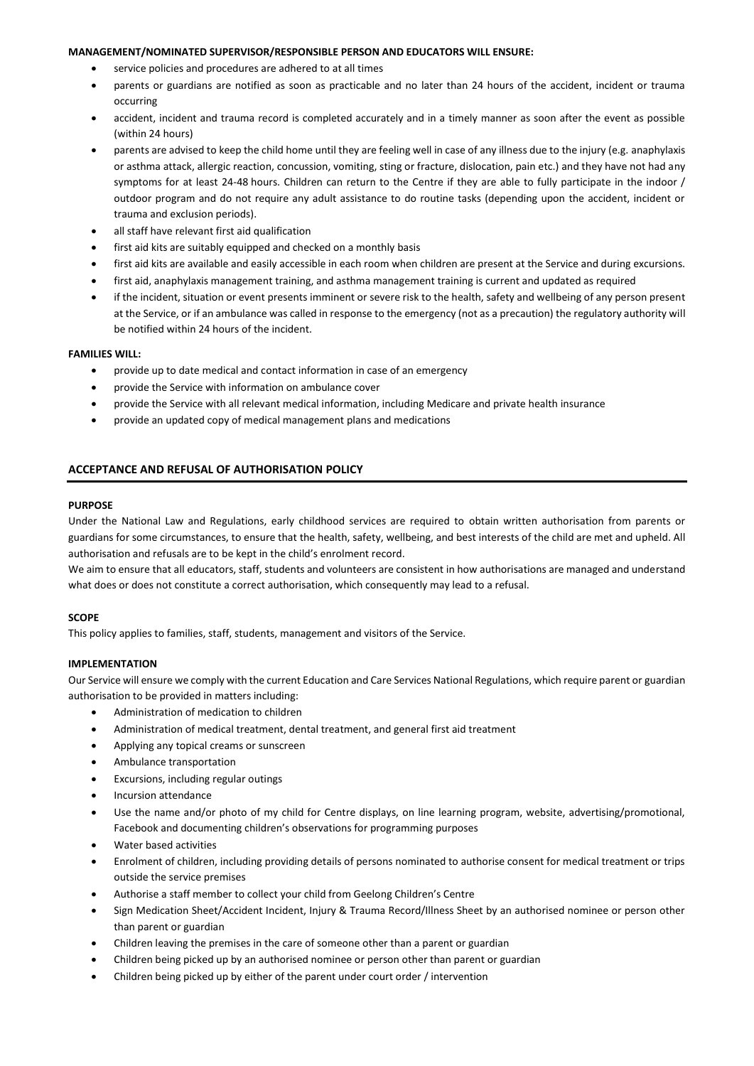### **MANAGEMENT/NOMINATED SUPERVISOR/RESPONSIBLE PERSON AND EDUCATORS WILL ENSURE:**

- service policies and procedures are adhered to at all times
- parents or guardians are notified as soon as practicable and no later than 24 hours of the accident, incident or trauma occurring
- accident, incident and trauma record is completed accurately and in a timely manner as soon after the event as possible (within 24 hours)
- parents are advised to keep the child home until they are feeling well in case of any illness due to the injury (e.g. anaphylaxis or asthma attack, allergic reaction, concussion, vomiting, sting or fracture, dislocation, pain etc.) and they have not had any symptoms for at least 24-48 hours. Children can return to the Centre if they are able to fully participate in the indoor / outdoor program and do not require any adult assistance to do routine tasks (depending upon the accident, incident or trauma and exclusion periods).
- all staff have relevant first aid qualification
- first aid kits are suitably equipped and checked on a monthly basis
- first aid kits are available and easily accessible in each room when children are present at the Service and during excursions.
- first aid, anaphylaxis management training, and asthma management training is current and updated as required
- if the incident, situation or event presents imminent or severe risk to the health, safety and wellbeing of any person present at the Service, or if an ambulance was called in response to the emergency (not as a precaution) the regulatory authority will be notified within 24 hours of the incident.

### **FAMILIES WILL:**

- provide up to date medical and contact information in case of an emergency
- provide the Service with information on ambulance cover
- provide the Service with all relevant medical information, including Medicare and private health insurance
- provide an updated copy of medical management plans and medications

# **ACCEPTANCE AND REFUSAL OF AUTHORISATION POLICY**

#### **PURPOSE**

Under the National Law and Regulations, early childhood services are required to obtain written authorisation from parents or guardians for some circumstances, to ensure that the health, safety, wellbeing, and best interests of the child are met and upheld. All authorisation and refusals are to be kept in the child's enrolment record.

We aim to ensure that all educators, staff, students and volunteers are consistent in how authorisations are managed and understand what does or does not constitute a correct authorisation, which consequently may lead to a refusal.

#### **SCOPE**

This policy applies to families, staff, students, management and visitors of the Service.

#### **IMPLEMENTATION**

Our Service will ensure we comply with the current Education and Care Services National Regulations, which require parent or guardian authorisation to be provided in matters including:

- Administration of medication to children
- Administration of medical treatment, dental treatment, and general first aid treatment
- Applying any topical creams or sunscreen
- Ambulance transportation
- Excursions, including regular outings
- Incursion attendance
- Use the name and/or photo of my child for Centre displays, on line learning program, website, advertising/promotional, Facebook and documenting children's observations for programming purposes
- Water based activities
- Enrolment of children, including providing details of persons nominated to authorise consent for medical treatment or trips outside the service premises
- Authorise a staff member to collect your child from Geelong Children's Centre
- Sign Medication Sheet/Accident Incident, Injury & Trauma Record/Illness Sheet by an authorised nominee or person other than parent or guardian
- Children leaving the premises in the care of someone other than a parent or guardian
- Children being picked up by an authorised nominee or person other than parent or guardian
- Children being picked up by either of the parent under court order / intervention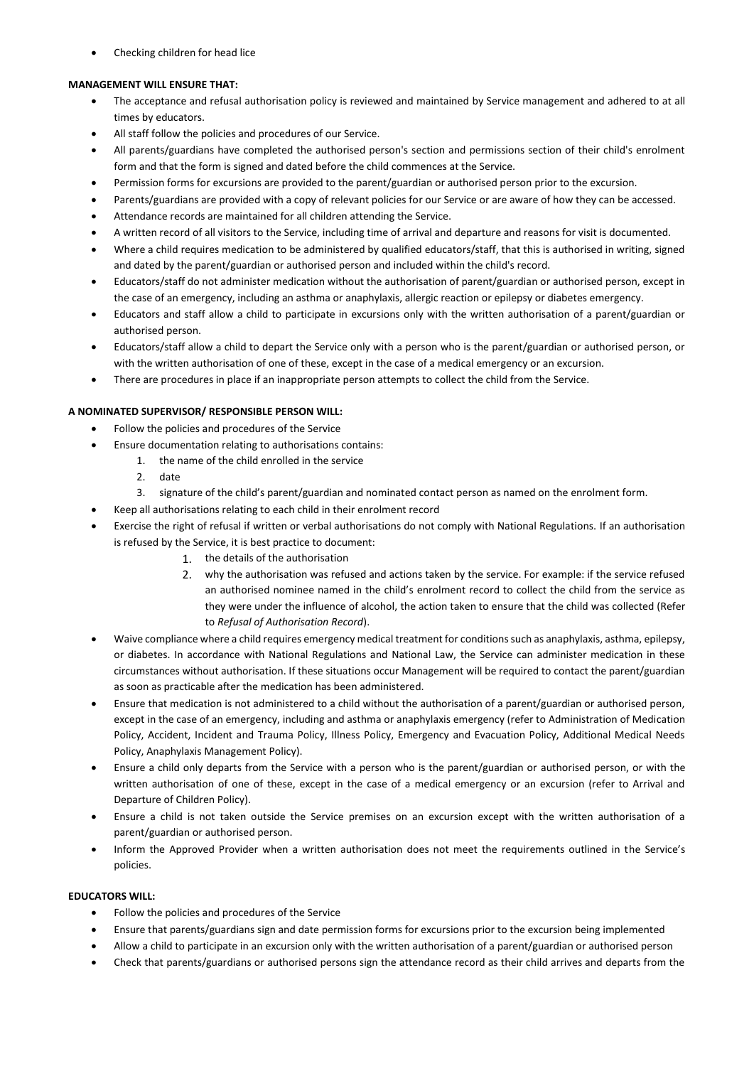Checking children for head lice

# **MANAGEMENT WILL ENSURE THAT:**

- The acceptance and refusal authorisation policy is reviewed and maintained by Service management and adhered to at all times by educators.
- All staff follow the policies and procedures of our Service.
- All parents/guardians have completed the authorised person's section and permissions section of their child's enrolment form and that the form is signed and dated before the child commences at the Service.
- Permission forms for excursions are provided to the parent/guardian or authorised person prior to the excursion.
- Parents/guardians are provided with a copy of relevant policies for our Service or are aware of how they can be accessed.
- Attendance records are maintained for all children attending the Service.
- A written record of all visitors to the Service, including time of arrival and departure and reasons for visit is documented.
- Where a child requires medication to be administered by qualified educators/staff, that this is authorised in writing, signed and dated by the parent/guardian or authorised person and included within the child's record.
- Educators/staff do not administer medication without the authorisation of parent/guardian or authorised person, except in the case of an emergency, including an asthma or anaphylaxis, allergic reaction or epilepsy or diabetes emergency.
- Educators and staff allow a child to participate in excursions only with the written authorisation of a parent/guardian or authorised person.
- Educators/staff allow a child to depart the Service only with a person who is the parent/guardian or authorised person, or with the written authorisation of one of these, except in the case of a medical emergency or an excursion.
- There are procedures in place if an inappropriate person attempts to collect the child from the Service.

# **A NOMINATED SUPERVISOR/ RESPONSIBLE PERSON WILL:**

- Follow the policies and procedures of the Service
- Ensure documentation relating to authorisations contains:
	- 1. the name of the child enrolled in the service
	- 2. date
	- 3. signature of the child's parent/guardian and nominated contact person as named on the enrolment form.
- Keep all authorisations relating to each child in their enrolment record
- Exercise the right of refusal if written or verbal authorisations do not comply with National Regulations. If an authorisation is refused by the Service, it is best practice to document:
	- 1. the details of the authorisation
	- 2. why the authorisation was refused and actions taken by the service. For example: if the service refused an authorised nominee named in the child's enrolment record to collect the child from the service as they were under the influence of alcohol, the action taken to ensure that the child was collected (Refer to *Refusal of Authorisation Record*).
- Waive compliance where a child requires emergency medical treatment for conditions such as anaphylaxis, asthma, epilepsy, or diabetes. In accordance with National Regulations and National Law, the Service can administer medication in these circumstances without authorisation. If these situations occur Management will be required to contact the parent/guardian as soon as practicable after the medication has been administered.
- Ensure that medication is not administered to a child without the authorisation of a parent/guardian or authorised person, except in the case of an emergency, including and asthma or anaphylaxis emergency (refer to Administration of Medication Policy, Accident, Incident and Trauma Policy, Illness Policy, Emergency and Evacuation Policy, Additional Medical Needs Policy, Anaphylaxis Management Policy).
- Ensure a child only departs from the Service with a person who is the parent/guardian or authorised person, or with the written authorisation of one of these, except in the case of a medical emergency or an excursion (refer to Arrival and Departure of Children Policy).
- Ensure a child is not taken outside the Service premises on an excursion except with the written authorisation of a parent/guardian or authorised person.
- Inform the Approved Provider when a written authorisation does not meet the requirements outlined in the Service's policies.

# **EDUCATORS WILL:**

- Follow the policies and procedures of the Service
- Ensure that parents/guardians sign and date permission forms for excursions prior to the excursion being implemented
- Allow a child to participate in an excursion only with the written authorisation of a parent/guardian or authorised person
- Check that parents/guardians or authorised persons sign the attendance record as their child arrives and departs from the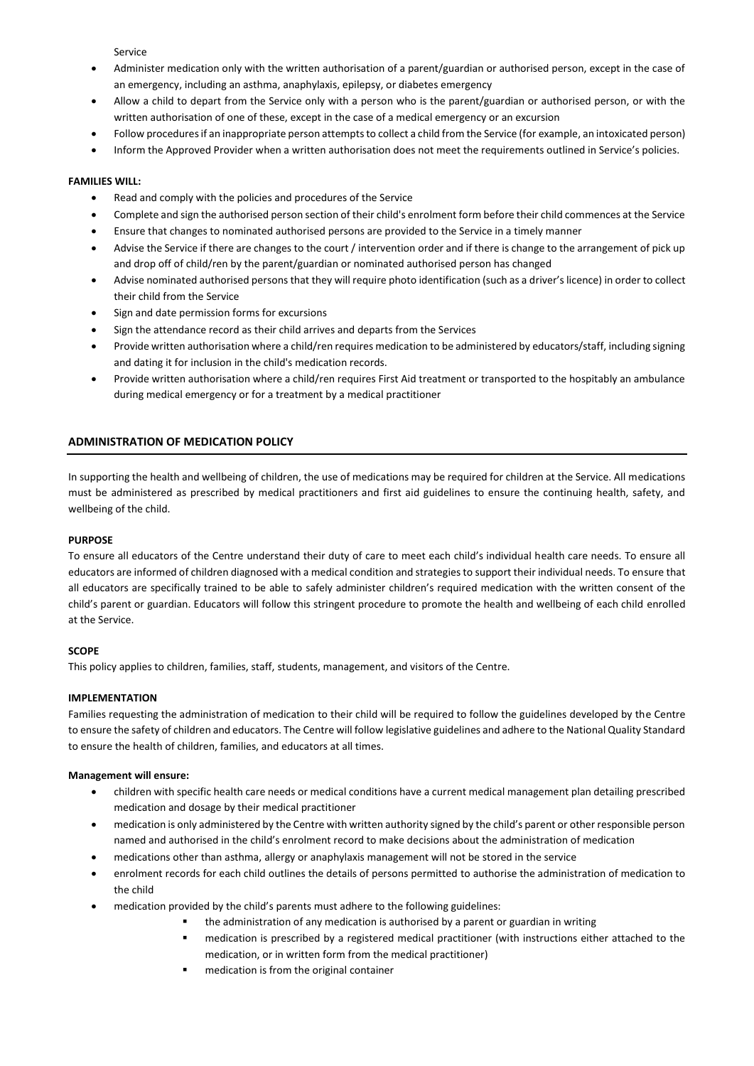Service

- Administer medication only with the written authorisation of a parent/guardian or authorised person, except in the case of an emergency, including an asthma, anaphylaxis, epilepsy, or diabetes emergency
- Allow a child to depart from the Service only with a person who is the parent/guardian or authorised person, or with the written authorisation of one of these, except in the case of a medical emergency or an excursion
- Follow procedures if an inappropriate person attempts to collect a child from the Service (for example, an intoxicated person)
- Inform the Approved Provider when a written authorisation does not meet the requirements outlined in Service's policies.

# **FAMILIES WILL:**

- Read and comply with the policies and procedures of the Service
- Complete and sign the authorised person section of their child's enrolment form before their child commences at the Service
- Ensure that changes to nominated authorised persons are provided to the Service in a timely manner
- Advise the Service if there are changes to the court / intervention order and if there is change to the arrangement of pick up and drop off of child/ren by the parent/guardian or nominated authorised person has changed
- Advise nominated authorised persons that they will require photo identification (such as a driver's licence) in order to collect their child from the Service
- Sign and date permission forms for excursions
- Sign the attendance record as their child arrives and departs from the Services
- Provide written authorisation where a child/ren requires medication to be administered by educators/staff, including signing and dating it for inclusion in the child's medication records.
- Provide written authorisation where a child/ren requires First Aid treatment or transported to the hospitably an ambulance during medical emergency or for a treatment by a medical practitioner

# **ADMINISTRATION OF MEDICATION POLICY**

In supporting the health and wellbeing of children, the use of medications may be required for children at the Service. All medications must be administered as prescribed by medical practitioners and first aid guidelines to ensure the continuing health, safety, and wellbeing of the child.

# **PURPOSE**

To ensure all educators of the Centre understand their duty of care to meet each child's individual health care needs. To ensure all educators are informed of children diagnosed with a medical condition and strategies to support their individual needs. To ensure that all educators are specifically trained to be able to safely administer children's required medication with the written consent of the child's parent or guardian. Educators will follow this stringent procedure to promote the health and wellbeing of each child enrolled at the Service.

# **SCOPE**

This policy applies to children, families, staff, students, management, and visitors of the Centre.

# **IMPLEMENTATION**

Families requesting the administration of medication to their child will be required to follow the guidelines developed by the Centre to ensure the safety of children and educators. The Centre will follow legislative guidelines and adhere to the National Quality Standard to ensure the health of children, families, and educators at all times.

# **Management will ensure:**

- children with specific health care needs or medical conditions have a current medical management plan detailing prescribed medication and dosage by their medical practitioner
- medication is only administered by the Centre with written authority signed by the child's parent or other responsible person named and authorised in the child's enrolment record to make decisions about the administration of medication
- medications other than asthma, allergy or anaphylaxis management will not be stored in the service
- enrolment records for each child outlines the details of persons permitted to authorise the administration of medication to the child
- medication provided by the child's parents must adhere to the following guidelines:
	- the administration of any medication is authorised by a parent or guardian in writing
	- medication is prescribed by a registered medical practitioner (with instructions either attached to the medication, or in written form from the medical practitioner)
	- medication is from the original container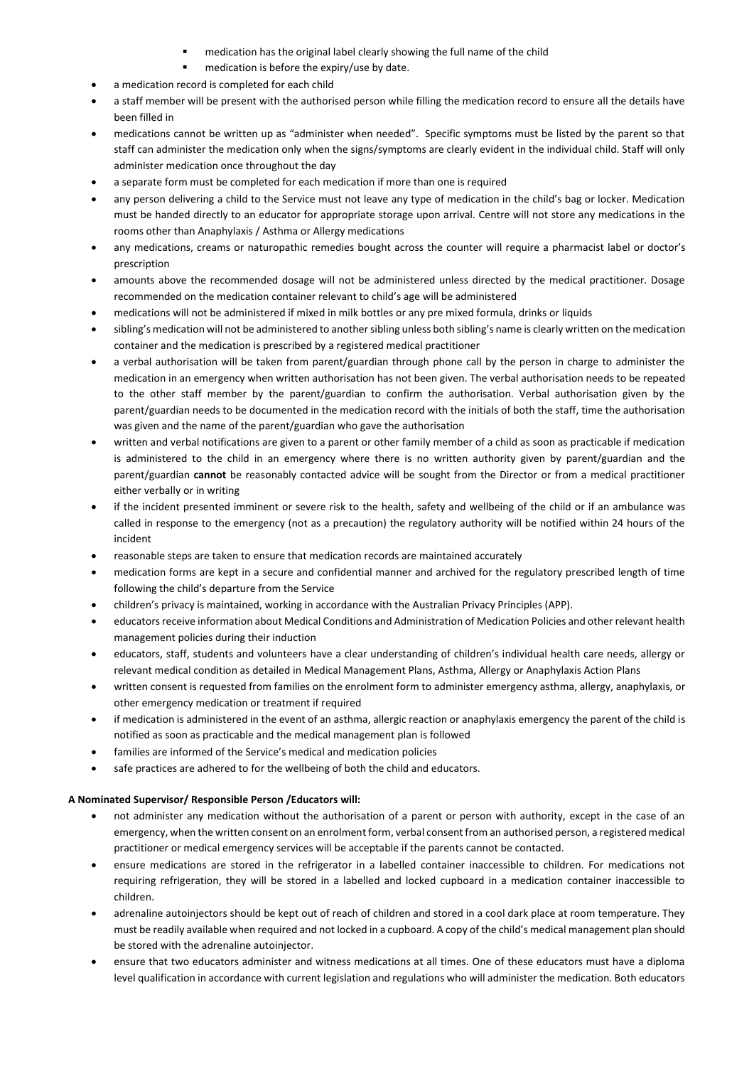- medication has the original label clearly showing the full name of the child
- medication is before the expiry/use by date.
- a medication record is completed for each child
- a staff member will be present with the authorised person while filling the medication record to ensure all the details have been filled in
- medications cannot be written up as "administer when needed". Specific symptoms must be listed by the parent so that staff can administer the medication only when the signs/symptoms are clearly evident in the individual child. Staff will only administer medication once throughout the day
- a separate form must be completed for each medication if more than one is required
- any person delivering a child to the Service must not leave any type of medication in the child's bag or locker. Medication must be handed directly to an educator for appropriate storage upon arrival. Centre will not store any medications in the rooms other than Anaphylaxis / Asthma or Allergy medications
- any medications, creams or naturopathic remedies bought across the counter will require a pharmacist label or doctor's prescription
- amounts above the recommended dosage will not be administered unless directed by the medical practitioner. Dosage recommended on the medication container relevant to child's age will be administered
- medications will not be administered if mixed in milk bottles or any pre mixed formula, drinks or liquids
- sibling's medication will not be administered to another sibling unless both sibling's name is clearly written on the medication container and the medication is prescribed by a registered medical practitioner
- a verbal authorisation will be taken from parent/guardian through phone call by the person in charge to administer the medication in an emergency when written authorisation has not been given. The verbal authorisation needs to be repeated to the other staff member by the parent/guardian to confirm the authorisation. Verbal authorisation given by the parent/guardian needs to be documented in the medication record with the initials of both the staff, time the authorisation was given and the name of the parent/guardian who gave the authorisation
- written and verbal notifications are given to a parent or other family member of a child as soon as practicable if medication is administered to the child in an emergency where there is no written authority given by parent/guardian and the parent/guardian **cannot** be reasonably contacted advice will be sought from the Director or from a medical practitioner either verbally or in writing
- if the incident presented imminent or severe risk to the health, safety and wellbeing of the child or if an ambulance was called in response to the emergency (not as a precaution) the regulatory authority will be notified within 24 hours of the incident
- reasonable steps are taken to ensure that medication records are maintained accurately
- medication forms are kept in a secure and confidential manner and archived for the regulatory prescribed length of time following the child's departure from the Service
- children's privacy is maintained, working in accordance with the Australian Privacy Principles (APP).
- educators receive information about Medical Conditions and Administration of Medication Policies and other relevant health management policies during their induction
- educators, staff, students and volunteers have a clear understanding of children's individual health care needs, allergy or relevant medical condition as detailed in Medical Management Plans, Asthma, Allergy or Anaphylaxis Action Plans
- written consent is requested from families on the enrolment form to administer emergency asthma, allergy, anaphylaxis, or other emergency medication or treatment if required
- if medication is administered in the event of an asthma, allergic reaction or anaphylaxis emergency the parent of the child is notified as soon as practicable and the medical management plan is followed
- families are informed of the Service's medical and medication policies
- safe practices are adhered to for the wellbeing of both the child and educators.

# **A Nominated Supervisor/ Responsible Person /Educators will:**

- not administer any medication without the authorisation of a parent or person with authority, except in the case of an emergency, when the written consent on an enrolment form, verbal consent from an authorised person, a registered medical practitioner or medical emergency services will be acceptable if the parents cannot be contacted.
- ensure medications are stored in the refrigerator in a labelled container inaccessible to children. For medications not requiring refrigeration, they will be stored in a labelled and locked cupboard in a medication container inaccessible to children.
- adrenaline autoinjectors should be kept out of reach of children and stored in a cool dark place at room temperature. They must be readily available when required and not locked in a cupboard. A copy of the child's medical management plan should be stored with the adrenaline autoinjector.
- ensure that two educators administer and witness medications at all times. One of these educators must have a diploma level qualification in accordance with current legislation and regulations who will administer the medication. Both educators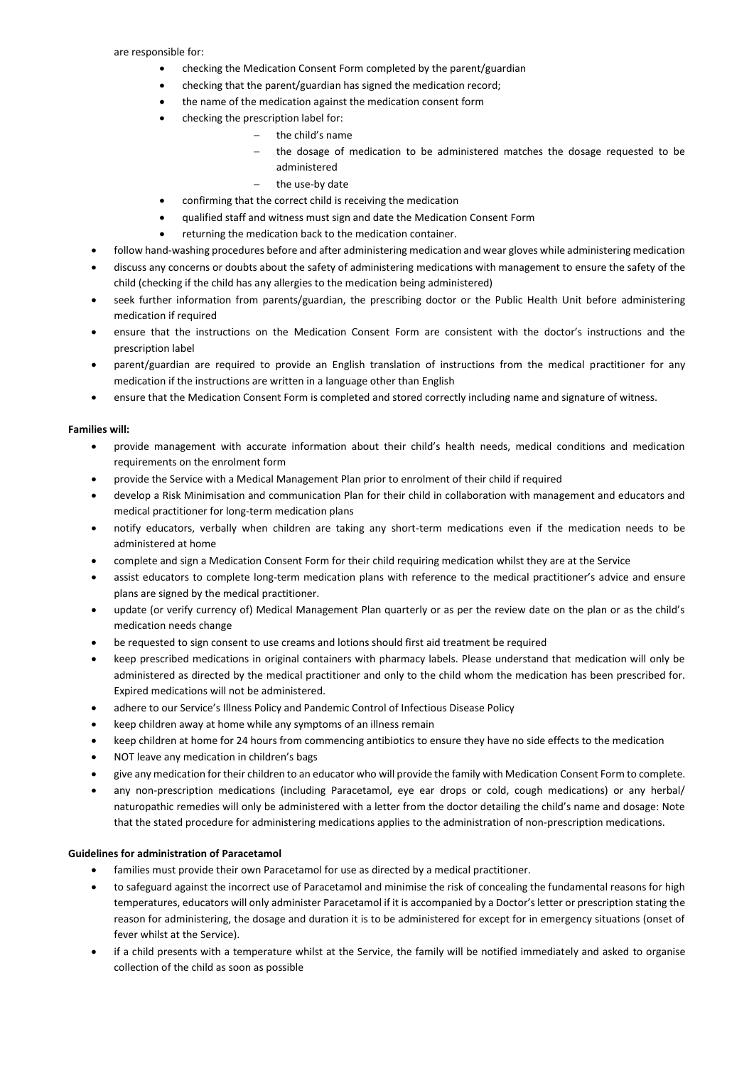- checking the Medication Consent Form completed by the parent/guardian
- checking that the parent/guardian has signed the medication record;
- the name of the medication against the medication consent form
- checking the prescription label for:
	- the child's name
	- the dosage of medication to be administered matches the dosage requested to be administered
	- the use-by date
- confirming that the correct child is receiving the medication
- qualified staff and witness must sign and date the Medication Consent Form
- returning the medication back to the medication container.
- follow hand-washing procedures before and after administering medication and wear gloves while administering medication
- discuss any concerns or doubts about the safety of administering medications with management to ensure the safety of the child (checking if the child has any allergies to the medication being administered)
- seek further information from parents/guardian, the prescribing doctor or the Public Health Unit before administering medication if required
- ensure that the instructions on the Medication Consent Form are consistent with the doctor's instructions and the prescription label
- parent/guardian are required to provide an English translation of instructions from the medical practitioner for any medication if the instructions are written in a language other than English
- ensure that the Medication Consent Form is completed and stored correctly including name and signature of witness.

# **Families will:**

- provide management with accurate information about their child's health needs, medical conditions and medication requirements on the enrolment form
- provide the Service with a Medical Management Plan prior to enrolment of their child if required
- develop a Risk Minimisation and communication Plan for their child in collaboration with management and educators and medical practitioner for long-term medication plans
- notify educators, verbally when children are taking any short-term medications even if the medication needs to be administered at home
- complete and sign a Medication Consent Form for their child requiring medication whilst they are at the Service
- assist educators to complete long-term medication plans with reference to the medical practitioner's advice and ensure plans are signed by the medical practitioner.
- update (or verify currency of) Medical Management Plan quarterly or as per the review date on the plan or as the child's medication needs change
- be requested to sign consent to use creams and lotions should first aid treatment be required
- keep prescribed medications in original containers with pharmacy labels. Please understand that medication will only be administered as directed by the medical practitioner and only to the child whom the medication has been prescribed for. Expired medications will not be administered.
- adhere to our Service's Illness Policy and Pandemic Control of Infectious Disease Policy
- keep children away at home while any symptoms of an illness remain
- keep children at home for 24 hours from commencing antibiotics to ensure they have no side effects to the medication
- NOT leave any medication in children's bags
- give any medication for their children to an educator who will provide the family with Medication Consent Form to complete.
- any non-prescription medications (including Paracetamol, eye ear drops or cold, cough medications) or any herbal/ naturopathic remedies will only be administered with a letter from the doctor detailing the child's name and dosage: Note that the stated procedure for administering medications applies to the administration of non-prescription medications.

# **Guidelines for administration of Paracetamol**

- families must provide their own Paracetamol for use as directed by a medical practitioner.
- to safeguard against the incorrect use of Paracetamol and minimise the risk of concealing the fundamental reasons for high temperatures, educators will only administer Paracetamol if it is accompanied by a Doctor's letter or prescription stating the reason for administering, the dosage and duration it is to be administered for except for in emergency situations (onset of fever whilst at the Service).
- if a child presents with a temperature whilst at the Service, the family will be notified immediately and asked to organise collection of the child as soon as possible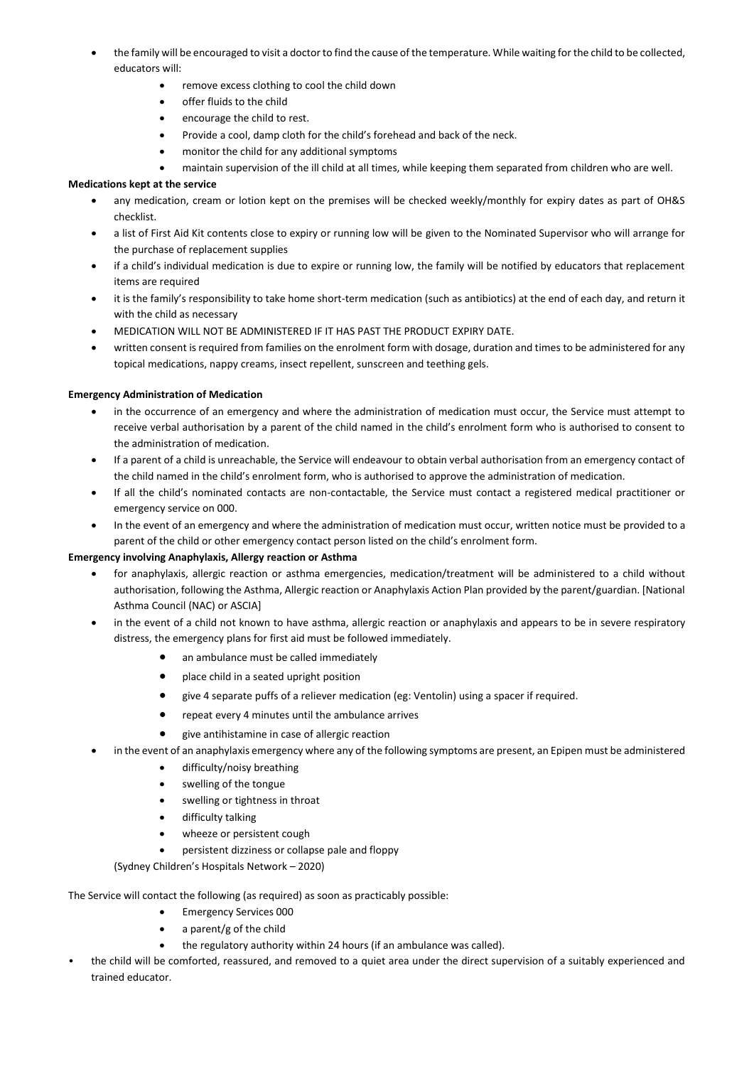- the family will be encouraged to visit a doctor to find the cause of the temperature. While waiting for the child to be collected, educators will:
	- remove excess clothing to cool the child down
	- **•** offer fluids to the child
	- encourage the child to rest.
	- Provide a cool, damp cloth for the child's forehead and back of the neck.
	- monitor the child for any additional symptoms
	- maintain supervision of the ill child at all times, while keeping them separated from children who are well.

# **Medications kept at the service**

- any medication, cream or lotion kept on the premises will be checked weekly/monthly for expiry dates as part of OH&S checklist.
- a list of First Aid Kit contents close to expiry or running low will be given to the Nominated Supervisor who will arrange for the purchase of replacement supplies
- if a child's individual medication is due to expire or running low, the family will be notified by educators that replacement items are required
- it is the family's responsibility to take home short-term medication (such as antibiotics) at the end of each day, and return it with the child as necessary
- MEDICATION WILL NOT BE ADMINISTERED IF IT HAS PAST THE PRODUCT EXPIRY DATE.
- written consent is required from families on the enrolment form with dosage, duration and times to be administered for any topical medications, nappy creams, insect repellent, sunscreen and teething gels.

# **Emergency Administration of Medication**

- in the occurrence of an emergency and where the administration of medication must occur, the Service must attempt to receive verbal authorisation by a parent of the child named in the child's enrolment form who is authorised to consent to the administration of medication.
- If a parent of a child is unreachable, the Service will endeavour to obtain verbal authorisation from an emergency contact of the child named in the child's enrolment form, who is authorised to approve the administration of medication.
- If all the child's nominated contacts are non-contactable, the Service must contact a registered medical practitioner or emergency service on 000.
- In the event of an emergency and where the administration of medication must occur, written notice must be provided to a parent of the child or other emergency contact person listed on the child's enrolment form.

# **Emergency involving Anaphylaxis, Allergy reaction or Asthma**

- for anaphylaxis, allergic reaction or asthma emergencies, medication/treatment will be administered to a child without authorisation, following the Asthma, Allergic reaction or Anaphylaxis Action Plan provided by the parent/guardian. [National Asthma Council (NAC) or ASCIA]
- in the event of a child not known to have asthma, allergic reaction or anaphylaxis and appears to be in severe respiratory distress, the emergency plans for first aid must be followed immediately.
	- an ambulance must be called immediately
	- place child in a seated upright position
	- give 4 separate puffs of a reliever medication (eg: Ventolin) using a spacer if required.
	- repeat every 4 minutes until the ambulance arrives
	- give antihistamine in case of allergic reaction
	- in the event of an anaphylaxis emergency where any of the following symptoms are present, an Epipen must be administered
	- difficulty/noisy breathing
		- swelling of the tongue
		- swelling or tightness in throat
		- difficulty talking
		- wheeze or persistent cough
		- persistent dizziness or collapse pale and floppy

(Sydney Children's Hospitals Network – 2020)

The Service will contact the following (as required) as soon as practicably possible:

- **•** Emergency Services 000
- a parent/g of the child
- the regulatory authority within 24 hours (if an ambulance was called).
- the child will be comforted, reassured, and removed to a quiet area under the direct supervision of a suitably experienced and trained educator.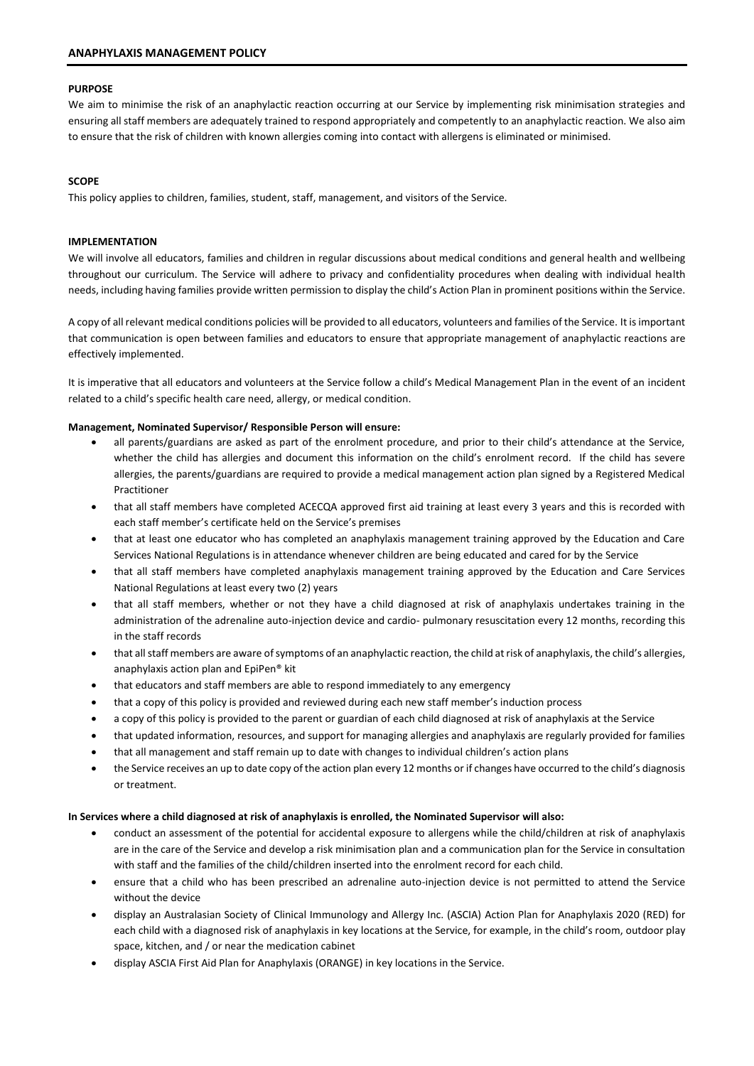# **PURPOSE**

We aim to minimise the risk of an anaphylactic reaction occurring at our Service by implementing risk minimisation strategies and ensuring all staff members are adequately trained to respond appropriately and competently to an anaphylactic reaction. We also aim to ensure that the risk of children with known allergies coming into contact with allergens is eliminated or minimised.

# **SCOPE**

This policy applies to children, families, student, staff, management, and visitors of the Service.

# **IMPLEMENTATION**

We will involve all educators, families and children in regular discussions about medical conditions and general health and wellbeing throughout our curriculum. The Service will adhere to privacy and confidentiality procedures when dealing with individual health needs, including having families provide written permission to display the child's Action Plan in prominent positions within the Service.

A copy of all relevant medical conditions policies will be provided to all educators, volunteers and families of the Service. It is important that communication is open between families and educators to ensure that appropriate management of anaphylactic reactions are effectively implemented.

It is imperative that all educators and volunteers at the Service follow a child's Medical Management Plan in the event of an incident related to a child's specific health care need, allergy, or medical condition.

# **Management, Nominated Supervisor/ Responsible Person will ensure:**

- all parents/guardians are asked as part of the enrolment procedure, and prior to their child's attendance at the Service, whether the child has allergies and document this information on the child's enrolment record. If the child has severe allergies, the parents/guardians are required to provide a medical management action plan signed by a Registered Medical Practitioner
- that all staff members have completed ACECQA approved first aid training at least every 3 years and this is recorded with each staff member's certificate held on the Service's premises
- that at least one educator who has completed an anaphylaxis management training approved by the Education and Care Services National Regulations is in attendance whenever children are being educated and cared for by the Service
- that all staff members have completed anaphylaxis management training approved by the Education and Care Services National Regulations at least every two (2) years
- that all staff members, whether or not they have a child diagnosed at risk of anaphylaxis undertakes training in the administration of the adrenaline auto-injection device and cardio- pulmonary resuscitation every 12 months, recording this in the staff records
- that all staff members are aware of symptoms of an anaphylactic reaction, the child at risk of anaphylaxis, the child's allergies, anaphylaxis action plan and EpiPen® kit
- that educators and staff members are able to respond immediately to any emergency
- that a copy of this policy is provided and reviewed during each new staff member's induction process
- a copy of this policy is provided to the parent or guardian of each child diagnosed at risk of anaphylaxis at the Service
- that updated information, resources, and support for managing allergies and anaphylaxis are regularly provided for families
- that all management and staff remain up to date with changes to individual children's action plans
- the Service receives an up to date copy of the action plan every 12 months or if changes have occurred to the child's diagnosis or treatment.

# **In Services where a child diagnosed at risk of anaphylaxis is enrolled, the Nominated Supervisor will also:**

- conduct an assessment of the potential for accidental exposure to allergens while the child/children at risk of anaphylaxis are in the care of the Service and develop a risk minimisation plan and a communication plan for the Service in consultation with staff and the families of the child/children inserted into the enrolment record for each child.
- ensure that a child who has been prescribed an adrenaline auto-injection device is not permitted to attend the Service without the device
- display an Australasian Society of Clinical Immunology and Allergy Inc. (ASCIA) Action Plan for Anaphylaxis 2020 (RED) for each child with a diagnosed risk of anaphylaxis in key locations at the Service, for example, in the child's room, outdoor play space, kitchen, and / or near the medication cabinet
- display ASCIA First Aid Plan for Anaphylaxis (ORANGE) in key locations in the Service.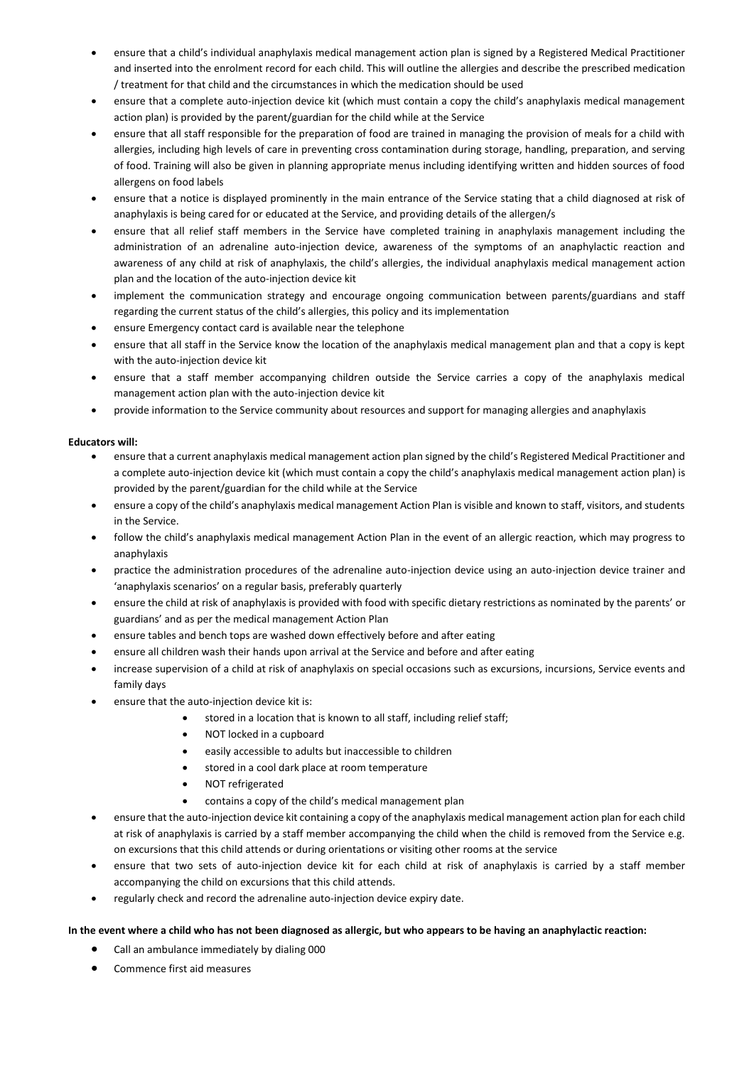- ensure that a child's individual anaphylaxis medical management action plan is signed by a Registered Medical Practitioner and inserted into the enrolment record for each child. This will outline the allergies and describe the prescribed medication / treatment for that child and the circumstances in which the medication should be used
- ensure that a complete auto-injection device kit (which must contain a copy the child's anaphylaxis medical management action plan) is provided by the parent/guardian for the child while at the Service
- ensure that all staff responsible for the preparation of food are trained in managing the provision of meals for a child with allergies, including high levels of care in preventing cross contamination during storage, handling, preparation, and serving of food. Training will also be given in planning appropriate menus including identifying written and hidden sources of food allergens on food labels
- ensure that a notice is displayed prominently in the main entrance of the Service stating that a child diagnosed at risk of anaphylaxis is being cared for or educated at the Service, and providing details of the allergen/s
- ensure that all relief staff members in the Service have completed training in anaphylaxis management including the administration of an adrenaline auto-injection device, awareness of the symptoms of an anaphylactic reaction and awareness of any child at risk of anaphylaxis, the child's allergies, the individual anaphylaxis medical management action plan and the location of the auto-injection device kit
- implement the communication strategy and encourage ongoing communication between parents/guardians and staff regarding the current status of the child's allergies, this policy and its implementation
- ensure Emergency contact card is available near the telephone
- ensure that all staff in the Service know the location of the anaphylaxis medical management plan and that a copy is kept with the auto-injection device kit
- ensure that a staff member accompanying children outside the Service carries a copy of the anaphylaxis medical management action plan with the auto-injection device kit
- provide information to the Service community about resources and support for managing allergies and anaphylaxis

# **Educators will:**

- ensure that a current anaphylaxis medical management action plan signed by the child's Registered Medical Practitioner and a complete auto-injection device kit (which must contain a copy the child's anaphylaxis medical management action plan) is provided by the parent/guardian for the child while at the Service
- ensure a copy of the child's anaphylaxis medical management Action Plan is visible and known to staff, visitors, and students in the Service.
- follow the child's anaphylaxis medical management Action Plan in the event of an allergic reaction, which may progress to anaphylaxis
- practice the administration procedures of the adrenaline auto-injection device using an auto-injection device trainer and 'anaphylaxis scenarios' on a regular basis, preferably quarterly
- ensure the child at risk of anaphylaxis is provided with food with specific dietary restrictions as nominated by the parents' or guardians' and as per the medical management Action Plan
- ensure tables and bench tops are washed down effectively before and after eating
- ensure all children wash their hands upon arrival at the Service and before and after eating
- increase supervision of a child at risk of anaphylaxis on special occasions such as excursions, incursions, Service events and family days
- ensure that the auto-injection device kit is:
	- stored in a location that is known to all staff, including relief staff;
	- NOT locked in a cupboard
	- easily accessible to adults but inaccessible to children
	- stored in a cool dark place at room temperature
	- NOT refrigerated
	- contains a copy of the child's medical management plan
- ensure that the auto-injection device kit containing a copy of the anaphylaxis medical management action plan for each child at risk of anaphylaxis is carried by a staff member accompanying the child when the child is removed from the Service e.g. on excursions that this child attends or during orientations or visiting other rooms at the service
- ensure that two sets of auto-injection device kit for each child at risk of anaphylaxis is carried by a staff member accompanying the child on excursions that this child attends.
- regularly check and record the adrenaline auto-injection device expiry date.

# **In the event where a child who has not been diagnosed as allergic, but who appears to be having an anaphylactic reaction:**

- Call an ambulance immediately by dialing 000
- Commence first aid measures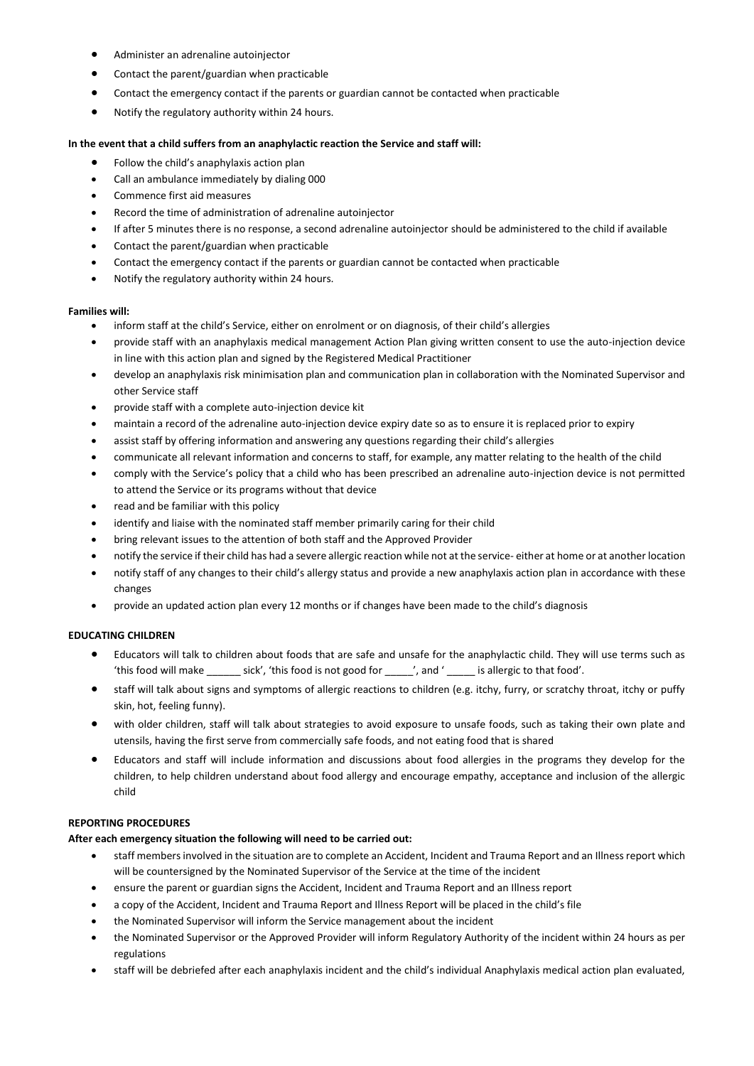- Administer an adrenaline autoinjector
- Contact the parent/guardian when practicable
- Contact the emergency contact if the parents or guardian cannot be contacted when practicable
- Notify the regulatory authority within 24 hours.

### **In the event that a child suffers from an anaphylactic reaction the Service and staff will:**

- Follow the child's anaphylaxis action plan
- Call an ambulance immediately by dialing 000
- Commence first aid measures
- Record the time of administration of adrenaline autoinjector
- If after 5 minutes there is no response, a second adrenaline autoinjector should be administered to the child if available
- Contact the parent/guardian when practicable
- Contact the emergency contact if the parents or guardian cannot be contacted when practicable
- Notify the regulatory authority within 24 hours.

### **Families will:**

- inform staff at the child's Service, either on enrolment or on diagnosis, of their child's allergies
- provide staff with an anaphylaxis medical management Action Plan giving written consent to use the auto-injection device in line with this action plan and signed by the Registered Medical Practitioner
- develop an anaphylaxis risk minimisation plan and communication plan in collaboration with the Nominated Supervisor and other Service staff
- provide staff with a complete auto-injection device kit
- maintain a record of the adrenaline auto-injection device expiry date so as to ensure it is replaced prior to expiry
- assist staff by offering information and answering any questions regarding their child's allergies
- communicate all relevant information and concerns to staff, for example, any matter relating to the health of the child
- comply with the Service's policy that a child who has been prescribed an adrenaline auto-injection device is not permitted to attend the Service or its programs without that device
- read and be familiar with this policy
- identify and liaise with the nominated staff member primarily caring for their child
- bring relevant issues to the attention of both staff and the Approved Provider
- notify the service if their child has had a severe allergic reaction while not at the service- either at home or at another location
- notify staff of any changes to their child's allergy status and provide a new anaphylaxis action plan in accordance with these changes
- provide an updated action plan every 12 months or if changes have been made to the child's diagnosis

# **EDUCATING CHILDREN**

- Educators will talk to children about foods that are safe and unsafe for the anaphylactic child. They will use terms such as 'this food will make \_\_\_\_\_\_ sick', 'this food is not good for \_\_\_\_\_', and '\_\_\_\_\_ is allergic to that food'.
- staff will talk about signs and symptoms of allergic reactions to children (e.g. itchy, furry, or scratchy throat, itchy or puffy skin, hot, feeling funny).
- with older children, staff will talk about strategies to avoid exposure to unsafe foods, such as taking their own plate and utensils, having the first serve from commercially safe foods, and not eating food that is shared
- Educators and staff will include information and discussions about food allergies in the programs they develop for the children, to help children understand about food allergy and encourage empathy, acceptance and inclusion of the allergic child

# **REPORTING PROCEDURES**

# **After each emergency situation the following will need to be carried out:**

- staff members involved in the situation are to complete an Accident, Incident and Trauma Report and an Illness report which will be countersigned by the Nominated Supervisor of the Service at the time of the incident
- ensure the parent or guardian signs the Accident, Incident and Trauma Report and an Illness report
- a copy of the Accident, Incident and Trauma Report and Illness Report will be placed in the child's file
- the Nominated Supervisor will inform the Service management about the incident
- the Nominated Supervisor or the Approved Provider will inform Regulatory Authority of the incident within 24 hours as per regulations
- staff will be debriefed after each anaphylaxis incident and the child's individual Anaphylaxis medical action plan evaluated,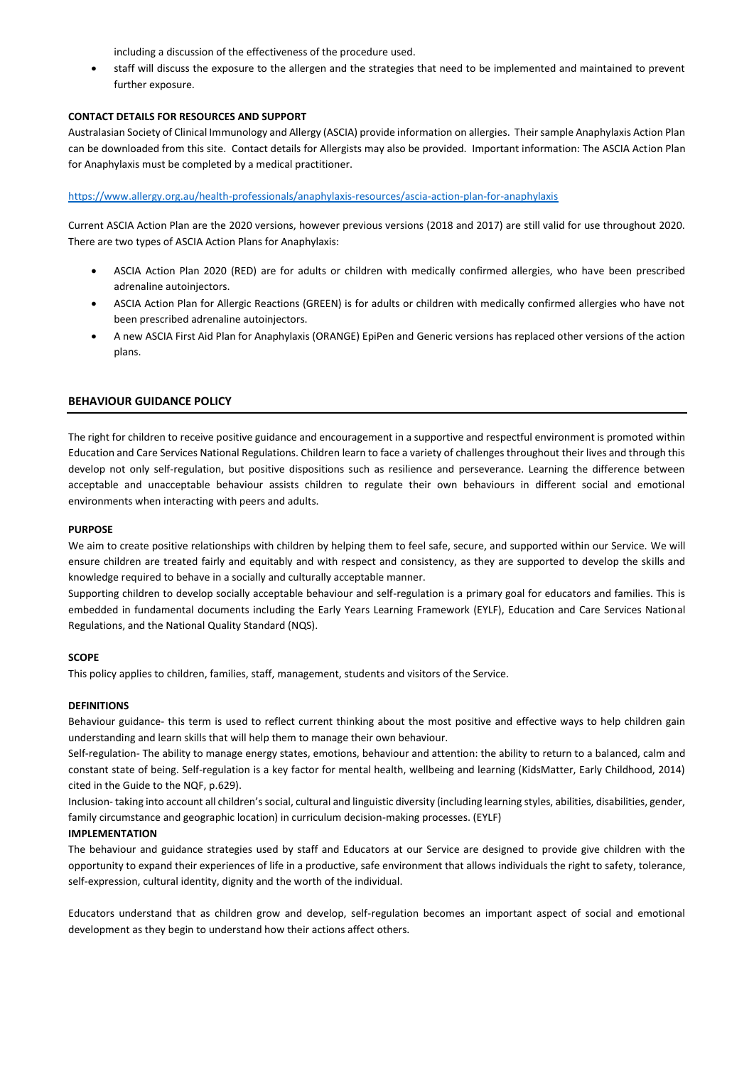including a discussion of the effectiveness of the procedure used.

 staff will discuss the exposure to the allergen and the strategies that need to be implemented and maintained to prevent further exposure.

# **CONTACT DETAILS FOR RESOURCES AND SUPPORT**

Australasian Society of Clinical Immunology and Allergy (ASCIA) provide information on allergies. Their sample Anaphylaxis Action Plan can be downloaded from this site. Contact details for Allergists may also be provided. Important information: The ASCIA Action Plan for Anaphylaxis must be completed by a medical practitioner.

# <https://www.allergy.org.au/health-professionals/anaphylaxis-resources/ascia-action-plan-for-anaphylaxis>

Current ASCIA Action Plan are the 2020 versions, however previous versions (2018 and 2017) are still valid for use throughout 2020. There are two types of ASCIA Action Plans for Anaphylaxis:

- ASCIA Action Plan 2020 (RED) are for adults or children with medically confirmed allergies, who have been prescribed adrenaline autoinjectors.
- ASCIA Action Plan for Allergic Reactions (GREEN) is for adults or children with medically confirmed allergies who have not been prescribed adrenaline autoinjectors.
- A new ASCIA First Aid Plan for Anaphylaxis (ORANGE) EpiPen and Generic versions has replaced other versions of the action plans.

# **BEHAVIOUR GUIDANCE POLICY**

The right for children to receive positive guidance and encouragement in a supportive and respectful environment is promoted within Education and Care Services National Regulations. Children learn to face a variety of challenges throughout their lives and through this develop not only self-regulation, but positive dispositions such as resilience and perseverance. Learning the difference between acceptable and unacceptable behaviour assists children to regulate their own behaviours in different social and emotional environments when interacting with peers and adults.

### **PURPOSE**

We aim to create positive relationships with children by helping them to feel safe, secure, and supported within our Service. We will ensure children are treated fairly and equitably and with respect and consistency, as they are supported to develop the skills and knowledge required to behave in a socially and culturally acceptable manner.

Supporting children to develop socially acceptable behaviour and self-regulation is a primary goal for educators and families. This is embedded in fundamental documents including the Early Years Learning Framework (EYLF), Education and Care Services National Regulations, and the National Quality Standard (NQS).

# **SCOPE**

This policy applies to children, families, staff, management, students and visitors of the Service.

# **DEFINITIONS**

Behaviour guidance*-* this term is used to reflect current thinking about the most positive and effective ways to help children gain understanding and learn skills that will help them to manage their own behaviour.

Self-regulation*-* The ability to manage energy states, emotions, behaviour and attention: the ability to return to a balanced, calm and constant state of being. Self-regulation is a key factor for mental health, wellbeing and learning (KidsMatter, Early Childhood, 2014) cited in the Guide to the NQF, p.629).

Inclusion- taking into account all children's social, cultural and linguistic diversity (including learning styles, abilities, disabilities, gender, family circumstance and geographic location) in curriculum decision-making processes. (EYLF)

# **IMPLEMENTATION**

The behaviour and guidance strategies used by staff and Educators at our Service are designed to provide give children with the opportunity to expand their experiences of life in a productive, safe environment that allows individuals the right to safety, tolerance, self-expression, cultural identity, dignity and the worth of the individual.

Educators understand that as children grow and develop, self-regulation becomes an important aspect of social and emotional development as they begin to understand how their actions affect others.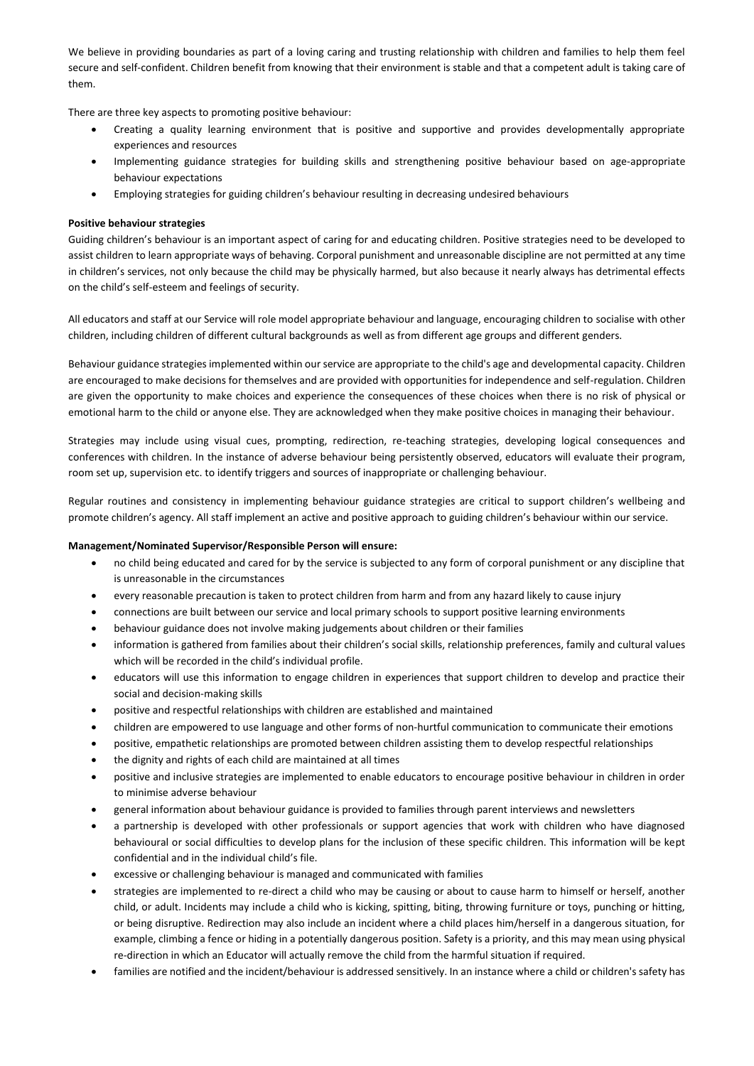We believe in providing boundaries as part of a loving caring and trusting relationship with children and families to help them feel secure and self-confident. Children benefit from knowing that their environment is stable and that a competent adult is taking care of them.

There are three key aspects to promoting positive behaviour:

- Creating a quality learning environment that is positive and supportive and provides developmentally appropriate experiences and resources
- Implementing guidance strategies for building skills and strengthening positive behaviour based on age-appropriate behaviour expectations
- Employing strategies for guiding children's behaviour resulting in decreasing undesired behaviours

# **Positive behaviour strategies**

Guiding children's behaviour is an important aspect of caring for and educating children. Positive strategies need to be developed to assist children to learn appropriate ways of behaving. Corporal punishment and unreasonable discipline are not permitted at any time in children's services, not only because the child may be physically harmed, but also because it nearly always has detrimental effects on the child's self-esteem and feelings of security.

All educators and staff at our Service will role model appropriate behaviour and language, encouraging children to socialise with other children, including children of different cultural backgrounds as well as from different age groups and different genders.

Behaviour guidance strategies implemented within our service are appropriate to the child's age and developmental capacity. Children are encouraged to make decisions for themselves and are provided with opportunities for independence and self-regulation. Children are given the opportunity to make choices and experience the consequences of these choices when there is no risk of physical or emotional harm to the child or anyone else. They are acknowledged when they make positive choices in managing their behaviour.

Strategies may include using visual cues, prompting, redirection, re-teaching strategies, developing logical consequences and conferences with children. In the instance of adverse behaviour being persistently observed, educators will evaluate their program, room set up, supervision etc. to identify triggers and sources of inappropriate or challenging behaviour.

Regular routines and consistency in implementing behaviour guidance strategies are critical to support children's wellbeing and promote children's agency. All staff implement an active and positive approach to guiding children's behaviour within our service.

# **Management/Nominated Supervisor/Responsible Person will ensure:**

- no child being educated and cared for by the service is subjected to any form of corporal punishment or any discipline that is unreasonable in the circumstances
- every reasonable precaution is taken to protect children from harm and from any hazard likely to cause injury
- connections are built between our service and local primary schools to support positive learning environments
- behaviour guidance does not involve making judgements about children or their families
- information is gathered from families about their children's social skills, relationship preferences, family and cultural values which will be recorded in the child's individual profile.
- educators will use this information to engage children in experiences that support children to develop and practice their social and decision-making skills
- positive and respectful relationships with children are established and maintained
- children are empowered to use language and other forms of non-hurtful communication to communicate their emotions
- positive, empathetic relationships are promoted between children assisting them to develop respectful relationships
- the dignity and rights of each child are maintained at all times
- positive and inclusive strategies are implemented to enable educators to encourage positive behaviour in children in order to minimise adverse behaviour
- general information about behaviour guidance is provided to families through parent interviews and newsletters
- a partnership is developed with other professionals or support agencies that work with children who have diagnosed behavioural or social difficulties to develop plans for the inclusion of these specific children. This information will be kept confidential and in the individual child's file.
- excessive or challenging behaviour is managed and communicated with families
- strategies are implemented to re-direct a child who may be causing or about to cause harm to himself or herself, another child, or adult. Incidents may include a child who is kicking, spitting, biting, throwing furniture or toys, punching or hitting, or being disruptive. Redirection may also include an incident where a child places him/herself in a dangerous situation, for example, climbing a fence or hiding in a potentially dangerous position. Safety is a priority, and this may mean using physical re-direction in which an Educator will actually remove the child from the harmful situation if required.
- families are notified and the incident/behaviour is addressed sensitively. In an instance where a child or children's safety has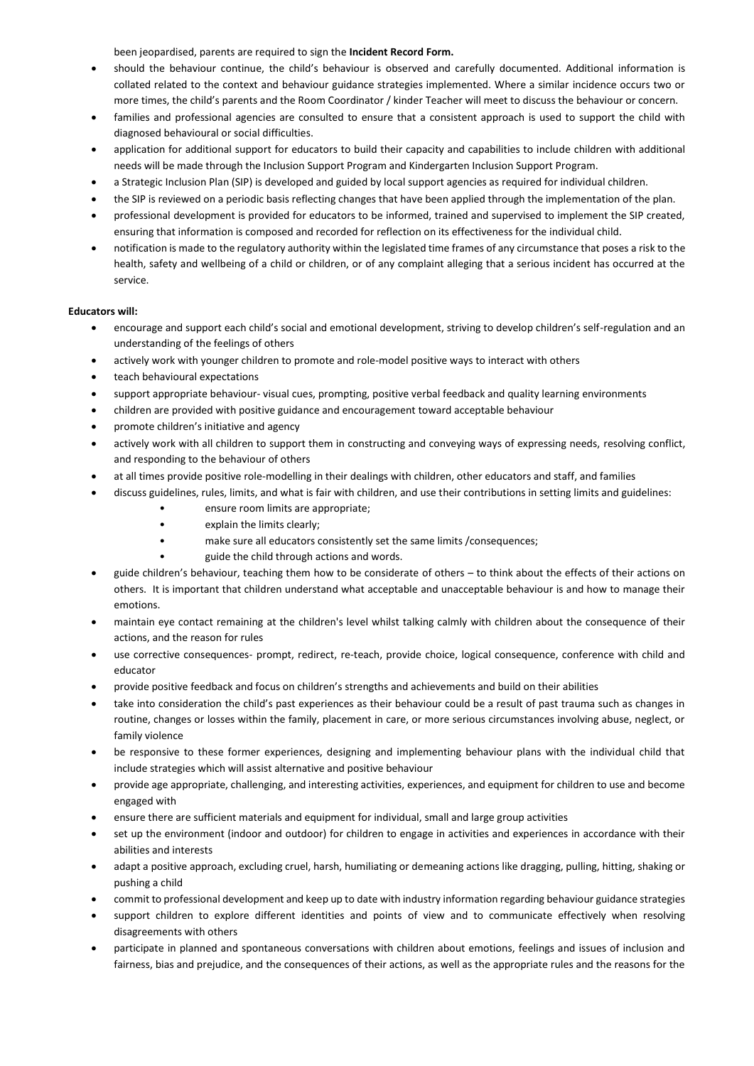been jeopardised, parents are required to sign the **Incident Record Form.** 

- should the behaviour continue, the child's behaviour is observed and carefully documented. Additional information is collated related to the context and behaviour guidance strategies implemented. Where a similar incidence occurs two or more times, the child's parents and the Room Coordinator / kinder Teacher will meet to discuss the behaviour or concern.
- families and professional agencies are consulted to ensure that a consistent approach is used to support the child with diagnosed behavioural or social difficulties.
- application for additional support for educators to build their capacity and capabilities to include children with additional needs will be made through the Inclusion Support Program and Kindergarten Inclusion Support Program.
- a Strategic Inclusion Plan (SIP) is developed and guided by local support agencies as required for individual children.
- the SIP is reviewed on a periodic basis reflecting changes that have been applied through the implementation of the plan.
- professional development is provided for educators to be informed, trained and supervised to implement the SIP created, ensuring that information is composed and recorded for reflection on its effectiveness for the individual child.
- notification is made to the regulatory authority within the legislated time frames of any circumstance that poses a risk to the health, safety and wellbeing of a child or children, or of any complaint alleging that a serious incident has occurred at the service.

# **Educators will:**

- encourage and support each child's social and emotional development, striving to develop children's self-regulation and an understanding of the feelings of others
- actively work with younger children to promote and role-model positive ways to interact with others
- teach behavioural expectations
- support appropriate behaviour- visual cues, prompting, positive verbal feedback and quality learning environments
- children are provided with positive guidance and encouragement toward acceptable behaviour
- promote children's initiative and agency
- actively work with all children to support them in constructing and conveying ways of expressing needs, resolving conflict, and responding to the behaviour of others
- at all times provide positive role-modelling in their dealings with children, other educators and staff, and families
- discuss guidelines, rules, limits, and what is fair with children, and use their contributions in setting limits and guidelines:
	- ensure room limits are appropriate;
		- explain the limits clearly;
		- make sure all educators consistently set the same limits /consequences;
		- guide the child through actions and words.
- guide children's behaviour, teaching them how to be considerate of others to think about the effects of their actions on others. It is important that children understand what acceptable and unacceptable behaviour is and how to manage their emotions.
- maintain eye contact remaining at the children's level whilst talking calmly with children about the consequence of their actions, and the reason for rules
- use corrective consequences- prompt, redirect, re-teach, provide choice, logical consequence, conference with child and educator
- provide positive feedback and focus on children's strengths and achievements and build on their abilities
- take into consideration the child's past experiences as their behaviour could be a result of past trauma such as changes in routine, changes or losses within the family, placement in care, or more serious circumstances involving abuse, neglect, or family violence
- be responsive to these former experiences, designing and implementing behaviour plans with the individual child that include strategies which will assist alternative and positive behaviour
- provide age appropriate, challenging, and interesting activities, experiences, and equipment for children to use and become engaged with
- ensure there are sufficient materials and equipment for individual, small and large group activities
- set up the environment (indoor and outdoor) for children to engage in activities and experiences in accordance with their abilities and interests
- adapt a positive approach, excluding cruel, harsh, humiliating or demeaning actions like dragging, pulling, hitting, shaking or pushing a child
- commit to professional development and keep up to date with industry information regarding behaviour guidance strategies
- support children to explore different identities and points of view and to communicate effectively when resolving disagreements with others
- participate in planned and spontaneous conversations with children about emotions, feelings and issues of inclusion and fairness, bias and prejudice, and the consequences of their actions, as well as the appropriate rules and the reasons for the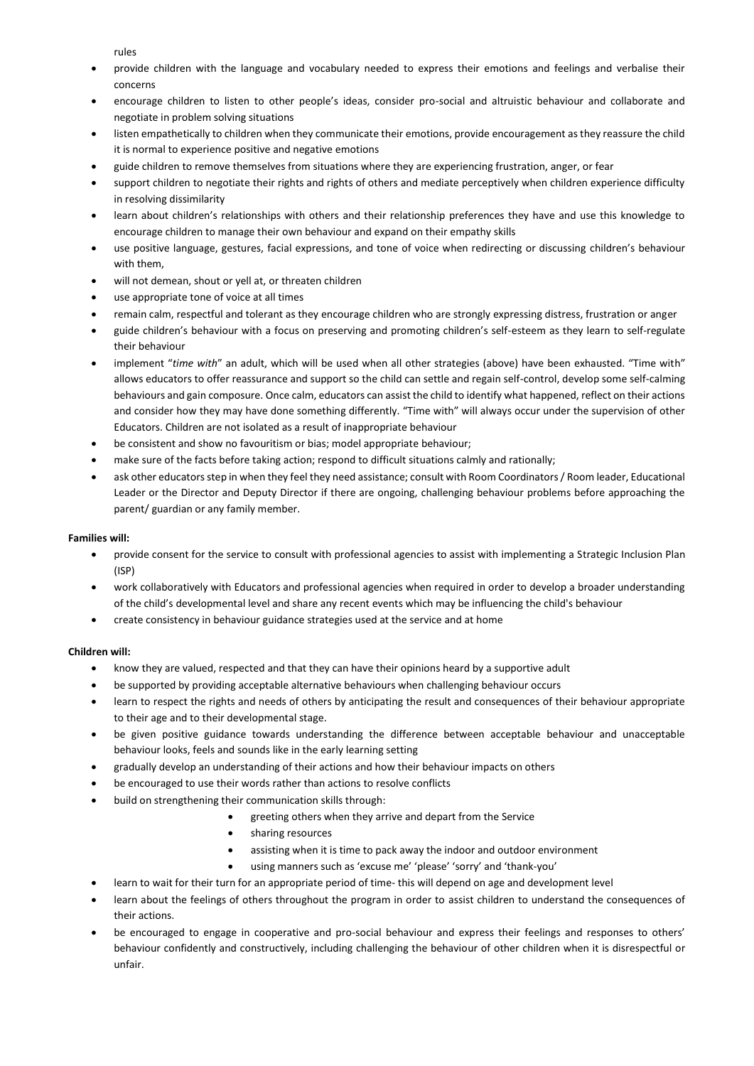rules

- provide children with the language and vocabulary needed to express their emotions and feelings and verbalise their concerns
- encourage children to listen to other people's ideas, consider pro-social and altruistic behaviour and collaborate and negotiate in problem solving situations
- listen empathetically to children when they communicate their emotions, provide encouragement as they reassure the child it is normal to experience positive and negative emotions
- guide children to remove themselves from situations where they are experiencing frustration, anger, or fear
- support children to negotiate their rights and rights of others and mediate perceptively when children experience difficulty in resolving dissimilarity
- learn about children's relationships with others and their relationship preferences they have and use this knowledge to encourage children to manage their own behaviour and expand on their empathy skills
- use positive language, gestures, facial expressions, and tone of voice when redirecting or discussing children's behaviour with them,
- will not demean, shout or yell at, or threaten children
- use appropriate tone of voice at all times
- remain calm, respectful and tolerant as they encourage children who are strongly expressing distress, frustration or anger
- guide children's behaviour with a focus on preserving and promoting children's self-esteem as they learn to self-regulate their behaviour
- implement "*time with*" an adult, which will be used when all other strategies (above) have been exhausted. "Time with" allows educators to offer reassurance and support so the child can settle and regain self-control, develop some self-calming behaviours and gain composure. Once calm, educators can assist the child to identify what happened, reflect on their actions and consider how they may have done something differently. "Time with" will always occur under the supervision of other Educators. Children are not isolated as a result of inappropriate behaviour
- be consistent and show no favouritism or bias; model appropriate behaviour;
- make sure of the facts before taking action; respond to difficult situations calmly and rationally;
- ask other educators step in when they feel they need assistance; consult with Room Coordinators / Room leader, Educational Leader or the Director and Deputy Director if there are ongoing, challenging behaviour problems before approaching the parent/ guardian or any family member.

### **Families will:**

- provide consent for the service to consult with professional agencies to assist with implementing a Strategic Inclusion Plan (ISP)
- work collaboratively with Educators and professional agencies when required in order to develop a broader understanding of the child's developmental level and share any recent events which may be influencing the child's behaviour
- create consistency in behaviour guidance strategies used at the service and at home

# **Children will:**

- know they are valued, respected and that they can have their opinions heard by a supportive adult
- be supported by providing acceptable alternative behaviours when challenging behaviour occurs
- learn to respect the rights and needs of others by anticipating the result and consequences of their behaviour appropriate to their age and to their developmental stage.
- be given positive guidance towards understanding the difference between acceptable behaviour and unacceptable behaviour looks, feels and sounds like in the early learning setting
- gradually develop an understanding of their actions and how their behaviour impacts on others
- be encouraged to use their words rather than actions to resolve conflicts
- build on strengthening their communication skills through:
	- greeting others when they arrive and depart from the Service
		- sharing resources
		- assisting when it is time to pack away the indoor and outdoor environment
	- using manners such as 'excuse me' 'please' 'sorry' and 'thank-you'
- learn to wait for their turn for an appropriate period of time- this will depend on age and development level
- learn about the feelings of others throughout the program in order to assist children to understand the consequences of their actions.
- be encouraged to engage in cooperative and pro-social behaviour and express their feelings and responses to others' behaviour confidently and constructively, including challenging the behaviour of other children when it is disrespectful or unfair.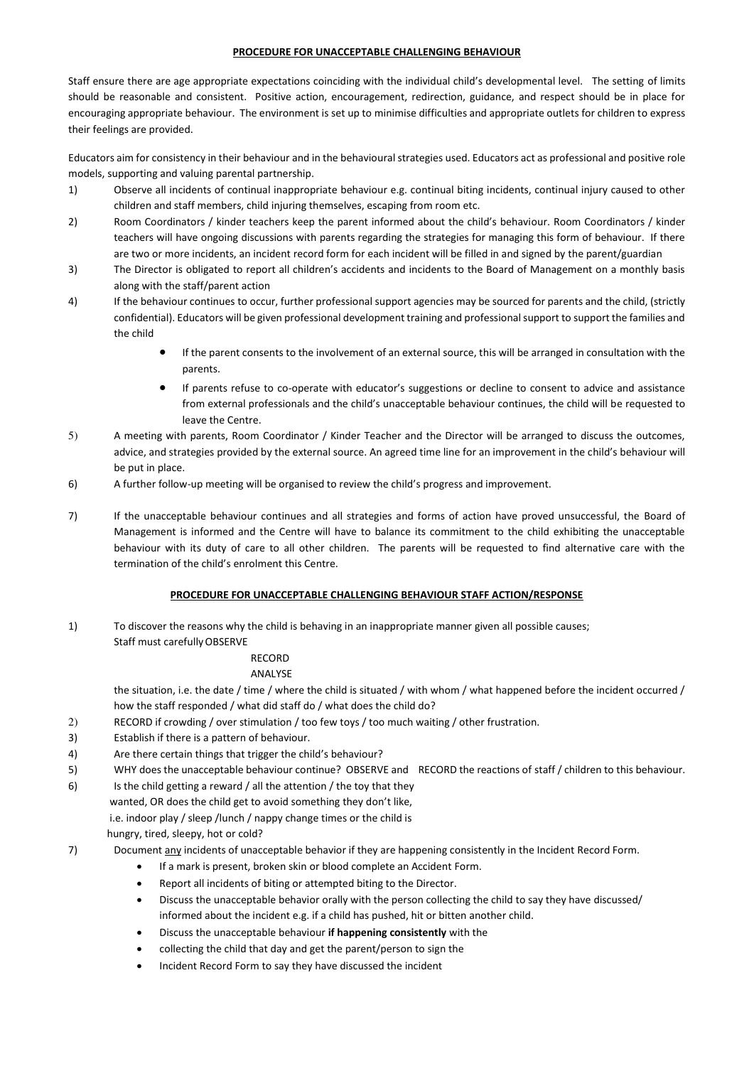### **PROCEDURE FOR UNACCEPTABLE CHALLENGING BEHAVIOUR**

Staff ensure there are age appropriate expectations coinciding with the individual child's developmental level. The setting of limits should be reasonable and consistent. Positive action, encouragement, redirection, guidance, and respect should be in place for encouraging appropriate behaviour. The environment is set up to minimise difficulties and appropriate outlets for children to express their feelings are provided.

Educators aim for consistency in their behaviour and in the behavioural strategies used. Educators act as professional and positive role models, supporting and valuing parental partnership.

- 1) Observe all incidents of continual inappropriate behaviour e.g. continual biting incidents, continual injury caused to other children and staff members, child injuring themselves, escaping from room etc.
- 2) Room Coordinators / kinder teachers keep the parent informed about the child's behaviour. Room Coordinators / kinder teachers will have ongoing discussions with parents regarding the strategies for managing this form of behaviour. If there are two or more incidents, an incident record form for each incident will be filled in and signed by the parent/guardian
- 3) The Director is obligated to report all children's accidents and incidents to the Board of Management on a monthly basis along with the staff/parent action
- 4) If the behaviour continues to occur, further professional support agencies may be sourced for parents and the child, (strictly confidential). Educators will be given professional development training and professional support to support the families and the child
	- If the parent consents to the involvement of an external source, this will be arranged in consultation with the parents.
	- If parents refuse to co-operate with educator's suggestions or decline to consent to advice and assistance from external professionals and the child's unacceptable behaviour continues, the child will be requested to leave the Centre.
- 5) A meeting with parents, Room Coordinator / Kinder Teacher and the Director will be arranged to discuss the outcomes, advice, and strategies provided by the external source. An agreed time line for an improvement in the child's behaviour will be put in place.
- 6) A further follow-up meeting will be organised to review the child's progress and improvement.
- 7) If the unacceptable behaviour continues and all strategies and forms of action have proved unsuccessful, the Board of Management is informed and the Centre will have to balance its commitment to the child exhibiting the unacceptable behaviour with its duty of care to all other children. The parents will be requested to find alternative care with the termination of the child's enrolment this Centre.

# **PROCEDURE FOR UNACCEPTABLE CHALLENGING BEHAVIOUR STAFF ACTION/RESPONSE**

1) To discover the reasons why the child is behaving in an inappropriate manner given all possible causes; Staff must carefully OBSERVE

# RECORD

# ANALYSE

the situation, i.e. the date / time / where the child is situated / with whom / what happened before the incident occurred / how the staff responded / what did staff do / what does the child do?

- 2) RECORD if crowding / over stimulation / too few toys / too much waiting / other frustration.
- 3) Establish if there is a pattern of behaviour.
- 4) Are there certain things that trigger the child's behaviour?
- 5) WHY does the unacceptable behaviour continue? OBSERVE and RECORD the reactions of staff / children to this behaviour.
- 6) Is the child getting a reward / all the attention / the toy that they
	- wanted, OR does the child get to avoid something they don't like, i.e. indoor play / sleep /lunch / nappy change times or the child is hungry, tired, sleepy, hot or cold?
- 7) Document any incidents of unacceptable behavior if they are happening consistently in the Incident Record Form.
	- If a mark is present, broken skin or blood complete an Accident Form.
	- Report all incidents of biting or attempted biting to the Director.
	- Discuss the unacceptable behavior orally with the person collecting the child to say they have discussed/ informed about the incident e.g. if a child has pushed, hit or bitten another child.
	- Discuss the unacceptable behaviour **if happening consistently** with the
	- collecting the child that day and get the parent/person to sign the
	- Incident Record Form to say they have discussed the incident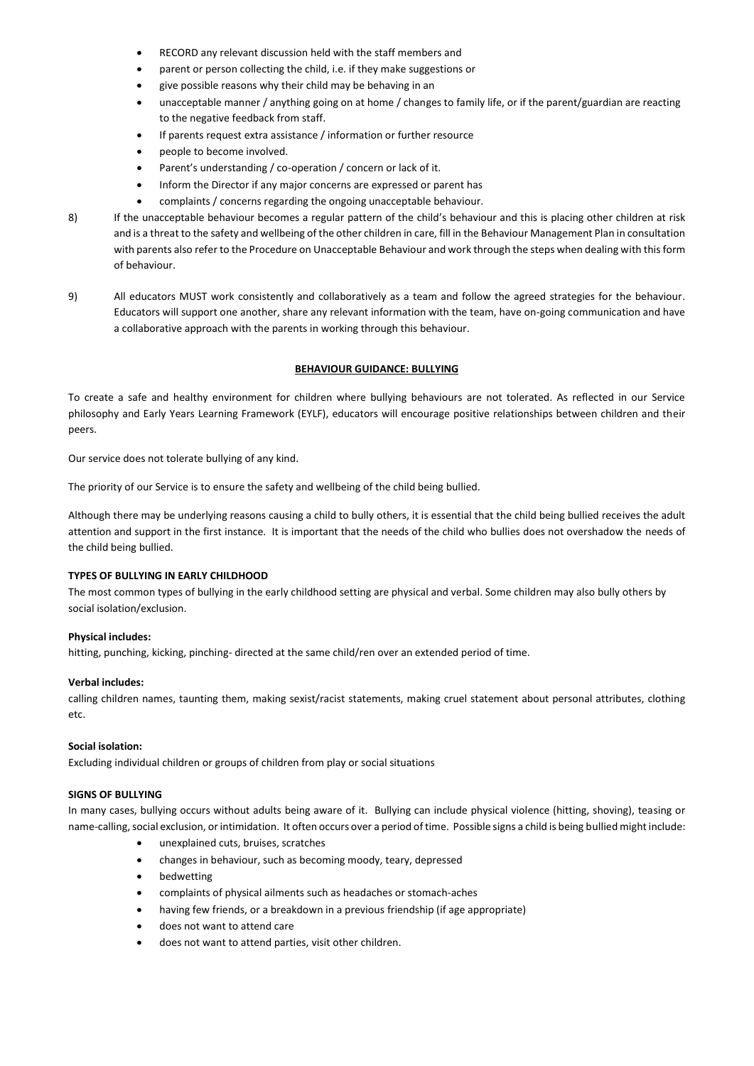- RECORD any relevant discussion held with the staff members and
- parent or person collecting the child, i.e. if they make suggestions or
- give possible reasons why their child may be behaving in an
- unacceptable manner / anything going on at home / changes to family life, or if the parent/guardian are reacting to the negative feedback from staff.
- If parents request extra assistance / information or further resource
- people to become involved.
- Parent's understanding / co-operation / concern or lack of it.
- Inform the Director if any major concerns are expressed or parent has
- complaints / concerns regarding the ongoing unacceptable behaviour.
- 8) If the unacceptable behaviour becomes a regular pattern of the child's behaviour and this is placing other children at risk and is a threat to the safety and wellbeing of the other children in care, fill in the Behaviour Management Plan in consultation with parents also refer to the Procedure on Unacceptable Behaviour and work through the steps when dealing with this form of behaviour.
- 9) All educators MUST work consistently and collaboratively as a team and follow the agreed strategies for the behaviour. Educators will support one another, share any relevant information with the team, have on-going communication and have a collaborative approach with the parents in working through this behaviour.

#### **BEHAVIOUR GUIDANCE: BULLYING**

To create a safe and healthy environment for children where bullying behaviours are not tolerated. As reflected in our Service philosophy and Early Years Learning Framework (EYLF), educators will encourage positive relationships between children and their peers.

Our service does not tolerate bullying of any kind.

The priority of our Service is to ensure the safety and wellbeing of the child being bullied.

Although there may be underlying reasons causing a child to bully others, it is essential that the child being bullied receives the adult attention and support in the first instance. It is important that the needs of the child who bullies does not overshadow the needs of the child being bullied.

#### **TYPES OF BULLYING IN EARLY CHILDHOOD**

The most common types of bullying in the early childhood setting are physical and verbal. Some children may also bully others by social isolation/exclusion.

#### **Physical includes:**

hitting, punching, kicking, pinching- directed at the same child/ren over an extended period of time.

#### **Verbal includes:**

calling children names, taunting them, making sexist/racist statements, making cruel statement about personal attributes, clothing etc.

### **Social isolation:**

Excluding individual children or groups of children from play or social situations

### **SIGNS OF BULLYING**

In many cases, bullying occurs without adults being aware of it. Bullying can include physical violence (hitting, shoving), teasing or name-calling, social exclusion, or intimidation. It often occurs over a period of time. Possible signs a child is being bullied might include:

- unexplained cuts, bruises, scratches
- changes in behaviour, such as becoming moody, teary, depressed
- bedwetting
- complaints of physical ailments such as headaches or stomach-aches
- having few friends, or a breakdown in a previous friendship (if age appropriate)
- does not want to attend care
- does not want to attend parties, visit other children.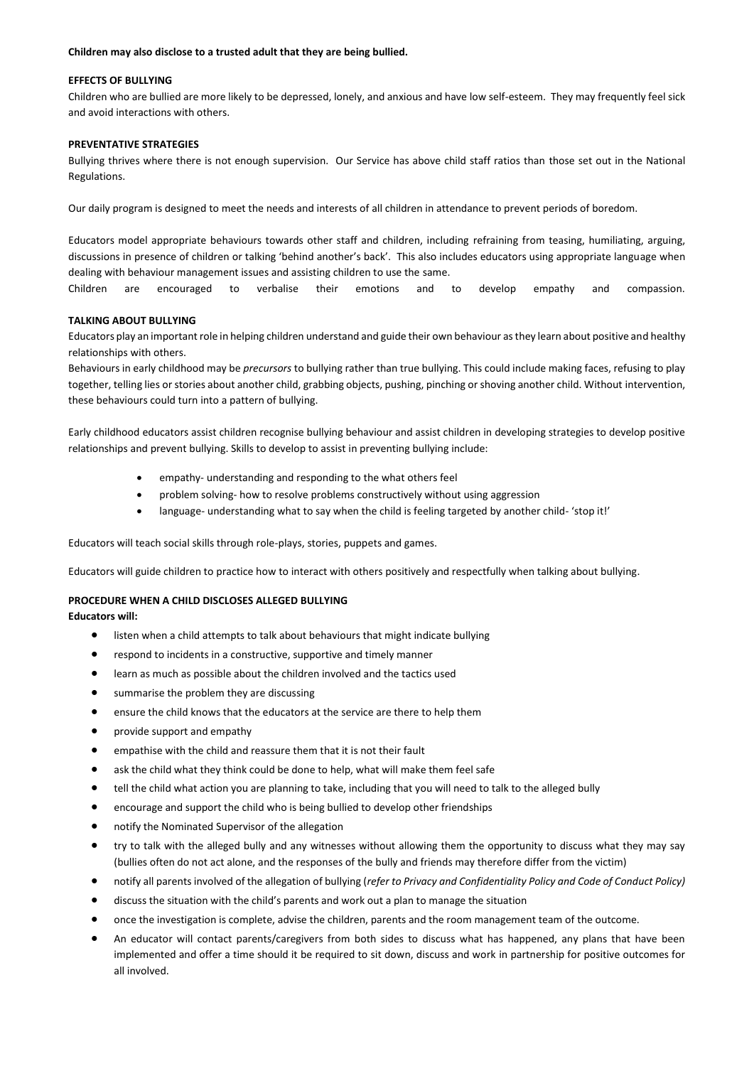#### **Children may also disclose to a trusted adult that they are being bullied.**

#### **EFFECTS OF BULLYING**

Children who are bullied are more likely to be depressed, lonely, and anxious and have low self-esteem. They may frequently feel sick and avoid interactions with others.

# **PREVENTATIVE STRATEGIES**

Bullying thrives where there is not enough supervision. Our Service has above child staff ratios than those set out in the National Regulations.

Our daily program is designed to meet the needs and interests of all children in attendance to prevent periods of boredom.

Educators model appropriate behaviours towards other staff and children, including refraining from teasing, humiliating, arguing, discussions in presence of children or talking 'behind another's back'. This also includes educators using appropriate language when dealing with behaviour management issues and assisting children to use the same.

Children are encouraged to verbalise their emotions and to develop empathy and compassion.

### **TALKING ABOUT BULLYING**

Educators play an important role in helping children understand and guide their own behaviour as they learn about positive and healthy relationships with others.

Behaviours in early childhood may be *precursors* to bullying rather than true bullying. This could include making faces, refusing to play together, telling lies or stories about another child, grabbing objects, pushing, pinching or shoving another child. Without intervention, these behaviours could turn into a pattern of bullying.

Early childhood educators assist children recognise bullying behaviour and assist children in developing strategies to develop positive relationships and prevent bullying. Skills to develop to assist in preventing bullying include:

- empathy- understanding and responding to the what others feel
- problem solving- how to resolve problems constructively without using aggression
- language- understanding what to say when the child is feeling targeted by another child- 'stop it!'

Educators will teach social skills through role-plays, stories, puppets and games.

Educators will guide children to practice how to interact with others positively and respectfully when talking about bullying.

# **PROCEDURE WHEN A CHILD DISCLOSES ALLEGED BULLYING**

**Educators will:** 

- listen when a child attempts to talk about behaviours that might indicate bullying
- respond to incidents in a constructive, supportive and timely manner
- learn as much as possible about the children involved and the tactics used
- summarise the problem they are discussing
- ensure the child knows that the educators at the service are there to help them
- provide support and empathy
- empathise with the child and reassure them that it is not their fault
- ask the child what they think could be done to help, what will make them feel safe
- tell the child what action you are planning to take, including that you will need to talk to the alleged bully
- encourage and support the child who is being bullied to develop other friendships
- notify the Nominated Supervisor of the allegation
- try to talk with the alleged bully and any witnesses without allowing them the opportunity to discuss what they may say (bullies often do not act alone, and the responses of the bully and friends may therefore differ from the victim)
- notify all parents involved of the allegation of bullying (*refer to Privacy and Confidentiality Policy and Code of Conduct Policy)*
- discuss the situation with the child's parents and work out a plan to manage the situation
- once the investigation is complete, advise the children, parents and the room management team of the outcome.
- An educator will contact parents/caregivers from both sides to discuss what has happened, any plans that have been implemented and offer a time should it be required to sit down, discuss and work in partnership for positive outcomes for all involved.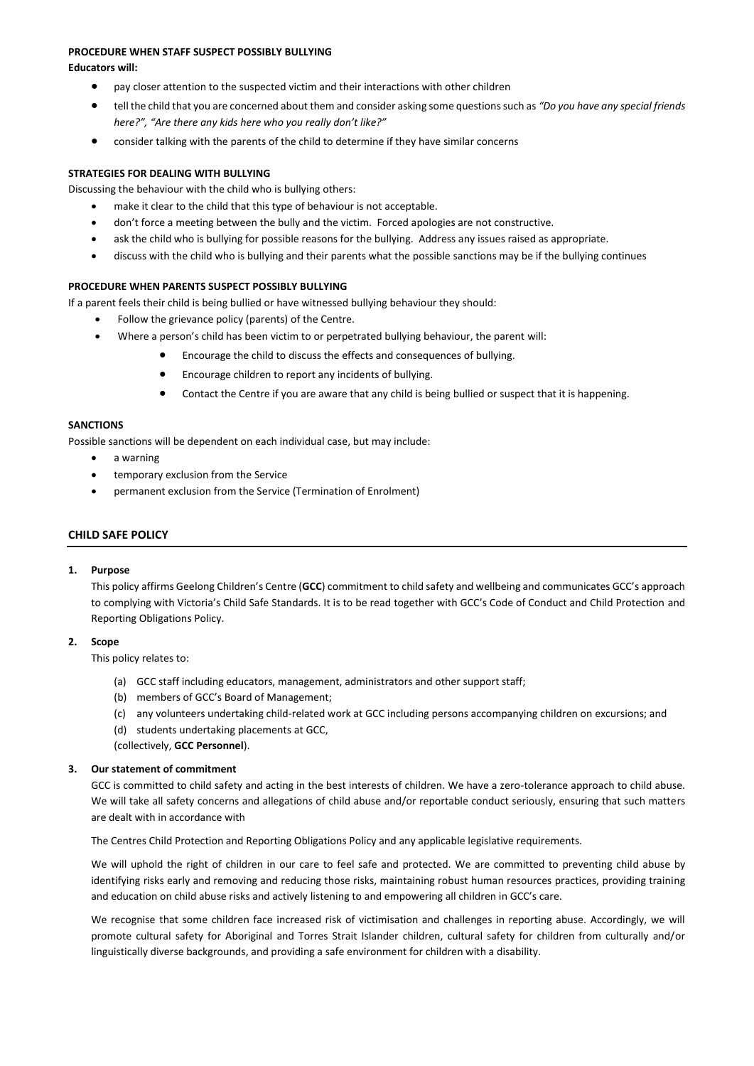### **PROCEDURE WHEN STAFF SUSPECT POSSIBLY BULLYING**

**Educators will:** 

- pay closer attention to the suspected victim and their interactions with other children
- tell the child that you are concerned about them and consider asking some questions such as *"Do you have any special friends here?", "Are there any kids here who you really don't like?"*
- consider talking with the parents of the child to determine if they have similar concerns

# **STRATEGIES FOR DEALING WITH BULLYING**

Discussing the behaviour with the child who is bullying others:

- make it clear to the child that this type of behaviour is not acceptable.
- don't force a meeting between the bully and the victim. Forced apologies are not constructive.
- ask the child who is bullying for possible reasons for the bullying. Address any issues raised as appropriate.
- discuss with the child who is bullying and their parents what the possible sanctions may be if the bullying continues

# **PROCEDURE WHEN PARENTS SUSPECT POSSIBLY BULLYING**

If a parent feels their child is being bullied or have witnessed bullying behaviour they should:

- Follow the grievance policy (parents) of the Centre.
- Where a person's child has been victim to or perpetrated bullying behaviour, the parent will:
	- Encourage the child to discuss the effects and consequences of bullying.
	- Encourage children to report any incidents of bullying.
	- Contact the Centre if you are aware that any child is being bullied or suspect that it is happening.

# **SANCTIONS**

Possible sanctions will be dependent on each individual case, but may include:

- a warning
- temporary exclusion from the Service
- permanent exclusion from the Service (Termination of Enrolment)

# **CHILD SAFE POLICY**

# **1. Purpose**

This policy affirms Geelong Children's Centre (**GCC**) commitment to child safety and wellbeing and communicates GCC's approach to complying with Victoria's Child Safe Standards. It is to be read together with GCC's Code of Conduct and Child Protection and Reporting Obligations Policy.

# **2. Scope**

This policy relates to:

- (a) GCC staff including educators, management, administrators and other support staff;
- (b) members of GCC's Board of Management;
- (c) any volunteers undertaking child-related work at GCC including persons accompanying children on excursions; and (d) students undertaking placements at GCC,

(collectively, **GCC Personnel**).

# **3. Our statement of commitment**

GCC is committed to child safety and acting in the best interests of children. We have a zero-tolerance approach to child abuse. We will take all safety concerns and allegations of child abuse and/or reportable conduct seriously, ensuring that such matters are dealt with in accordance with

The Centres Child Protection and Reporting Obligations Policy and any applicable legislative requirements.

We will uphold the right of children in our care to feel safe and protected. We are committed to preventing child abuse by identifying risks early and removing and reducing those risks, maintaining robust human resources practices, providing training and education on child abuse risks and actively listening to and empowering all children in GCC's care.

We recognise that some children face increased risk of victimisation and challenges in reporting abuse. Accordingly, we will promote cultural safety for Aboriginal and Torres Strait Islander children, cultural safety for children from culturally and/or linguistically diverse backgrounds, and providing a safe environment for children with a disability.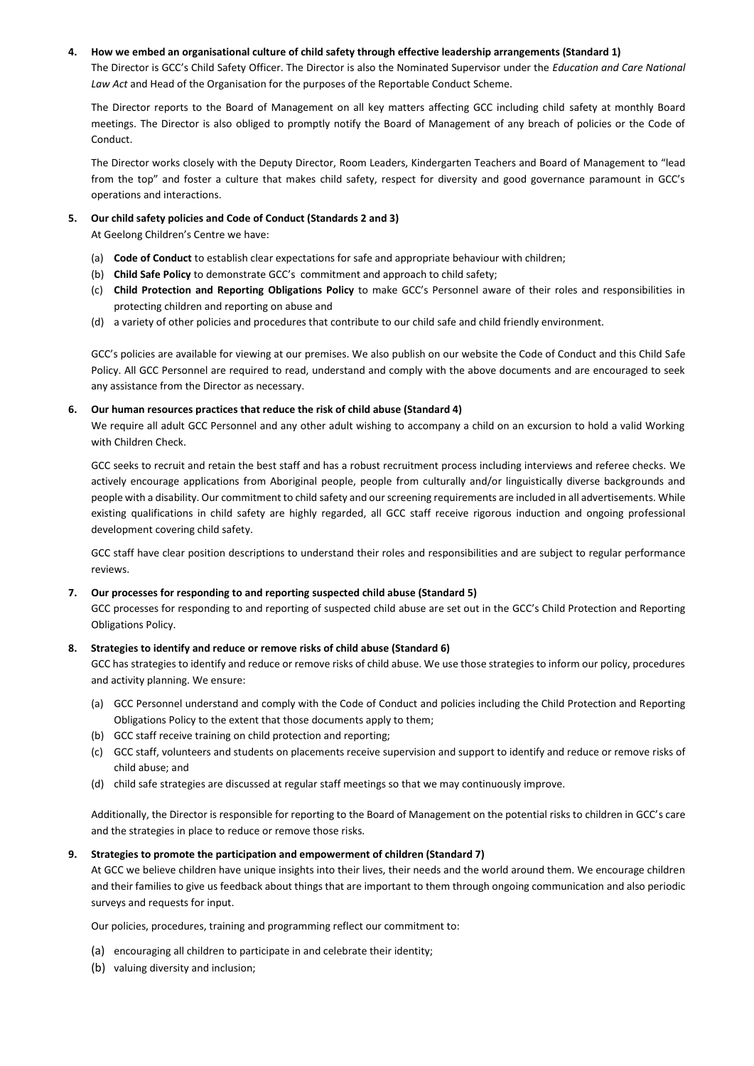# **4. How we embed an organisational culture of child safety through effective leadership arrangements (Standard 1)**

The Director is GCC's Child Safety Officer. The Director is also the Nominated Supervisor under the *Education and Care National Law Act* and Head of the Organisation for the purposes of the Reportable Conduct Scheme.

The Director reports to the Board of Management on all key matters affecting GCC including child safety at monthly Board meetings. The Director is also obliged to promptly notify the Board of Management of any breach of policies or the Code of Conduct.

The Director works closely with the Deputy Director, Room Leaders, Kindergarten Teachers and Board of Management to "lead from the top" and foster a culture that makes child safety, respect for diversity and good governance paramount in GCC's operations and interactions.

### **5. Our child safety policies and Code of Conduct (Standards 2 and 3)**

At Geelong Children's Centre we have:

- (a) **Code of Conduct** to establish clear expectations for safe and appropriate behaviour with children;
- (b) **Child Safe Policy** to demonstrate GCC's commitment and approach to child safety;
- (c) **Child Protection and Reporting Obligations Policy** to make GCC's Personnel aware of their roles and responsibilities in protecting children and reporting on abuse and
- (d) a variety of other policies and procedures that contribute to our child safe and child friendly environment.

GCC's policies are available for viewing at our premises. We also publish on our website the Code of Conduct and this Child Safe Policy. All GCC Personnel are required to read, understand and comply with the above documents and are encouraged to seek any assistance from the Director as necessary.

### **6. Our human resources practices that reduce the risk of child abuse (Standard 4)**

We require all adult GCC Personnel and any other adult wishing to accompany a child on an excursion to hold a valid Working with Children Check.

GCC seeks to recruit and retain the best staff and has a robust recruitment process including interviews and referee checks. We actively encourage applications from Aboriginal people, people from culturally and/or linguistically diverse backgrounds and people with a disability. Our commitment to child safety and our screening requirements are included in all advertisements. While existing qualifications in child safety are highly regarded, all GCC staff receive rigorous induction and ongoing professional development covering child safety.

GCC staff have clear position descriptions to understand their roles and responsibilities and are subject to regular performance reviews.

#### **7. Our processes for responding to and reporting suspected child abuse (Standard 5)**

GCC processes for responding to and reporting of suspected child abuse are set out in the GCC's Child Protection and Reporting Obligations Policy.

# **8. Strategies to identify and reduce or remove risks of child abuse (Standard 6)**

GCC has strategies to identify and reduce or remove risks of child abuse. We use those strategies to inform our policy, procedures and activity planning. We ensure:

- (a) GCC Personnel understand and comply with the Code of Conduct and policies including the Child Protection and Reporting Obligations Policy to the extent that those documents apply to them;
- (b) GCC staff receive training on child protection and reporting;
- (c) GCC staff, volunteers and students on placements receive supervision and support to identify and reduce or remove risks of child abuse; and
- (d) child safe strategies are discussed at regular staff meetings so that we may continuously improve.

Additionally, the Director is responsible for reporting to the Board of Management on the potential risks to children in GCC's care and the strategies in place to reduce or remove those risks.

#### **9. Strategies to promote the participation and empowerment of children (Standard 7)**

At GCC we believe children have unique insights into their lives, their needs and the world around them. We encourage children and their families to give us feedback about things that are important to them through ongoing communication and also periodic surveys and requests for input.

Our policies, procedures, training and programming reflect our commitment to:

- (a) encouraging all children to participate in and celebrate their identity;
- (b) valuing diversity and inclusion;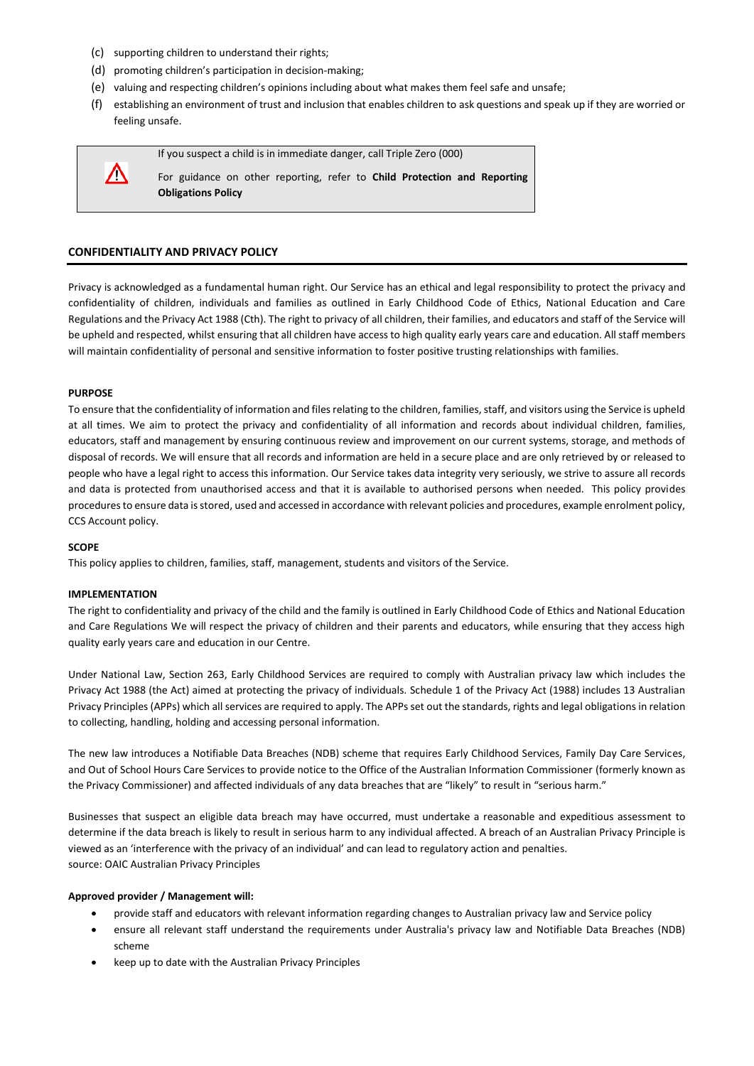- (c) supporting children to understand their rights;
- (d) promoting children's participation in decision-making;
- (e) valuing and respecting children's opinions including about what makes them feel safe and unsafe;
- (f) establishing an environment of trust and inclusion that enables children to ask questions and speak up if they are worried or feeling unsafe.

If you suspect a child is in immediate danger, call Triple Zero (000) For guidance on other reporting, refer to **Child Protection and Reporting Obligations Policy**

# **CONFIDENTIALITY AND PRIVACY POLICY**

Privacy is acknowledged as a fundamental human right. Our Service has an ethical and legal responsibility to protect the privacy and confidentiality of children, individuals and families as outlined in Early Childhood Code of Ethics, National Education and Care Regulations and the Privacy Act 1988 (Cth). The right to privacy of all children, their families, and educators and staff of the Service will be upheld and respected, whilst ensuring that all children have access to high quality early years care and education. All staff members will maintain confidentiality of personal and sensitive information to foster positive trusting relationships with families.

### **PURPOSE**

Δ

To ensure that the confidentiality of information and files relating to the children, families, staff, and visitors using the Service is upheld at all times. We aim to protect the privacy and confidentiality of all information and records about individual children, families, educators, staff and management by ensuring continuous review and improvement on our current systems, storage, and methods of disposal of records. We will ensure that all records and information are held in a secure place and are only retrieved by or released to people who have a legal right to access this information. Our Service takes data integrity very seriously, we strive to assure all records and data is protected from unauthorised access and that it is available to authorised persons when needed. This policy provides procedures to ensure data is stored, used and accessed in accordance with relevant policies and procedures, example enrolment policy, CCS Account policy.

#### **SCOPE**

This policy applies to children, families, staff, management, students and visitors of the Service.

# **IMPLEMENTATION**

The right to confidentiality and privacy of the child and the family is outlined in Early Childhood Code of Ethics and National Education and Care Regulations We will respect the privacy of children and their parents and educators, while ensuring that they access high quality early years care and education in our Centre.

Under National Law, Section 263, Early Childhood Services are required to comply with Australian privacy law which includes the Privacy Act 1988 (the Act) aimed at protecting the privacy of individuals. Schedule 1 of the Privacy Act (1988) includes 13 Australian Privacy Principles (APPs) which all services are required to apply. The APPs set out the standards, rights and legal obligations in relation to collecting, handling, holding and accessing personal information.

The new law introduces a Notifiable Data Breaches (NDB) scheme that requires Early Childhood Services, Family Day Care Services, and Out of School Hours Care Services to provide notice to the Office of the Australian Information Commissioner (formerly known as the Privacy Commissioner) and affected individuals of any data breaches that are "likely" to result in "serious harm."

Businesses that suspect an eligible data breach may have occurred, must undertake a reasonable and expeditious assessment to determine if the data breach is likely to result in serious harm to any individual affected. A breach of an Australian Privacy Principle is viewed as an 'interference with the privacy of an individual' and can lead to regulatory action and penalties. source: OAIC Australian Privacy Principles

#### **Approved provider / Management will:**

- provide staff and educators with relevant information regarding changes to Australian privacy law and Service policy
- ensure all relevant staff understand the requirements under Australia's privacy law and Notifiable Data Breaches (NDB) scheme
- keep up to date with the Australian Privacy Principles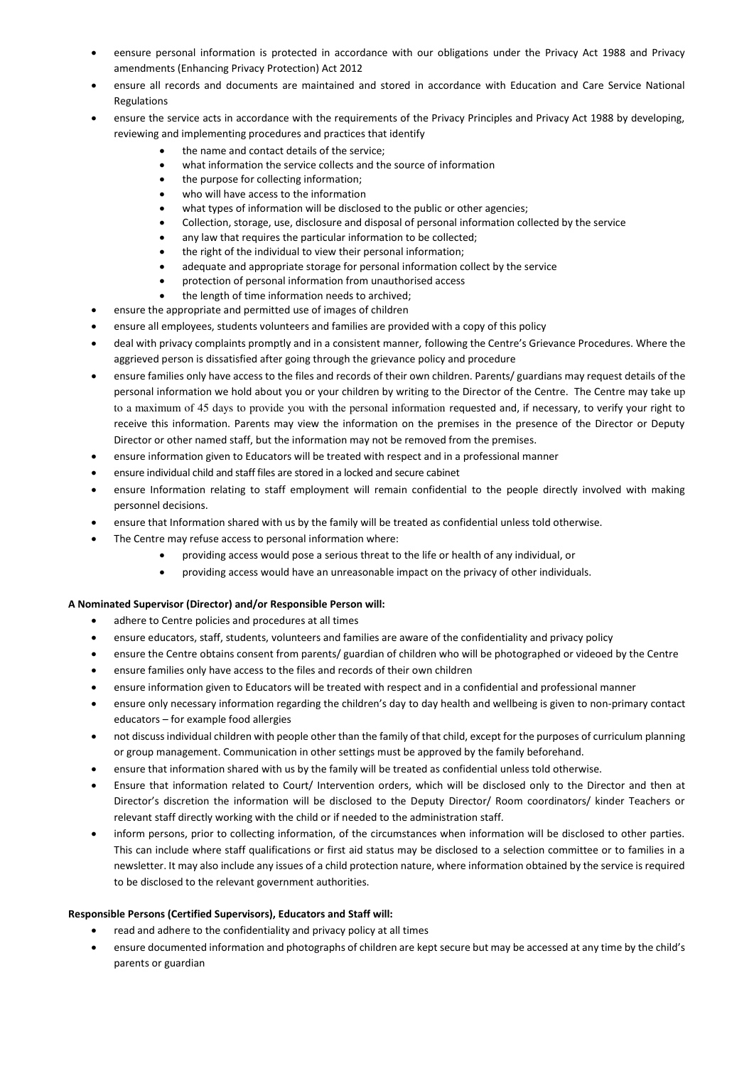- eensure personal information is protected in accordance with our obligations under the Privacy Act 1988 and Privacy amendments (Enhancing Privacy Protection) Act 2012
- ensure all records and documents are maintained and stored in accordance with Education and Care Service National Regulations
- ensure the service acts in accordance with the requirements of the Privacy Principles and Privacy Act 1988 by developing, reviewing and implementing procedures and practices that identify
	- the name and contact details of the service;
	- what information the service collects and the source of information
	- the purpose for collecting information;
	- who will have access to the information
	- what types of information will be disclosed to the public or other agencies;
	- Collection, storage, use, disclosure and disposal of personal information collected by the service
	- any law that requires the particular information to be collected;
	- the right of the individual to view their personal information;
	- adequate and appropriate storage for personal information collect by the service
	- protection of personal information from unauthorised access
	- the length of time information needs to archived;
- ensure the appropriate and permitted use of images of children
- ensure all employees, students volunteers and families are provided with a copy of this policy
- deal with privacy complaints promptly and in a consistent manner*,* following the Centre's Grievance Procedures. Where the aggrieved person is dissatisfied after going through the grievance policy and procedure
- ensure families only have access to the files and records of their own children. Parents/ guardians may request details of the personal information we hold about you or your children by writing to the Director of the Centre. The Centre may take up to a maximum of 45 days to provide you with the personal information requested and, if necessary, to verify your right to receive this information. Parents may view the information on the premises in the presence of the Director or Deputy Director or other named staff, but the information may not be removed from the premises.
- ensure information given to Educators will be treated with respect and in a professional manner
- ensure individual child and staff files are stored in a locked and secure cabinet
- ensure Information relating to staff employment will remain confidential to the people directly involved with making personnel decisions.
- ensure that Information shared with us by the family will be treated as confidential unless told otherwise.
- The Centre may refuse access to personal information where:
	- providing access would pose a serious threat to the life or health of any individual, or
	- providing access would have an unreasonable impact on the privacy of other individuals.

# **A Nominated Supervisor (Director) and/or Responsible Person will:**

- adhere to Centre policies and procedures at all times
- ensure educators, staff, students, volunteers and families are aware of the confidentiality and privacy policy
- ensure the Centre obtains consent from parents/ guardian of children who will be photographed or videoed by the Centre
- ensure families only have access to the files and records of their own children
- ensure information given to Educators will be treated with respect and in a confidential and professional manner
- ensure only necessary information regarding the children's day to day health and wellbeing is given to non-primary contact educators – for example food allergies
- not discuss individual children with people other than the family of that child, except for the purposes of curriculum planning or group management. Communication in other settings must be approved by the family beforehand.
- ensure that information shared with us by the family will be treated as confidential unless told otherwise.
- Ensure that information related to Court/ Intervention orders, which will be disclosed only to the Director and then at Director's discretion the information will be disclosed to the Deputy Director/ Room coordinators/ kinder Teachers or relevant staff directly working with the child or if needed to the administration staff.
- inform persons, prior to collecting information, of the circumstances when information will be disclosed to other parties. This can include where staff qualifications or first aid status may be disclosed to a selection committee or to families in a newsletter. It may also include any issues of a child protection nature, where information obtained by the service is required to be disclosed to the relevant government authorities.

# **Responsible Persons (Certified Supervisors), Educators and Staff will:**

- read and adhere to the confidentiality and privacy policy at all times
- ensure documented information and photographs of children are kept secure but may be accessed at any time by the child's parents or guardian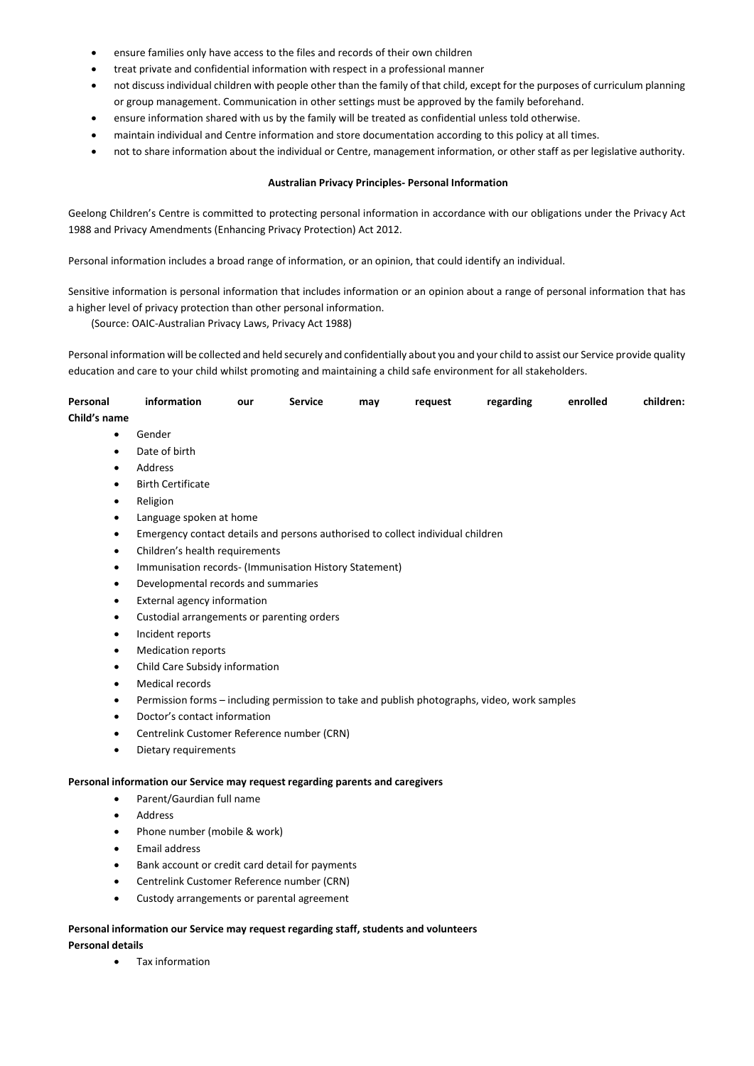- ensure families only have access to the files and records of their own children
- treat private and confidential information with respect in a professional manner
- not discuss individual children with people other than the family of that child, except for the purposes of curriculum planning or group management. Communication in other settings must be approved by the family beforehand.
- ensure information shared with us by the family will be treated as confidential unless told otherwise.
- maintain individual and Centre information and store documentation according to this policy at all times.
- not to share information about the individual or Centre, management information, or other staff as per legislative authority.

# **Australian Privacy Principles- Personal Information**

Geelong Children's Centre is committed to protecting personal information in accordance with our obligations under the Privacy Act 1988 and Privacy Amendments (Enhancing Privacy Protection) Act 2012.

Personal information includes a broad range of information, or an opinion, that could identify an individual.

Sensitive information is personal information that includes information or an opinion about a range of personal information that has a higher level of privacy protection than other personal information.

(Source: OAIC-Australian Privacy Laws, Privacy Act 1988)

Personal information will be collected and held securely and confidentially about you and your child to assist our Service provide quality education and care to your child whilst promoting and maintaining a child safe environment for all stakeholders.

| Personal<br>Child's name | information   | our | <b>Service</b> | mav | reauest | regarding | enrolled | children: |
|--------------------------|---------------|-----|----------------|-----|---------|-----------|----------|-----------|
|                          | Gender        |     |                |     |         |           |          |           |
| $\bullet$                | Date of birth |     |                |     |         |           |          |           |

- Address
- Birth Certificate
- Religion
- Language spoken at home
- Emergency contact details and persons authorised to collect individual children
- Children's health requirements
- Immunisation records- (Immunisation History Statement)
- Developmental records and summaries
- External agency information
- Custodial arrangements or parenting orders
- Incident reports
- Medication reports
- Child Care Subsidy information
- Medical records
- Permission forms including permission to take and publish photographs, video, work samples
- Doctor's contact information
- Centrelink Customer Reference number (CRN)
- Dietary requirements

#### **Personal information our Service may request regarding parents and caregivers**

- Parent/Gaurdian full name
- Address
- Phone number (mobile & work)
- Email address
- Bank account or credit card detail for payments
- Centrelink Customer Reference number (CRN)
- Custody arrangements or parental agreement

# **Personal information our Service may request regarding staff, students and volunteers Personal details**

Tax information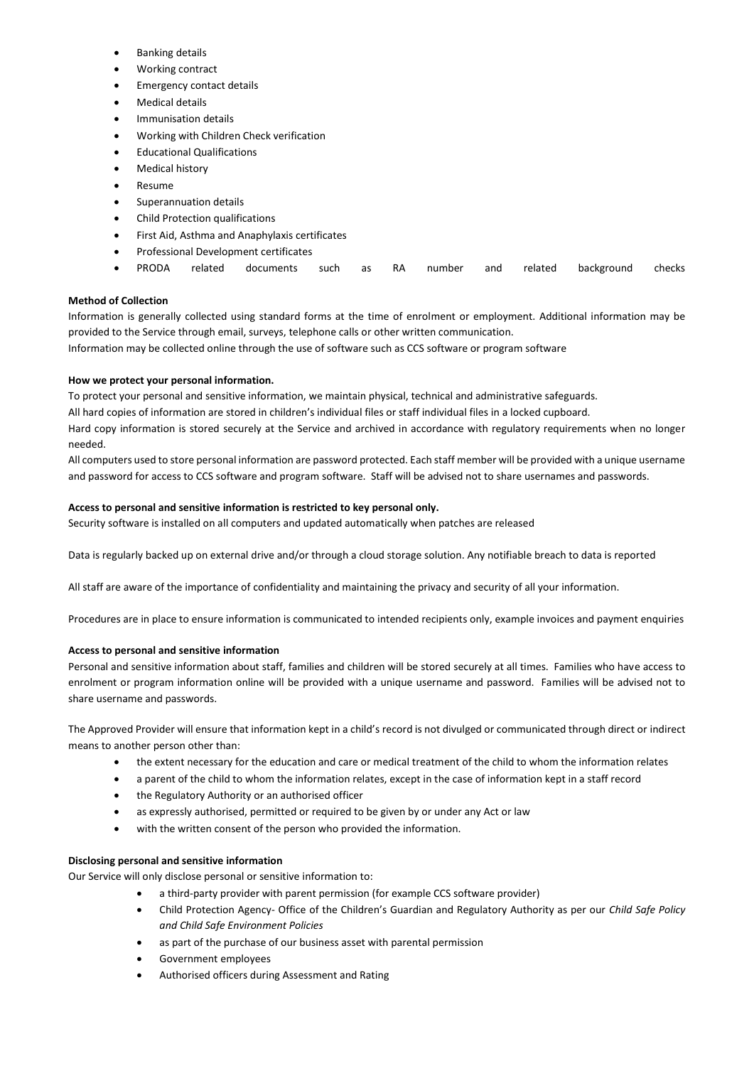- Banking details
- Working contract
- Emergency contact details
- Medical details
- Immunisation details
- Working with Children Check verification
- Educational Qualifications
- Medical history
- Resume
- Superannuation details
- Child Protection qualifications
- First Aid, Asthma and Anaphylaxis certificates
- Professional Development certificates
- PRODA related documents such as RA number and related background checks

# **Method of Collection**

Information is generally collected using standard forms at the time of enrolment or employment. Additional information may be provided to the Service through email, surveys, telephone calls or other written communication.

Information may be collected online through the use of software such as CCS software or program software

# **How we protect your personal information.**

To protect your personal and sensitive information, we maintain physical, technical and administrative safeguards.

All hard copies of information are stored in children's individual files or staff individual files in a locked cupboard.

Hard copy information is stored securely at the Service and archived in accordance with regulatory requirements when no longer needed.

All computers used to store personal information are password protected. Each staff member will be provided with a unique username and password for access to CCS software and program software. Staff will be advised not to share usernames and passwords.

# **Access to personal and sensitive information is restricted to key personal only.**

Security software is installed on all computers and updated automatically when patches are released

Data is regularly backed up on external drive and/or through a cloud storage solution. Any notifiable breach to data is reported

All staff are aware of the importance of confidentiality and maintaining the privacy and security of all your information.

Procedures are in place to ensure information is communicated to intended recipients only, example invoices and payment enquiries

# **Access to personal and sensitive information**

Personal and sensitive information about staff, families and children will be stored securely at all times. Families who have access to enrolment or program information online will be provided with a unique username and password. Families will be advised not to share username and passwords.

The Approved Provider will ensure that information kept in a child's record is not divulged or communicated through direct or indirect means to another person other than:

- the extent necessary for the education and care or medical treatment of the child to whom the information relates
- a parent of the child to whom the information relates, except in the case of information kept in a staff record
- the Regulatory Authority or an authorised officer
- as expressly authorised, permitted or required to be given by or under any Act or law
- with the written consent of the person who provided the information.

# **Disclosing personal and sensitive information**

Our Service will only disclose personal or sensitive information to:

- a third-party provider with parent permission (for example CCS software provider)
- Child Protection Agency- Office of the Children's Guardian and Regulatory Authority as per our *Child Safe Policy and Child Safe Environment Policies*
- as part of the purchase of our business asset with parental permission
- Government employees
- Authorised officers during Assessment and Rating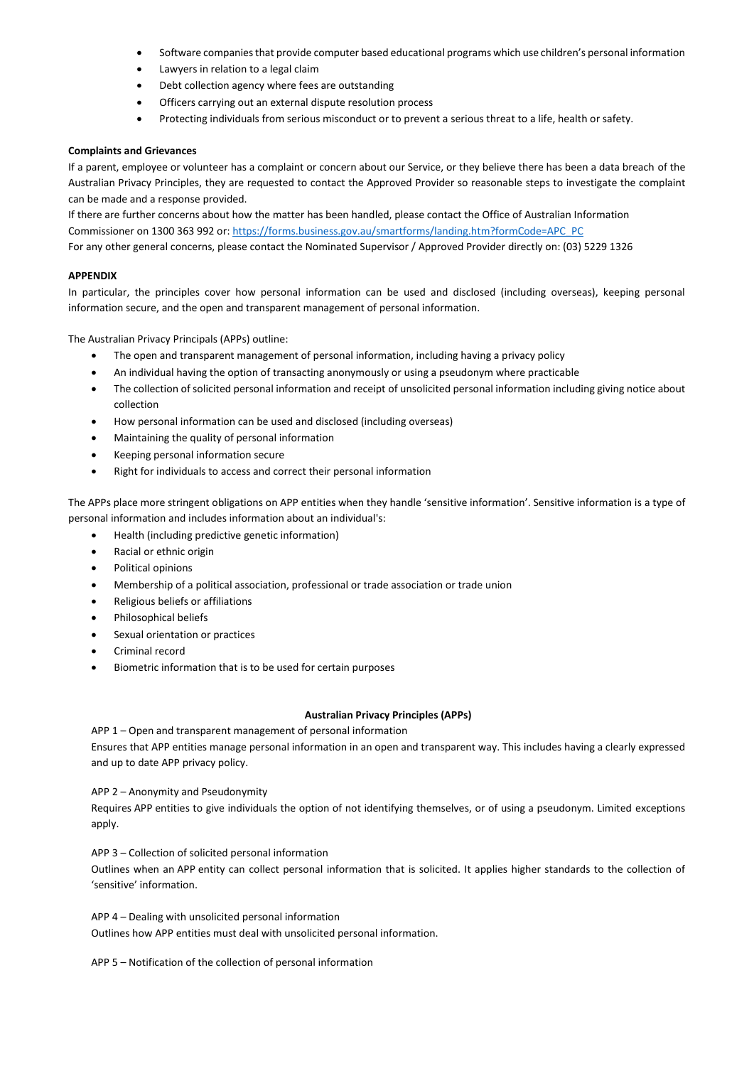- Software companies that provide computer based educational programs which use children's personal information
- Lawyers in relation to a legal claim
- Debt collection agency where fees are outstanding
- Officers carrying out an external dispute resolution process
- Protecting individuals from serious misconduct or to prevent a serious threat to a life, health or safety.

#### **Complaints and Grievances**

If a parent, employee or volunteer has a complaint or concern about our Service, or they believe there has been a data breach of the Australian Privacy Principles, they are requested to contact the Approved Provider so reasonable steps to investigate the complaint can be made and a response provided.

If there are further concerns about how the matter has been handled, please contact the Office of Australian Information Commissioner on 1300 363 992 or: [https://forms.business.gov.au/smartforms/landing.htm?formCode=APC\\_PC](https://forms.business.gov.au/smartforms/landing.htm?formCode=APC_PC) For any other general concerns, please contact the Nominated Supervisor / Approved Provider directly on: (03) 5229 1326

### **APPENDIX**

In particular, the principles cover how personal information can be used and disclosed (including overseas), keeping personal information secure, and the open and transparent management of personal information.

The Australian Privacy Principals (APPs) outline:

- The open and transparent management of personal information, including having a privacy policy
- An individual having the option of transacting anonymously or using a pseudonym where practicable
- The collection of solicited personal information and receipt of unsolicited personal information including giving notice about collection
- How personal information can be used and disclosed (including overseas)
- Maintaining the quality of personal information
- Keeping personal information secure
- Right for individuals to access and correct their personal information

The APPs place more stringent obligations on APP entities when they handle 'sensitive information'. Sensitive information is a type of personal information and includes information about an individual's:

- Health (including predictive genetic information)
- Racial or ethnic origin
- Political opinions
- Membership of a political association, professional or trade association or trade union
- Religious beliefs or affiliations
- Philosophical beliefs
- Sexual orientation or practices
- Criminal record
- Biometric information that is to be used for certain purposes

### **Australian Privacy Principles (APPs)**

APP 1 – Open and transparent management of personal information

Ensures that APP entities manage personal information in an open and transparent way. This includes having a clearly expressed and up to date APP privacy policy.

APP 2 – Anonymity and Pseudonymity

Requires APP entities to give individuals the option of not identifying themselves, or of using a pseudonym. Limited exceptions apply.

### APP 3 – Collection of solicited personal information

Outlines when an APP entity can collect personal information that is solicited. It applies higher standards to the collection of 'sensitive' information.

APP 4 – Dealing with unsolicited personal information Outlines how APP entities must deal with unsolicited personal information.

APP 5 – Notification of the collection of personal information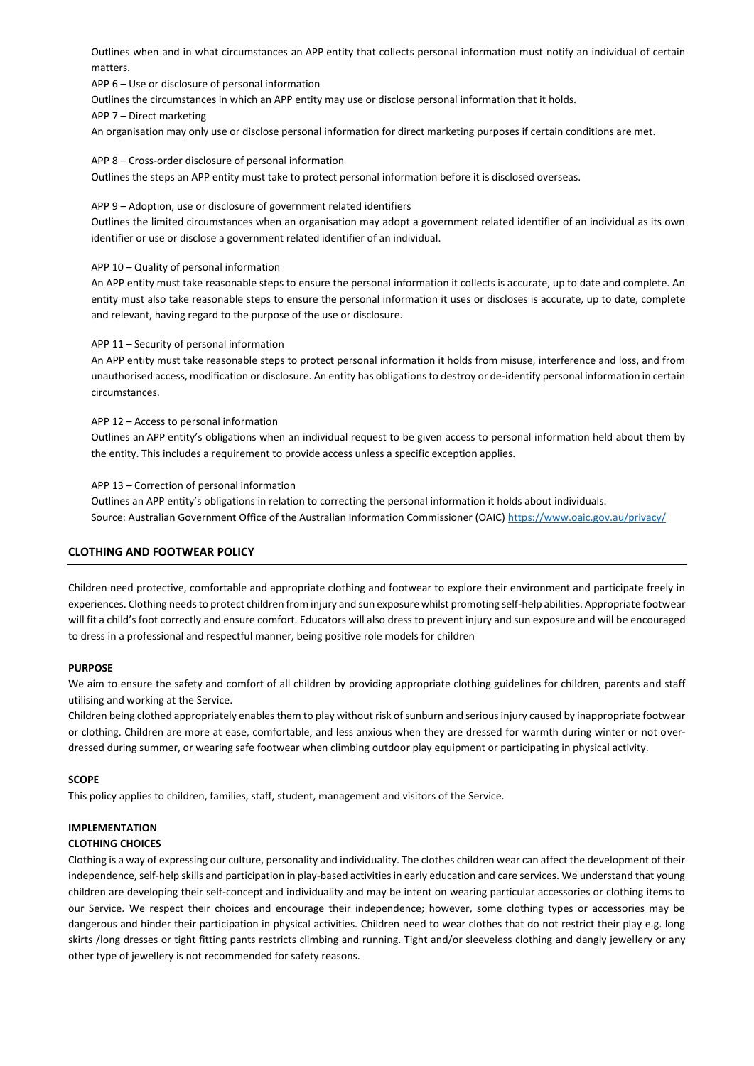Outlines when and in what circumstances an APP entity that collects personal information must notify an individual of certain matters.

APP 6 – Use or disclosure of personal information

Outlines the circumstances in which an APP entity may use or disclose personal information that it holds.

APP 7 – Direct marketing

An organisation may only use or disclose personal information for direct marketing purposes if certain conditions are met.

APP 8 – Cross-order disclosure of personal information Outlines the steps an APP entity must take to protect personal information before it is disclosed overseas.

#### APP 9 – Adoption, use or disclosure of government related identifiers

Outlines the limited circumstances when an organisation may adopt a government related identifier of an individual as its own identifier or use or disclose a government related identifier of an individual.

### APP 10 – Quality of personal information

An APP entity must take reasonable steps to ensure the personal information it collects is accurate, up to date and complete. An entity must also take reasonable steps to ensure the personal information it uses or discloses is accurate, up to date, complete and relevant, having regard to the purpose of the use or disclosure.

### APP 11 – Security of personal information

An APP entity must take reasonable steps to protect personal information it holds from misuse, interference and loss, and from unauthorised access, modification or disclosure. An entity has obligations to destroy or de-identify personal information in certain circumstances.

### APP 12 – Access to personal information

Outlines an APP entity's obligations when an individual request to be given access to personal information held about them by the entity. This includes a requirement to provide access unless a specific exception applies.

### APP 13 – Correction of personal information

Outlines an APP entity's obligations in relation to correcting the personal information it holds about individuals. Source: Australian Government Office of the Australian Information Commissioner (OAIC) <https://www.oaic.gov.au/privacy/>

# **CLOTHING AND FOOTWEAR POLICY**

Children need protective, comfortable and appropriate clothing and footwear to explore their environment and participate freely in experiences. Clothing needs to protect children from injury and sun exposure whilst promoting self-help abilities. Appropriate footwear will fit a child's foot correctly and ensure comfort. Educators will also dress to prevent injury and sun exposure and will be encouraged to dress in a professional and respectful manner, being positive role models for children

# **PURPOSE**

We aim to ensure the safety and comfort of all children by providing appropriate clothing guidelines for children, parents and staff utilising and working at the Service.

Children being clothed appropriately enables them to play without risk of sunburn and serious injury caused by inappropriate footwear or clothing. Children are more at ease, comfortable, and less anxious when they are dressed for warmth during winter or not overdressed during summer, or wearing safe footwear when climbing outdoor play equipment or participating in physical activity.

# **SCOPE**

This policy applies to children, families, staff, student, management and visitors of the Service.

# **IMPLEMENTATION**

# **CLOTHING CHOICES**

Clothing is a way of expressing our culture, personality and individuality. The clothes children wear can affect the development of their independence, self-help skills and participation in play-based activities in early education and care services. We understand that young children are developing their self-concept and individuality and may be intent on wearing particular accessories or clothing items to our Service. We respect their choices and encourage their independence; however, some clothing types or accessories may be dangerous and hinder their participation in physical activities. Children need to wear clothes that do not restrict their play e.g. long skirts /long dresses or tight fitting pants restricts climbing and running. Tight and/or sleeveless clothing and dangly jewellery or any other type of jewellery is not recommended for safety reasons.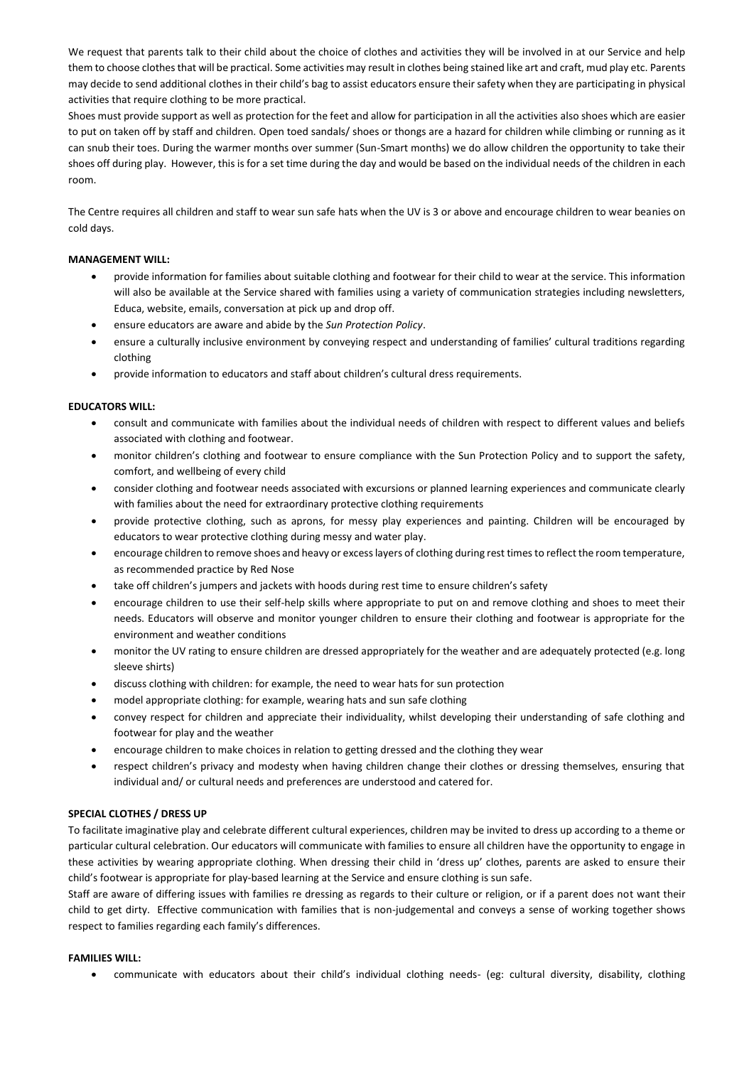We request that parents talk to their child about the choice of clothes and activities they will be involved in at our Service and help them to choose clothes that will be practical. Some activities may result in clothes being stained like art and craft, mud play etc. Parents may decide to send additional clothes in their child's bag to assist educators ensure their safety when they are participating in physical activities that require clothing to be more practical.

Shoes must provide support as well as protection for the feet and allow for participation in all the activities also shoes which are easier to put on taken off by staff and children. Open toed sandals/ shoes or thongs are a hazard for children while climbing or running as it can snub their toes. During the warmer months over summer (Sun-Smart months) we do allow children the opportunity to take their shoes off during play. However, this is for a set time during the day and would be based on the individual needs of the children in each room.

The Centre requires all children and staff to wear sun safe hats when the UV is 3 or above and encourage children to wear beanies on cold days.

# **MANAGEMENT WILL:**

- provide information for families about suitable clothing and footwear for their child to wear at the service. This information will also be available at the Service shared with families using a variety of communication strategies including newsletters, Educa, website, emails, conversation at pick up and drop off.
- ensure educators are aware and abide by the *Sun Protection Policy*.
- ensure a culturally inclusive environment by conveying respect and understanding of families' cultural traditions regarding clothing
- provide information to educators and staff about children's cultural dress requirements.

# **EDUCATORS WILL:**

- consult and communicate with families about the individual needs of children with respect to different values and beliefs associated with clothing and footwear.
- monitor children's clothing and footwear to ensure compliance with the Sun Protection Policy and to support the safety, comfort, and wellbeing of every child
- consider clothing and footwear needs associated with excursions or planned learning experiences and communicate clearly with families about the need for extraordinary protective clothing requirements
- provide protective clothing, such as aprons, for messy play experiences and painting. Children will be encouraged by educators to wear protective clothing during messy and water play.
- encourage children to remove shoes and heavy or excess layers of clothing during rest times to reflect the room temperature, as recommended practice by Red Nose
- take off children's jumpers and jackets with hoods during rest time to ensure children's safety
- encourage children to use their self-help skills where appropriate to put on and remove clothing and shoes to meet their needs. Educators will observe and monitor younger children to ensure their clothing and footwear is appropriate for the environment and weather conditions
- monitor the UV rating to ensure children are dressed appropriately for the weather and are adequately protected (e.g. long sleeve shirts)
- discuss clothing with children: for example, the need to wear hats for sun protection
- model appropriate clothing: for example, wearing hats and sun safe clothing
- convey respect for children and appreciate their individuality, whilst developing their understanding of safe clothing and footwear for play and the weather
- encourage children to make choices in relation to getting dressed and the clothing they wear
- respect children's privacy and modesty when having children change their clothes or dressing themselves, ensuring that individual and/ or cultural needs and preferences are understood and catered for.

# **SPECIAL CLOTHES / DRESS UP**

To facilitate imaginative play and celebrate different cultural experiences, children may be invited to dress up according to a theme or particular cultural celebration. Our educators will communicate with families to ensure all children have the opportunity to engage in these activities by wearing appropriate clothing. When dressing their child in 'dress up' clothes, parents are asked to ensure their child's footwear is appropriate for play-based learning at the Service and ensure clothing is sun safe.

Staff are aware of differing issues with families re dressing as regards to their culture or religion, or if a parent does not want their child to get dirty. Effective communication with families that is non-judgemental and conveys a sense of working together shows respect to families regarding each family's differences.

# **FAMILIES WILL:**

communicate with educators about their child's individual clothing needs- (eg: cultural diversity, disability, clothing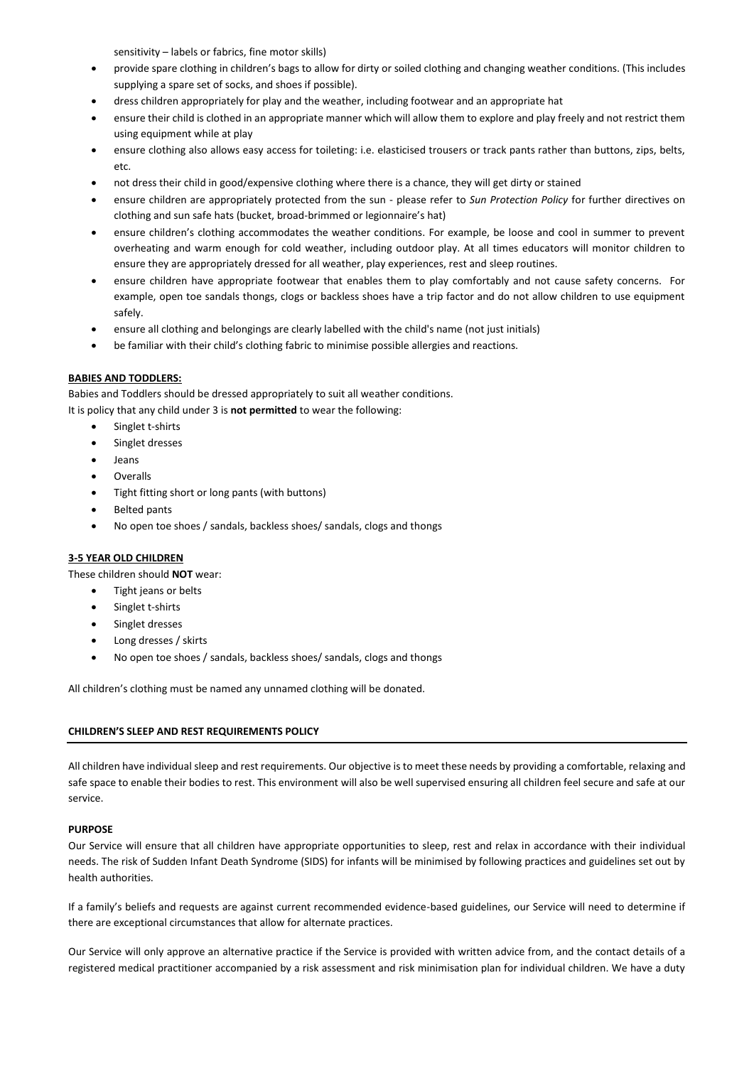sensitivity – labels or fabrics, fine motor skills)

- provide spare clothing in children's bags to allow for dirty or soiled clothing and changing weather conditions. (This includes supplying a spare set of socks, and shoes if possible).
- dress children appropriately for play and the weather, including footwear and an appropriate hat
- ensure their child is clothed in an appropriate manner which will allow them to explore and play freely and not restrict them using equipment while at play
- ensure clothing also allows easy access for toileting: i.e. elasticised trousers or track pants rather than buttons, zips, belts, etc.
- not dress their child in good/expensive clothing where there is a chance, they will get dirty or stained
- ensure children are appropriately protected from the sun please refer to *Sun Protection Policy* for further directives on clothing and sun safe hats (bucket, broad-brimmed or legionnaire's hat)
- ensure children's clothing accommodates the weather conditions. For example, be loose and cool in summer to prevent overheating and warm enough for cold weather, including outdoor play. At all times educators will monitor children to ensure they are appropriately dressed for all weather, play experiences, rest and sleep routines.
- ensure children have appropriate footwear that enables them to play comfortably and not cause safety concerns. For example, open toe sandals thongs, clogs or backless shoes have a trip factor and do not allow children to use equipment safely.
- ensure all clothing and belongings are clearly labelled with the child's name (not just initials)
- be familiar with their child's clothing fabric to minimise possible allergies and reactions.

# **BABIES AND TODDLERS:**

Babies and Toddlers should be dressed appropriately to suit all weather conditions. It is policy that any child under 3 is **not permitted** to wear the following:

- Singlet t-shirts
- Singlet dresses
- Jeans
- Overalls
- Tight fitting short or long pants (with buttons)
- Belted pants
- No open toe shoes / sandals, backless shoes/ sandals, clogs and thongs

# **3-5 YEAR OLD CHILDREN**

These children should **NOT** wear:

- Tight jeans or belts
- Singlet t-shirts
- Singlet dresses
- Long dresses / skirts
- No open toe shoes / sandals, backless shoes/ sandals, clogs and thongs

All children's clothing must be named any unnamed clothing will be donated.

# **CHILDREN'S SLEEP AND REST REQUIREMENTS POLICY**

All children have individual sleep and rest requirements. Our objective is to meet these needs by providing a comfortable, relaxing and safe space to enable their bodies to rest. This environment will also be well supervised ensuring all children feel secure and safe at our service.

# **PURPOSE**

Our Service will ensure that all children have appropriate opportunities to sleep, rest and relax in accordance with their individual needs. The risk of Sudden Infant Death Syndrome (SIDS) for infants will be minimised by following practices and guidelines set out by health authorities.

If a family's beliefs and requests are against current recommended evidence-based guidelines, our Service will need to determine if there are exceptional circumstances that allow for alternate practices.

Our Service will only approve an alternative practice if the Service is provided with written advice from, and the contact details of a registered medical practitioner accompanied by a risk assessment and risk minimisation plan for individual children. We have a duty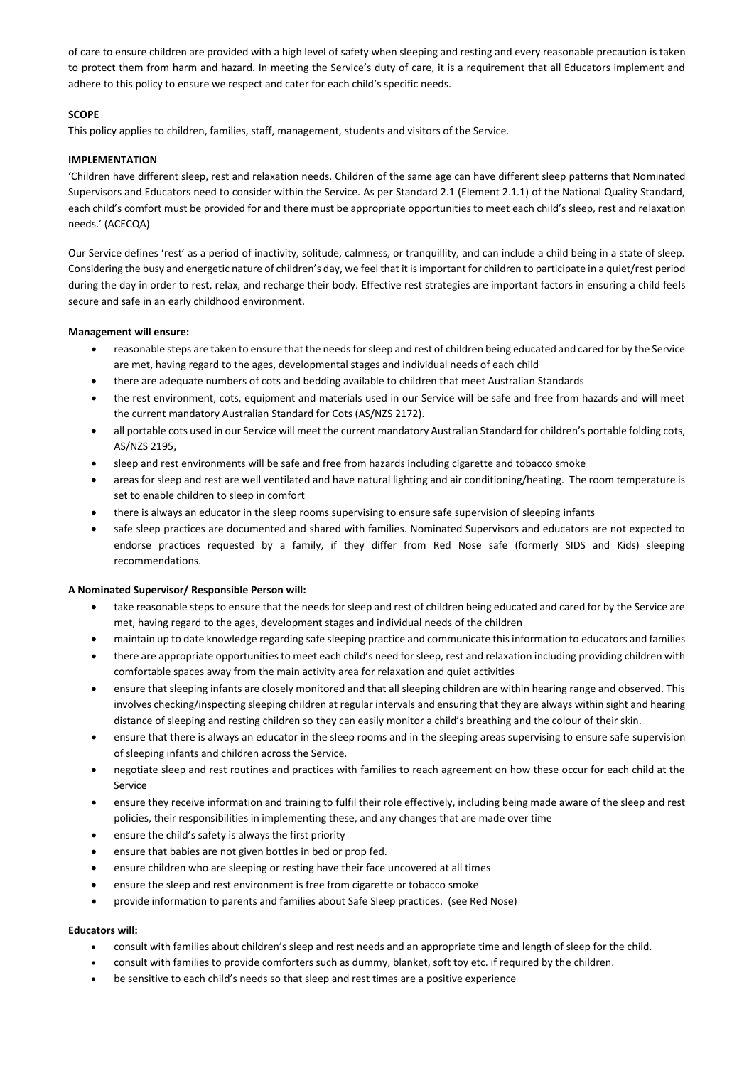of care to ensure children are provided with a high level of safety when sleeping and resting and every reasonable precaution is taken to protect them from harm and hazard. In meeting the Service's duty of care, it is a requirement that all Educators implement and adhere to this policy to ensure we respect and cater for each child's specific needs.

# **SCOPE**

This policy applies to children, families, staff, management, students and visitors of the Service.

# **IMPLEMENTATION**

'Children have different sleep, rest and relaxation needs. Children of the same age can have different sleep patterns that Nominated Supervisors and Educators need to consider within the Service. As per Standard 2.1 (Element 2.1.1) of the National Quality Standard, each child's comfort must be provided for and there must be appropriate opportunities to meet each child's sleep, rest and relaxation needs.' (ACECQA)

Our Service defines 'rest' as a period of inactivity, solitude, calmness, or tranquillity, and can include a child being in a state of sleep. Considering the busy and energetic nature of children's day, we feel that it is important for children to participate in a quiet/rest period during the day in order to rest, relax, and recharge their body. Effective rest strategies are important factors in ensuring a child feels secure and safe in an early childhood environment.

# **Management will ensure:**

- reasonable steps are taken to ensure that the needs for sleep and rest of children being educated and cared for by the Service are met, having regard to the ages, developmental stages and individual needs of each child
- there are adequate numbers of cots and bedding available to children that meet Australian Standards
- the rest environment, cots, equipment and materials used in our Service will be safe and free from hazards and will meet the current mandatory Australian Standard for Cots (AS/NZS 2172).
- all portable cots used in our Service will meet the current mandatory Australian Standard for children's portable folding cots, AS/NZS 2195,
- sleep and rest environments will be safe and free from hazards including cigarette and tobacco smoke
- areas for sleep and rest are well ventilated and have natural lighting and air conditioning/heating. The room temperature is set to enable children to sleep in comfort
- there is always an educator in the sleep rooms supervising to ensure safe supervision of sleeping infants
- safe sleep practices are documented and shared with families. Nominated Supervisors and educators are not expected to endorse practices requested by a family, if they differ from Red Nose safe (formerly SIDS and Kids) sleeping recommendations.

# **A Nominated Supervisor/ Responsible Person will:**

- take reasonable steps to ensure that the needs for sleep and rest of children being educated and cared for by the Service are met, having regard to the ages, development stages and individual needs of the children
- maintain up to date knowledge regarding safe sleeping practice and communicate this information to educators and families
- there are appropriate opportunities to meet each child's need for sleep, rest and relaxation including providing children with comfortable spaces away from the main activity area for relaxation and quiet activities
- ensure that sleeping infants are closely monitored and that all sleeping children are within hearing range and observed. This involves checking/inspecting sleeping children at regular intervals and ensuring that they are always within sight and hearing distance of sleeping and resting children so they can easily monitor a child's breathing and the colour of their skin.
- ensure that there is always an educator in the sleep rooms and in the sleeping areas supervising to ensure safe supervision of sleeping infants and children across the Service.
- negotiate sleep and rest routines and practices with families to reach agreement on how these occur for each child at the Service
- ensure they receive information and training to fulfil their role effectively, including being made aware of the sleep and rest policies, their responsibilities in implementing these, and any changes that are made over time
- ensure the child's safety is always the first priority
- ensure that babies are not given bottles in bed or prop fed.
- ensure children who are sleeping or resting have their face uncovered at all times
- ensure the sleep and rest environment is free from cigarette or tobacco smoke
- provide information to parents and families about Safe Sleep practices. (see Red Nose)

# **Educators will:**

- consult with families about children's sleep and rest needs and an appropriate time and length of sleep for the child.
- consult with families to provide comforters such as dummy, blanket, soft toy etc. if required by the children.
- be sensitive to each child's needs so that sleep and rest times are a positive experience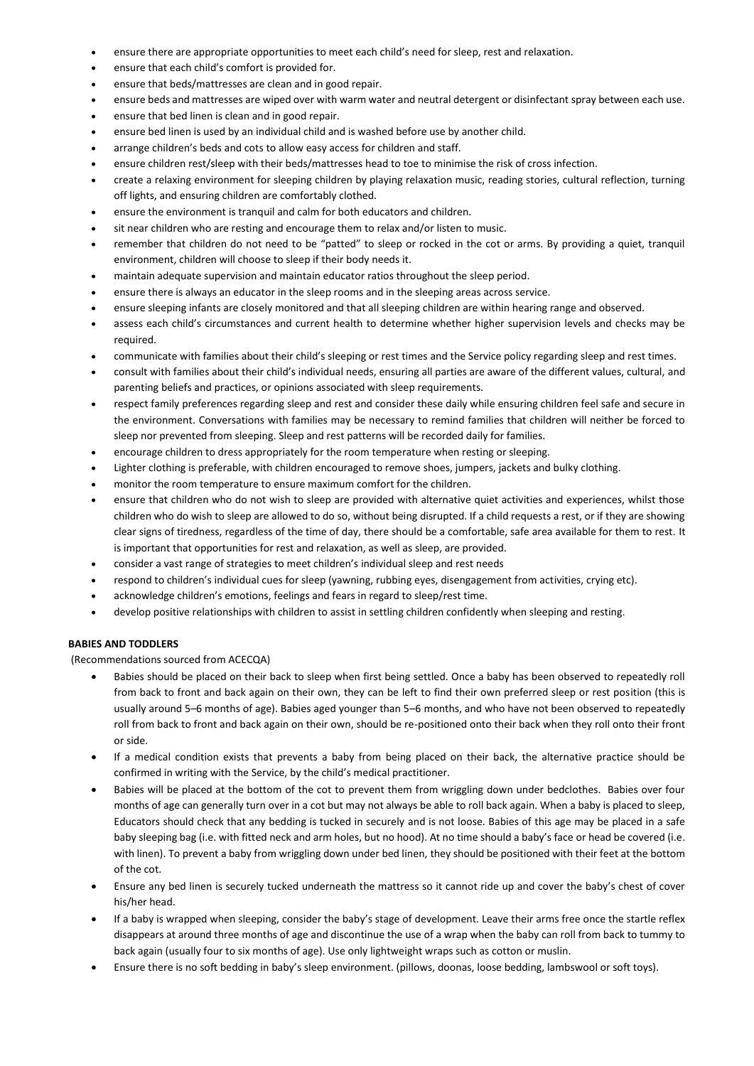- ensure there are appropriate opportunities to meet each child's need for sleep, rest and relaxation.
- ensure that each child's comfort is provided for.
- ensure that beds/mattresses are clean and in good repair.
- ensure beds and mattresses are wiped over with warm water and neutral detergent or disinfectant spray between each use.
- ensure that bed linen is clean and in good repair.
- ensure bed linen is used by an individual child and is washed before use by another child.
- arrange children's beds and cots to allow easy access for children and staff.
- ensure children rest/sleep with their beds/mattresses head to toe to minimise the risk of cross infection.
- create a relaxing environment for sleeping children by playing relaxation music, reading stories, cultural reflection, turning off lights, and ensuring children are comfortably clothed.
- ensure the environment is tranquil and calm for both educators and children.
- sit near children who are resting and encourage them to relax and/or listen to music.
- remember that children do not need to be "patted" to sleep or rocked in the cot or arms. By providing a quiet, tranquil environment, children will choose to sleep if their body needs it.
- maintain adequate supervision and maintain educator ratios throughout the sleep period.
- ensure there is always an educator in the sleep rooms and in the sleeping areas across service.
- ensure sleeping infants are closely monitored and that all sleeping children are within hearing range and observed.
- assess each child's circumstances and current health to determine whether higher supervision levels and checks may be required.
- communicate with families about their child's sleeping or rest times and the Service policy regarding sleep and rest times.
- consult with families about their child's individual needs, ensuring all parties are aware of the different values, cultural, and parenting beliefs and practices, or opinions associated with sleep requirements.
- respect family preferences regarding sleep and rest and consider these daily while ensuring children feel safe and secure in the environment. Conversations with families may be necessary to remind families that children will neither be forced to sleep nor prevented from sleeping. Sleep and rest patterns will be recorded daily for families.
- encourage children to dress appropriately for the room temperature when resting or sleeping.
- Lighter clothing is preferable, with children encouraged to remove shoes, jumpers, jackets and bulky clothing.
- monitor the room temperature to ensure maximum comfort for the children.
- ensure that children who do not wish to sleep are provided with alternative quiet activities and experiences, whilst those children who do wish to sleep are allowed to do so, without being disrupted. If a child requests a rest, or if they are showing clear signs of tiredness, regardless of the time of day, there should be a comfortable, safe area available for them to rest. It is important that opportunities for rest and relaxation, as well as sleep, are provided.
- consider a vast range of strategies to meet children's individual sleep and rest needs
- respond to children's individual cues for sleep (yawning, rubbing eyes, disengagement from activities, crying etc).
- acknowledge children's emotions, feelings and fears in regard to sleep/rest time.
- develop positive relationships with children to assist in settling children confidently when sleeping and resting.

# **BABIES AND TODDLERS**

(Recommendations sourced from ACECQA)

- Babies should be placed on their back to sleep when first being settled. Once a baby has been observed to repeatedly roll from back to front and back again on their own, they can be left to find their own preferred sleep or rest position (this is usually around 5–6 months of age). Babies aged younger than 5–6 months, and who have not been observed to repeatedly roll from back to front and back again on their own, should be re-positioned onto their back when they roll onto their front or side.
- If a medical condition exists that prevents a baby from being placed on their back, the alternative practice should be confirmed in writing with the Service, by the child's medical practitioner.
- Babies will be placed at the bottom of the cot to prevent them from wriggling down under bedclothes. Babies over four months of age can generally turn over in a cot but may not always be able to roll back again. When a baby is placed to sleep, Educators should check that any bedding is tucked in securely and is not loose. Babies of this age may be placed in a safe baby sleeping bag (i.e. with fitted neck and arm holes, but no hood). At no time should a baby's face or head be covered (i.e. with linen). To prevent a baby from wriggling down under bed linen, they should be positioned with their feet at the bottom of the cot.
- Ensure any bed linen is securely tucked underneath the mattress so it cannot ride up and cover the baby's chest of cover his/her head.
- If a baby is wrapped when sleeping, consider the baby's stage of development. Leave their arms free once the startle reflex disappears at around three months of age and discontinue the use of a wrap when the baby can roll from back to tummy to back again (usually four to six months of age). Use only lightweight wraps such as cotton or muslin.
- Ensure there is no soft bedding in baby's sleep environment. (pillows, doonas, loose bedding, lambswool or soft toys).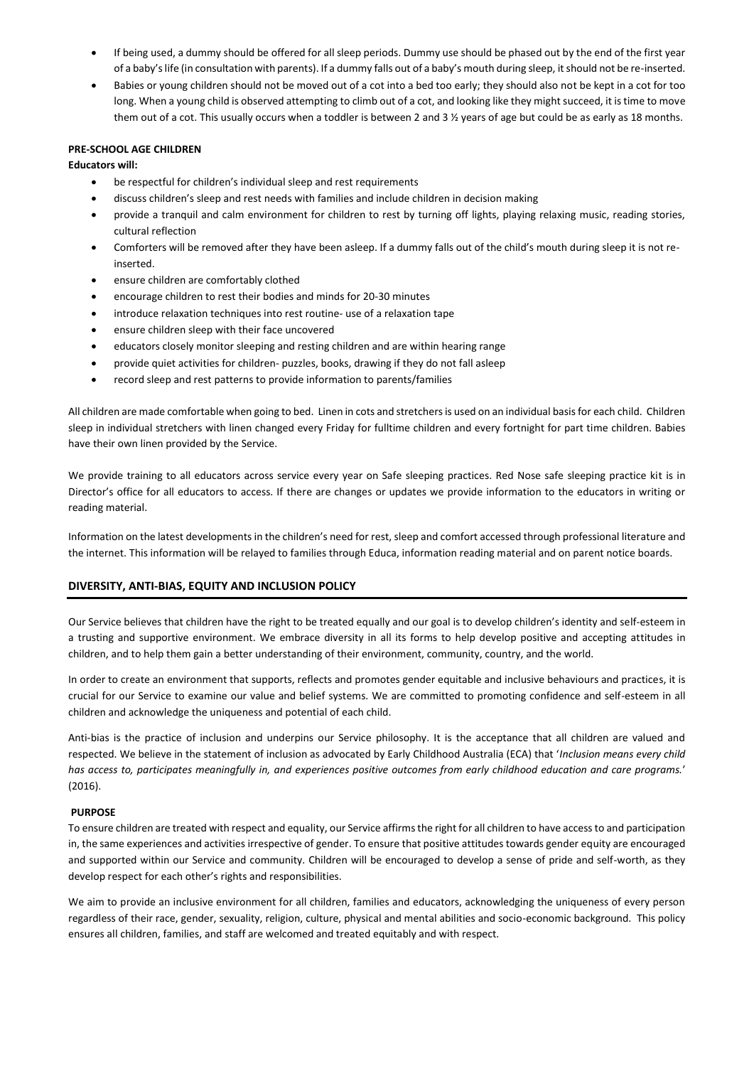- If being used, a dummy should be offered for all sleep periods. Dummy use should be phased out by the end of the first year of a baby's life (in consultation with parents). If a dummy falls out of a baby's mouth during sleep, it should not be re-inserted.
- Babies or young children should not be moved out of a cot into a bed too early; they should also not be kept in a cot for too long. When a young child is observed attempting to climb out of a cot, and looking like they might succeed, it is time to move them out of a cot. This usually occurs when a toddler is between 2 and 3 % years of age but could be as early as 18 months.

# **PRE-SCHOOL AGE CHILDREN**

**Educators will:** 

- be respectful for children's individual sleep and rest requirements
- discuss children's sleep and rest needs with families and include children in decision making
- provide a tranquil and calm environment for children to rest by turning off lights, playing relaxing music, reading stories, cultural reflection
- Comforters will be removed after they have been asleep. If a dummy falls out of the child's mouth during sleep it is not reinserted.
- ensure children are comfortably clothed
- encourage children to rest their bodies and minds for 20-30 minutes
- introduce relaxation techniques into rest routine- use of a relaxation tape
- ensure children sleep with their face uncovered
- educators closely monitor sleeping and resting children and are within hearing range
- provide quiet activities for children- puzzles, books, drawing if they do not fall asleep
- record sleep and rest patterns to provide information to parents/families

All children are made comfortable when going to bed. Linen in cots and stretchers is used on an individual basis for each child. Children sleep in individual stretchers with linen changed every Friday for fulltime children and every fortnight for part time children. Babies have their own linen provided by the Service.

We provide training to all educators across service every year on Safe sleeping practices. Red Nose safe sleeping practice kit is in Director's office for all educators to access. If there are changes or updates we provide information to the educators in writing or reading material.

Information on the latest developments in the children's need for rest, sleep and comfort accessed through professional literature and the internet. This information will be relayed to families through Educa, information reading material and on parent notice boards.

# **DIVERSITY, ANTI-BIAS, EQUITY AND INCLUSION POLICY**

Our Service believes that children have the right to be treated equally and our goal is to develop children's identity and self-esteem in a trusting and supportive environment. We embrace diversity in all its forms to help develop positive and accepting attitudes in children, and to help them gain a better understanding of their environment, community, country, and the world.

In order to create an environment that supports, reflects and promotes gender equitable and inclusive behaviours and practices, it is crucial for our Service to examine our value and belief systems. We are committed to promoting confidence and self-esteem in all children and acknowledge the uniqueness and potential of each child.

Anti-bias is the practice of inclusion and underpins our Service philosophy. It is the acceptance that all children are valued and respected. We believe in the statement of inclusion as advocated by Early Childhood Australia (ECA) that '*Inclusion means every child has access to, participates meaningfully in, and experiences positive outcomes from early childhood education and care programs.*' (2016).

# **PURPOSE**

To ensure children are treated with respect and equality, our Service affirms the right for all children to have access to and participation in, the same experiences and activities irrespective of gender. To ensure that positive attitudes towards gender equity are encouraged and supported within our Service and community. Children will be encouraged to develop a sense of pride and self-worth, as they develop respect for each other's rights and responsibilities.

We aim to provide an inclusive environment for all children, families and educators, acknowledging the uniqueness of every person regardless of their race, gender, sexuality, religion, culture, physical and mental abilities and socio-economic background. This policy ensures all children, families, and staff are welcomed and treated equitably and with respect.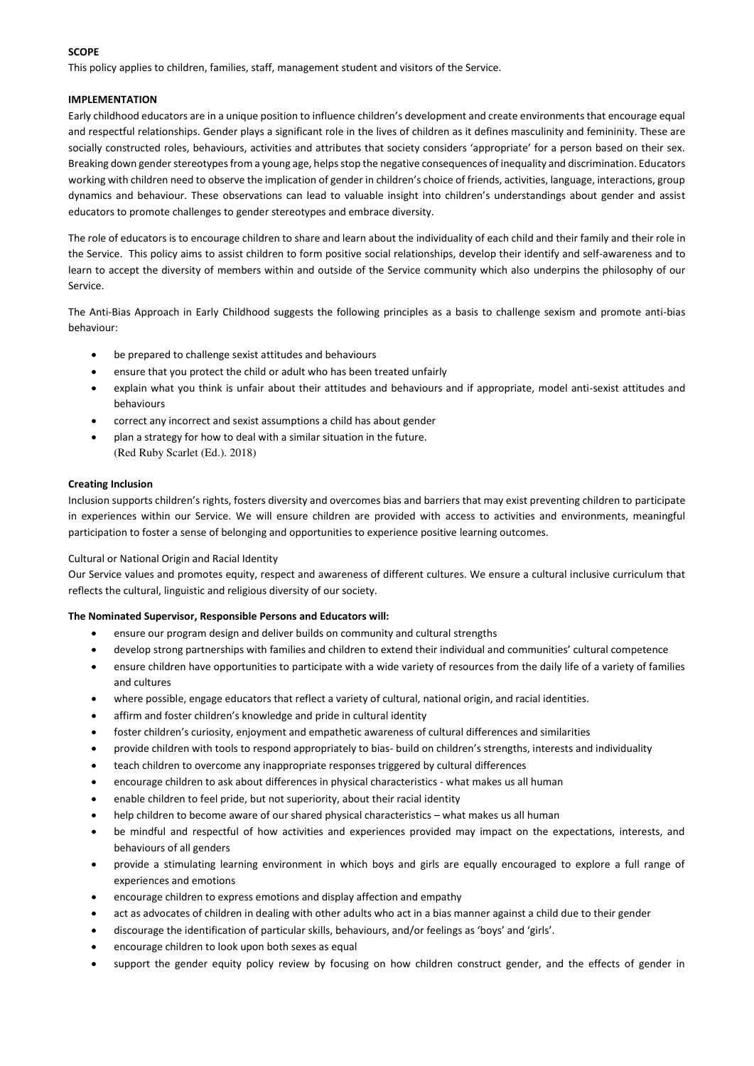# **SCOPE**

This policy applies to children, families, staff, management student and visitors of the Service.

# **IMPLEMENTATION**

Early childhood educators are in a unique position to influence children's development and create environments that encourage equal and respectful relationships. Gender plays a significant role in the lives of children as it defines masculinity and femininity. These are socially constructed roles, behaviours, activities and attributes that society considers 'appropriate' for a person based on their sex. Breaking down gender stereotypes from a young age, helps stop the negative consequences of inequality and discrimination. Educators working with children need to observe the implication of gender in children's choice of friends, activities, language, interactions, group dynamics and behaviour. These observations can lead to valuable insight into children's understandings about gender and assist educators to promote challenges to gender stereotypes and embrace diversity.

The role of educators is to encourage children to share and learn about the individuality of each child and their family and their role in the Service. This policy aims to assist children to form positive social relationships, develop their identify and self-awareness and to learn to accept the diversity of members within and outside of the Service community which also underpins the philosophy of our Service.

The Anti-Bias Approach in Early Childhood suggests the following principles as a basis to challenge sexism and promote anti-bias behaviour:

- be prepared to challenge sexist attitudes and behaviours
- ensure that you protect the child or adult who has been treated unfairly
- explain what you think is unfair about their attitudes and behaviours and if appropriate, model anti-sexist attitudes and behaviours
- correct any incorrect and sexist assumptions a child has about gender
- plan a strategy for how to deal with a similar situation in the future. (Red Ruby Scarlet (Ed.). 2018)

#### **Creating Inclusion**

Inclusion supports children's rights, fosters diversity and overcomes bias and barriers that may exist preventing children to participate in experiences within our Service. We will ensure children are provided with access to activities and environments, meaningful participation to foster a sense of belonging and opportunities to experience positive learning outcomes.

Cultural or National Origin and Racial Identity

Our Service values and promotes equity, respect and awareness of different cultures. We ensure a cultural inclusive curriculum that reflects the cultural, linguistic and religious diversity of our society.

#### **The Nominated Supervisor, Responsible Persons and Educators will:**

- ensure our program design and deliver builds on community and cultural strengths
- develop strong partnerships with families and children to extend their individual and communities' cultural competence
- ensure children have opportunities to participate with a wide variety of resources from the daily life of a variety of families and cultures
- where possible, engage educators that reflect a variety of cultural, national origin, and racial identities.
- affirm and foster children's knowledge and pride in cultural identity
- foster children's curiosity, enjoyment and empathetic awareness of cultural differences and similarities
- provide children with tools to respond appropriately to bias- build on children's strengths, interests and individuality
- teach children to overcome any inappropriate responses triggered by cultural differences
- encourage children to ask about differences in physical characteristics what makes us all human
- enable children to feel pride, but not superiority, about their racial identity
- help children to become aware of our shared physical characteristics what makes us all human
- be mindful and respectful of how activities and experiences provided may impact on the expectations, interests, and behaviours of all genders
- provide a stimulating learning environment in which boys and girls are equally encouraged to explore a full range of experiences and emotions
- encourage children to express emotions and display affection and empathy
- act as advocates of children in dealing with other adults who act in a bias manner against a child due to their gender
- discourage the identification of particular skills, behaviours, and/or feelings as 'boys' and 'girls'.
- encourage children to look upon both sexes as equal
- support the gender equity policy review by focusing on how children construct gender, and the effects of gender in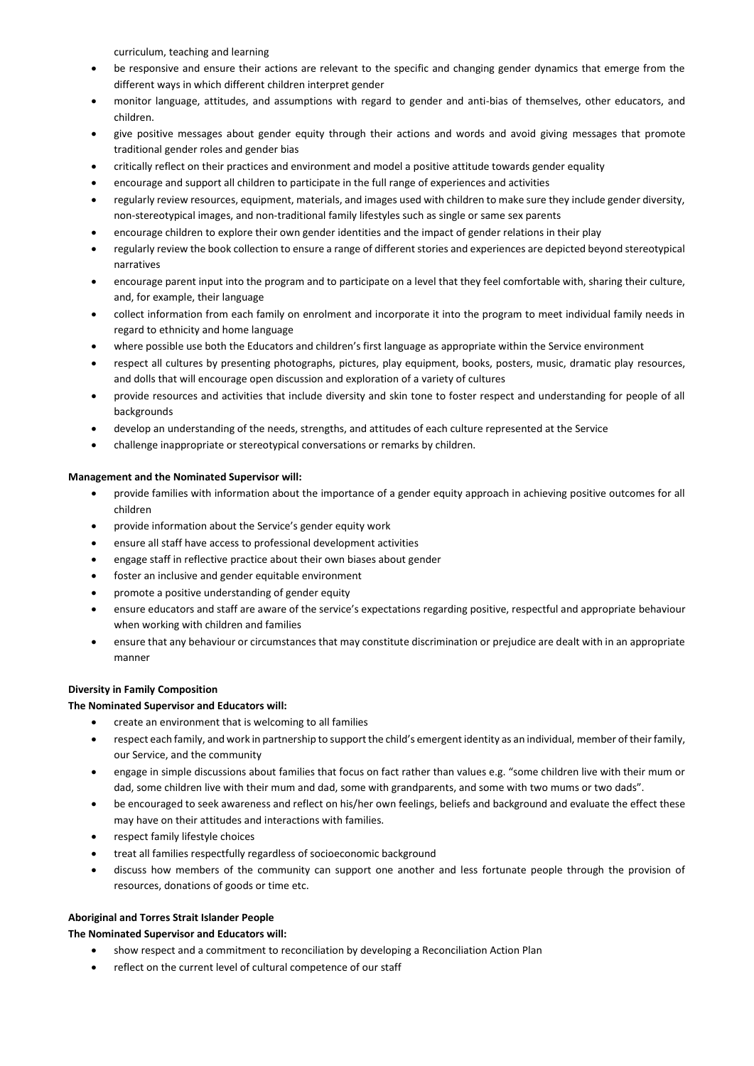curriculum, teaching and learning

- be responsive and ensure their actions are relevant to the specific and changing gender dynamics that emerge from the different ways in which different children interpret gender
- monitor language, attitudes, and assumptions with regard to gender and anti-bias of themselves, other educators, and children.
- give positive messages about gender equity through their actions and words and avoid giving messages that promote traditional gender roles and gender bias
- critically reflect on their practices and environment and model a positive attitude towards gender equality
- encourage and support all children to participate in the full range of experiences and activities
- regularly review resources, equipment, materials, and images used with children to make sure they include gender diversity, non-stereotypical images, and non-traditional family lifestyles such as single or same sex parents
- encourage children to explore their own gender identities and the impact of gender relations in their play
- regularly review the book collection to ensure a range of different stories and experiences are depicted beyond stereotypical narratives
- encourage parent input into the program and to participate on a level that they feel comfortable with, sharing their culture, and, for example, their language
- collect information from each family on enrolment and incorporate it into the program to meet individual family needs in regard to ethnicity and home language
- where possible use both the Educators and children's first language as appropriate within the Service environment
- respect all cultures by presenting photographs, pictures, play equipment, books, posters, music, dramatic play resources, and dolls that will encourage open discussion and exploration of a variety of cultures
- provide resources and activities that include diversity and skin tone to foster respect and understanding for people of all backgrounds
- develop an understanding of the needs, strengths, and attitudes of each culture represented at the Service
- challenge inappropriate or stereotypical conversations or remarks by children.

# **Management and the Nominated Supervisor will:**

- provide families with information about the importance of a gender equity approach in achieving positive outcomes for all children
- provide information about the Service's gender equity work
- ensure all staff have access to professional development activities
- engage staff in reflective practice about their own biases about gender
- foster an inclusive and gender equitable environment
- promote a positive understanding of gender equity
- ensure educators and staff are aware of the service's expectations regarding positive, respectful and appropriate behaviour when working with children and families
- ensure that any behaviour or circumstances that may constitute discrimination or prejudice are dealt with in an appropriate manner

# **Diversity in Family Composition**

# **The Nominated Supervisor and Educators will:**

- create an environment that is welcoming to all families
- respect each family, and work in partnership to support the child's emergent identity as an individual, member of their family, our Service, and the community
- engage in simple discussions about families that focus on fact rather than values e.g. "some children live with their mum or dad, some children live with their mum and dad, some with grandparents, and some with two mums or two dads".
- be encouraged to seek awareness and reflect on his/her own feelings, beliefs and background and evaluate the effect these may have on their attitudes and interactions with families.
- respect family lifestyle choices
- treat all families respectfully regardless of socioeconomic background
- discuss how members of the community can support one another and less fortunate people through the provision of resources, donations of goods or time etc.

# **Aboriginal and Torres Strait Islander People**

# **The Nominated Supervisor and Educators will:**

- show respect and a commitment to reconciliation by developing a Reconciliation Action Plan
- reflect on the current level of cultural competence of our staff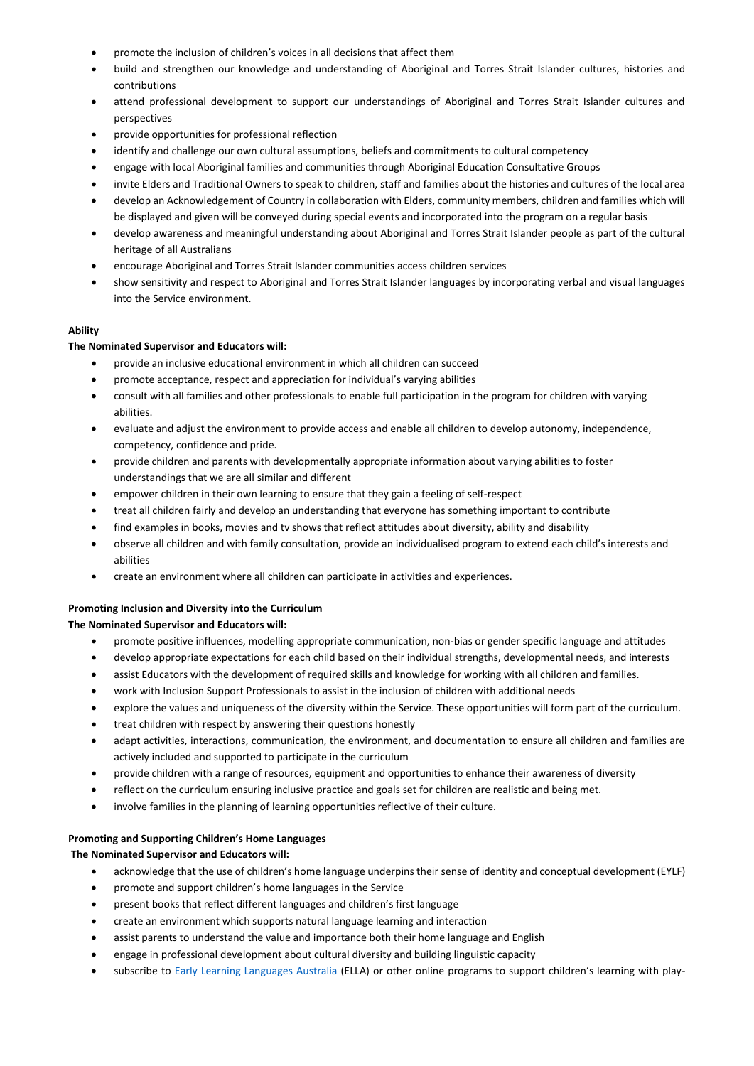- promote the inclusion of children's voices in all decisions that affect them
- build and strengthen our knowledge and understanding of Aboriginal and Torres Strait Islander cultures, histories and contributions
- attend professional development to support our understandings of Aboriginal and Torres Strait Islander cultures and perspectives
- provide opportunities for professional reflection
- identify and challenge our own cultural assumptions, beliefs and commitments to cultural competency
- engage with local Aboriginal families and communities through Aboriginal Education Consultative Groups
- invite Elders and Traditional Owners to speak to children, staff and families about the histories and cultures of the local area
- develop an Acknowledgement of Country in collaboration with Elders, community members, children and families which will be displayed and given will be conveyed during special events and incorporated into the program on a regular basis
- develop awareness and meaningful understanding about Aboriginal and Torres Strait Islander people as part of the cultural heritage of all Australians
- encourage Aboriginal and Torres Strait Islander communities access children services
- show sensitivity and respect to Aboriginal and Torres Strait Islander languages by incorporating verbal and visual languages into the Service environment.

# **Ability**

# **The Nominated Supervisor and Educators will:**

- provide an inclusive educational environment in which all children can succeed
- promote acceptance, respect and appreciation for individual's varying abilities
- consult with all families and other professionals to enable full participation in the program for children with varying abilities.
- evaluate and adjust the environment to provide access and enable all children to develop autonomy, independence, competency, confidence and pride.
- provide children and parents with developmentally appropriate information about varying abilities to foster understandings that we are all similar and different
- empower children in their own learning to ensure that they gain a feeling of self-respect
- treat all children fairly and develop an understanding that everyone has something important to contribute
- find examples in books, movies and tv shows that reflect attitudes about diversity, ability and disability
- observe all children and with family consultation, provide an individualised program to extend each child's interests and abilities
- create an environment where all children can participate in activities and experiences.

# **Promoting Inclusion and Diversity into the Curriculum**

# **The Nominated Supervisor and Educators will:**

- promote positive influences, modelling appropriate communication, non-bias or gender specific language and attitudes
- develop appropriate expectations for each child based on their individual strengths, developmental needs, and interests
- assist Educators with the development of required skills and knowledge for working with all children and families.
- work with Inclusion Support Professionals to assist in the inclusion of children with additional needs
- explore the values and uniqueness of the diversity within the Service. These opportunities will form part of the curriculum.
- treat children with respect by answering their questions honestly
- adapt activities, interactions, communication, the environment, and documentation to ensure all children and families are actively included and supported to participate in the curriculum
- provide children with a range of resources, equipment and opportunities to enhance their awareness of diversity
- reflect on the curriculum ensuring inclusive practice and goals set for children are realistic and being met.
- involve families in the planning of learning opportunities reflective of their culture.

# **Promoting and Supporting Children's Home Languages**

# **The Nominated Supervisor and Educators will:**

- acknowledge that the use of children's home language underpins their sense of identity and conceptual development (EYLF)
- promote and support children's home languages in the Service
- present books that reflect different languages and children's first language
- create an environment which supports natural language learning and interaction
- assist parents to understand the value and importance both their home language and English
- engage in professional development about cultural diversity and building linguistic capacity
- subscribe to [Early Learning Languages Australia](https://www.ella.edu.au/) (ELLA) or other online programs to support children's learning with play-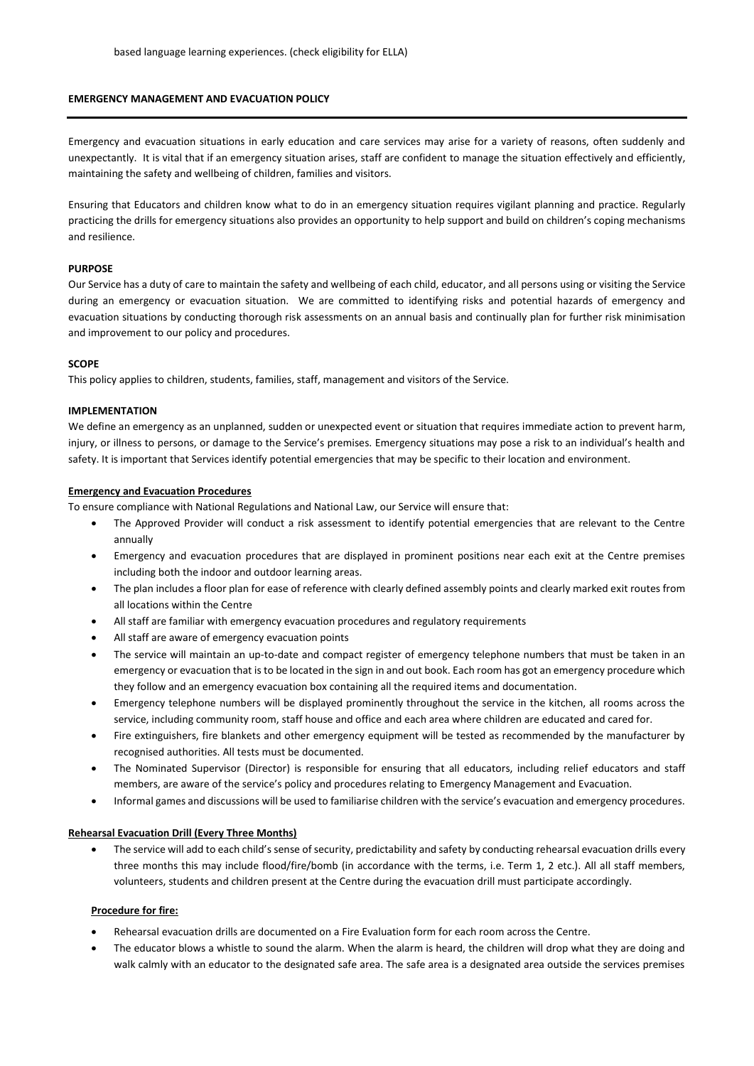#### **EMERGENCY MANAGEMENT AND EVACUATION POLICY**

Emergency and evacuation situations in early education and care services may arise for a variety of reasons, often suddenly and unexpectantly. It is vital that if an emergency situation arises, staff are confident to manage the situation effectively and efficiently, maintaining the safety and wellbeing of children, families and visitors.

Ensuring that Educators and children know what to do in an emergency situation requires vigilant planning and practice. Regularly practicing the drills for emergency situations also provides an opportunity to help support and build on children's coping mechanisms and resilience.

### **PURPOSE**

Our Service has a duty of care to maintain the safety and wellbeing of each child, educator, and all persons using or visiting the Service during an emergency or evacuation situation. We are committed to identifying risks and potential hazards of emergency and evacuation situations by conducting thorough risk assessments on an annual basis and continually plan for further risk minimisation and improvement to our policy and procedures.

### **SCOPE**

This policy applies to children, students, families, staff, management and visitors of the Service.

### **IMPLEMENTATION**

We define an emergency as an unplanned, sudden or unexpected event or situation that requires immediate action to prevent harm, injury, or illness to persons, or damage to the Service's premises. Emergency situations may pose a risk to an individual's health and safety. It is important that Services identify potential emergencies that may be specific to their location and environment.

### **Emergency and Evacuation Procedures**

To ensure compliance with National Regulations and National Law, our Service will ensure that:

- The Approved Provider will conduct a risk assessment to identify potential emergencies that are relevant to the Centre annually
- Emergency and evacuation procedures that are displayed in prominent positions near each exit at the Centre premises including both the indoor and outdoor learning areas.
- The plan includes a floor plan for ease of reference with clearly defined assembly points and clearly marked exit routes from all locations within the Centre
- All staff are familiar with emergency evacuation procedures and regulatory requirements
- All staff are aware of emergency evacuation points
- The service will maintain an up-to-date and compact register of emergency telephone numbers that must be taken in an emergency or evacuation that is to be located in the sign in and out book. Each room has got an emergency procedure which they follow and an emergency evacuation box containing all the required items and documentation.
- Emergency telephone numbers will be displayed prominently throughout the service in the kitchen, all rooms across the service, including community room, staff house and office and each area where children are educated and cared for.
- Fire extinguishers, fire blankets and other emergency equipment will be tested as recommended by the manufacturer by recognised authorities. All tests must be documented.
- The Nominated Supervisor (Director) is responsible for ensuring that all educators, including relief educators and staff members, are aware of the service's policy and procedures relating to Emergency Management and Evacuation.
- Informal games and discussions will be used to familiarise children with the service's evacuation and emergency procedures.

# **Rehearsal Evacuation Drill (Every Three Months)**

 The service will add to each child's sense of security, predictability and safety by conducting rehearsal evacuation drills every three months this may include flood/fire/bomb (in accordance with the terms, i.e. Term 1, 2 etc.). All all staff members, volunteers, students and children present at the Centre during the evacuation drill must participate accordingly.

#### **Procedure for fire:**

- Rehearsal evacuation drills are documented on a Fire Evaluation form for each room across the Centre.
- The educator blows a whistle to sound the alarm. When the alarm is heard, the children will drop what they are doing and walk calmly with an educator to the designated safe area. The safe area is a designated area outside the services premises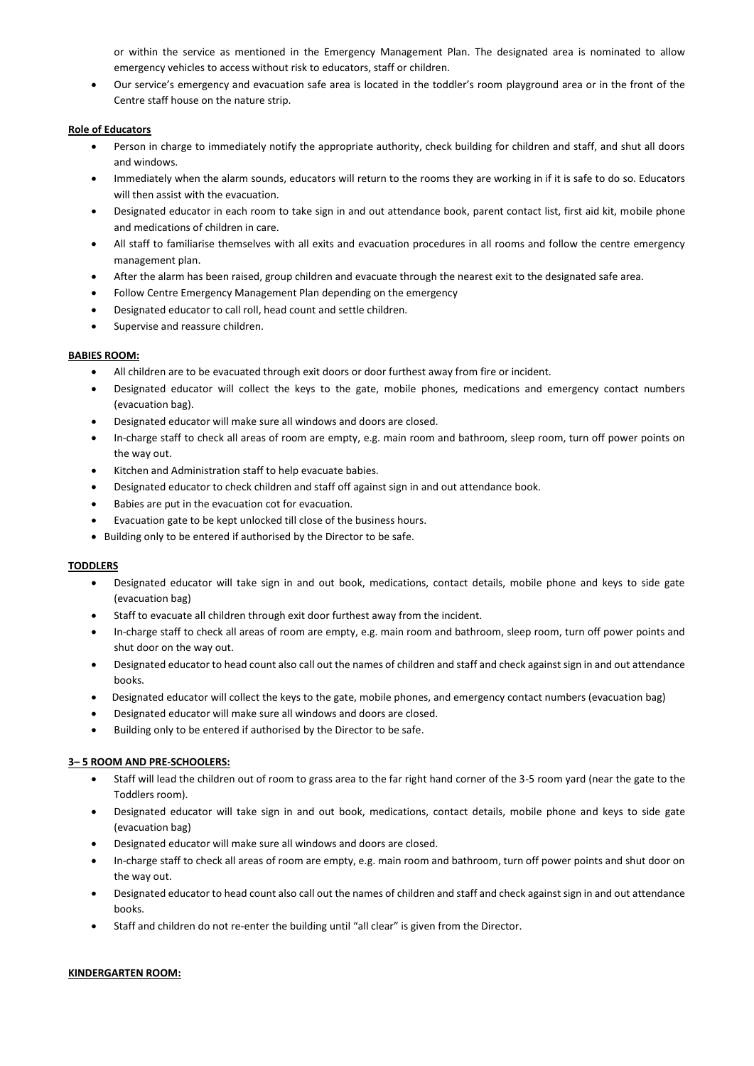or within the service as mentioned in the Emergency Management Plan. The designated area is nominated to allow emergency vehicles to access without risk to educators, staff or children.

 Our service's emergency and evacuation safe area is located in the toddler's room playground area or in the front of the Centre staff house on the nature strip.

#### **Role of Educators**

- Person in charge to immediately notify the appropriate authority, check building for children and staff, and shut all doors and windows.
- Immediately when the alarm sounds, educators will return to the rooms they are working in if it is safe to do so. Educators will then assist with the evacuation.
- Designated educator in each room to take sign in and out attendance book, parent contact list, first aid kit, mobile phone and medications of children in care.
- All staff to familiarise themselves with all exits and evacuation procedures in all rooms and follow the centre emergency management plan.
- After the alarm has been raised, group children and evacuate through the nearest exit to the designated safe area.
- Follow Centre Emergency Management Plan depending on the emergency
- Designated educator to call roll, head count and settle children.
- Supervise and reassure children.

# **BABIES ROOM:**

- All children are to be evacuated through exit doors or door furthest away from fire or incident.
- Designated educator will collect the keys to the gate, mobile phones, medications and emergency contact numbers (evacuation bag).
- Designated educator will make sure all windows and doors are closed.
- In-charge staff to check all areas of room are empty, e.g. main room and bathroom, sleep room, turn off power points on the way out.
- Kitchen and Administration staff to help evacuate babies.
- Designated educator to check children and staff off against sign in and out attendance book.
- Babies are put in the evacuation cot for evacuation.
- Evacuation gate to be kept unlocked till close of the business hours.
- Building only to be entered if authorised by the Director to be safe.

# **TODDLERS**

- Designated educator will take sign in and out book, medications, contact details, mobile phone and keys to side gate (evacuation bag)
- Staff to evacuate all children through exit door furthest away from the incident.
- In-charge staff to check all areas of room are empty, e.g. main room and bathroom, sleep room, turn off power points and shut door on the way out.
- Designated educator to head count also call out the names of children and staff and check against sign in and out attendance books.
- Designated educator will collect the keys to the gate, mobile phones, and emergency contact numbers (evacuation bag)
- Designated educator will make sure all windows and doors are closed.
- Building only to be entered if authorised by the Director to be safe.

# **3– 5 ROOM AND PRE-SCHOOLERS:**

- Staff will lead the children out of room to grass area to the far right hand corner of the 3-5 room yard (near the gate to the Toddlers room).
- Designated educator will take sign in and out book, medications, contact details, mobile phone and keys to side gate (evacuation bag)
- Designated educator will make sure all windows and doors are closed.
- In-charge staff to check all areas of room are empty, e.g. main room and bathroom, turn off power points and shut door on the way out.
- Designated educator to head count also call out the names of children and staff and check against sign in and out attendance books.
- Staff and children do not re-enter the building until "all clear" is given from the Director.

# **KINDERGARTEN ROOM:**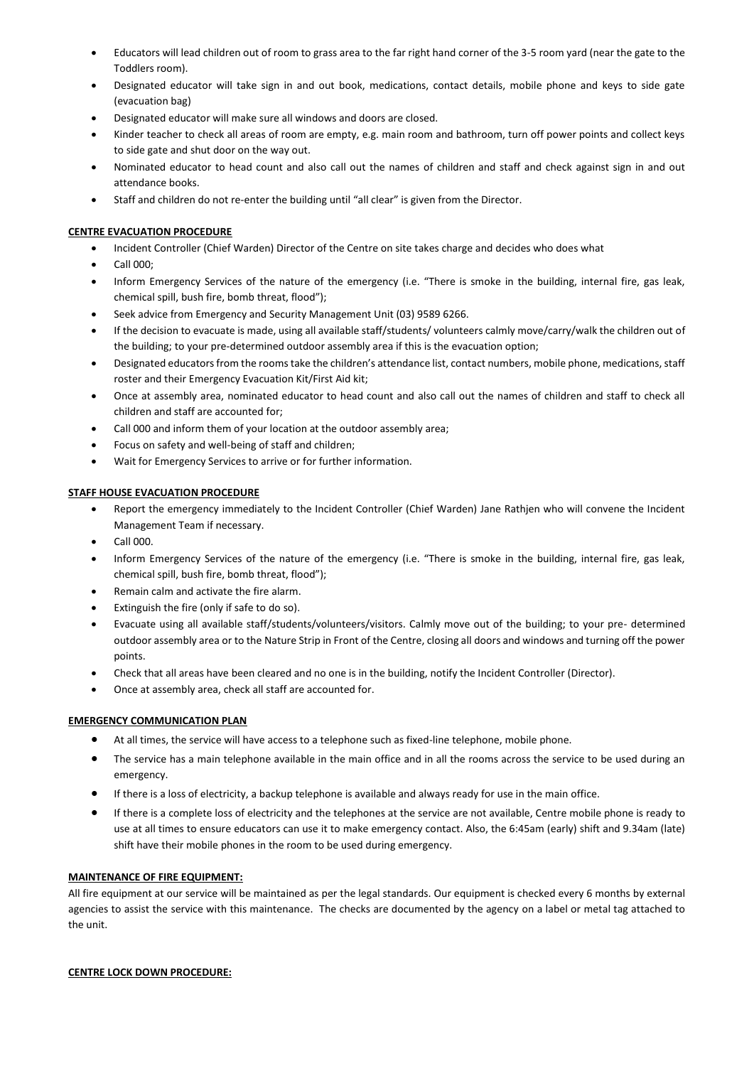- Educators will lead children out of room to grass area to the far right hand corner of the 3-5 room yard (near the gate to the Toddlers room).
- Designated educator will take sign in and out book, medications, contact details, mobile phone and keys to side gate (evacuation bag)
- Designated educator will make sure all windows and doors are closed.
- Kinder teacher to check all areas of room are empty, e.g. main room and bathroom, turn off power points and collect keys to side gate and shut door on the way out.
- Nominated educator to head count and also call out the names of children and staff and check against sign in and out attendance books.
- Staff and children do not re-enter the building until "all clear" is given from the Director.

# **CENTRE EVACUATION PROCEDURE**

- Incident Controller (Chief Warden) Director of the Centre on site takes charge and decides who does what
- Call 000;
- Inform Emergency Services of the nature of the emergency (i.e. "There is smoke in the building, internal fire, gas leak, chemical spill, bush fire, bomb threat, flood");
- Seek advice from Emergency and Security Management Unit (03) 9589 6266.
- If the decision to evacuate is made, using all available staff/students/ volunteers calmly move/carry/walk the children out of the building; to your pre-determined outdoor assembly area if this is the evacuation option;
- Designated educators from the rooms take the children's attendance list, contact numbers, mobile phone, medications, staff roster and their Emergency Evacuation Kit/First Aid kit;
- Once at assembly area, nominated educator to head count and also call out the names of children and staff to check all children and staff are accounted for;
- Call 000 and inform them of your location at the outdoor assembly area;
- Focus on safety and well-being of staff and children;
- Wait for Emergency Services to arrive or for further information.

# **STAFF HOUSE EVACUATION PROCEDURE**

- Report the emergency immediately to the Incident Controller (Chief Warden) Jane Rathjen who will convene the Incident Management Team if necessary.
- Call 000.
- Inform Emergency Services of the nature of the emergency (i.e. "There is smoke in the building, internal fire, gas leak, chemical spill, bush fire, bomb threat, flood");
- Remain calm and activate the fire alarm.
- Extinguish the fire (only if safe to do so).
- Evacuate using all available staff/students/volunteers/visitors. Calmly move out of the building; to your pre- determined outdoor assembly area or to the Nature Strip in Front of the Centre, closing all doors and windows and turning off the power points.
- Check that all areas have been cleared and no one is in the building, notify the Incident Controller (Director).
- Once at assembly area, check all staff are accounted for.

# **EMERGENCY COMMUNICATION PLAN**

- At all times, the service will have access to a telephone such as fixed-line telephone, mobile phone.
- The service has a main telephone available in the main office and in all the rooms across the service to be used during an emergency.
- If there is a loss of electricity, a backup telephone is available and always ready for use in the main office.
- If there is a complete loss of electricity and the telephones at the service are not available, Centre mobile phone is ready to use at all times to ensure educators can use it to make emergency contact. Also, the 6:45am (early) shift and 9.34am (late) shift have their mobile phones in the room to be used during emergency.

# **MAINTENANCE OF FIRE EQUIPMENT:**

All fire equipment at our service will be maintained as per the legal standards. Our equipment is checked every 6 months by external agencies to assist the service with this maintenance. The checks are documented by the agency on a label or metal tag attached to the unit.

# **CENTRE LOCK DOWN PROCEDURE:**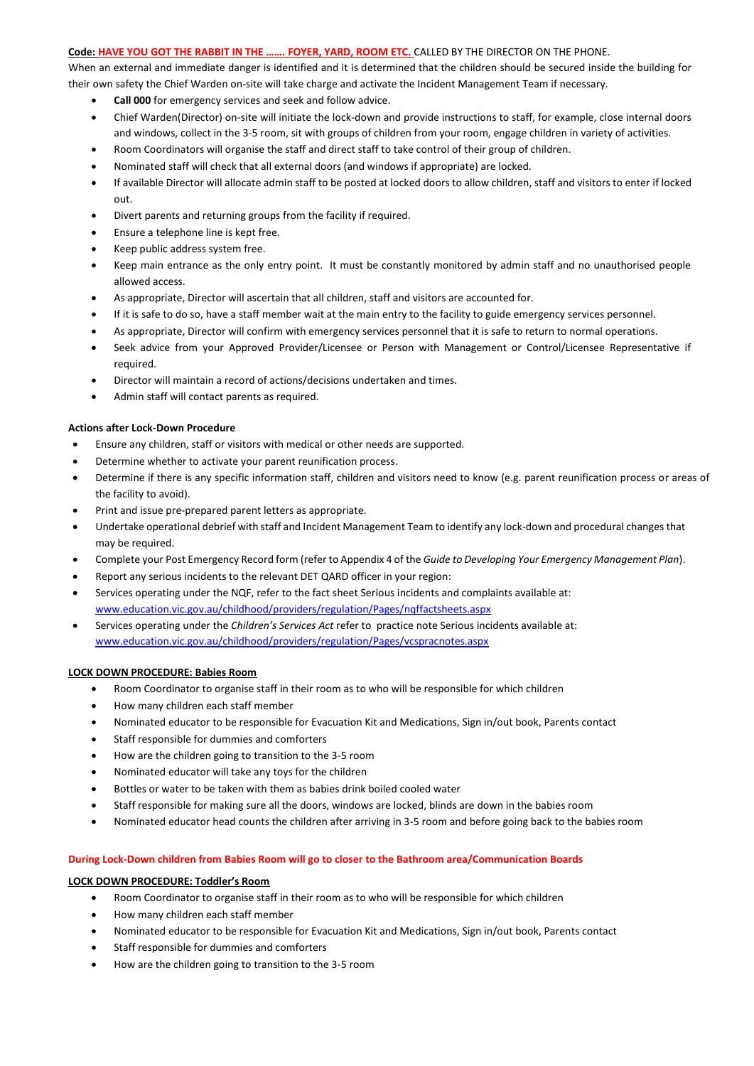### **Code: HAVE YOU GOT THE RABBIT IN THE ……. FOYER, YARD, ROOM ETC.** CALLED BY THE DIRECTOR ON THE PHONE.

When an external and immediate danger is identified and it is determined that the children should be secured inside the building for their own safety the Chief Warden on-site will take charge and activate the Incident Management Team if necessary.

- **Call 000** for emergency services and seek and follow advice.
- Chief Warden(Director) on-site will initiate the lock-down and provide instructions to staff, for example, close internal doors and windows, collect in the 3-5 room, sit with groups of children from your room, engage children in variety of activities.
- Room Coordinators will organise the staff and direct staff to take control of their group of children.
- Nominated staff will check that all external doors (and windows if appropriate) are locked.
- If available Director will allocate admin staff to be posted at locked doors to allow children, staff and visitors to enter if locked out.
- Divert parents and returning groups from the facility if required.
- Ensure a telephone line is kept free.
- Keep public address system free.
- Keep main entrance as the only entry point. It must be constantly monitored by admin staff and no unauthorised people allowed access.
- As appropriate, Director will ascertain that all children, staff and visitors are accounted for.
- If it is safe to do so, have a staff member wait at the main entry to the facility to guide emergency services personnel.
- As appropriate, Director will confirm with emergency services personnel that it is safe to return to normal operations.
- Seek advice from your Approved Provider/Licensee or Person with Management or Control/Licensee Representative if required.
- Director will maintain a record of actions/decisions undertaken and times.
- Admin staff will contact parents as required.

# **Actions after Lock-Down Procedure**

- Ensure any children, staff or visitors with medical or other needs are supported.
- Determine whether to activate your parent reunification process.
- Determine if there is any specific information staff, children and visitors need to know (e.g. parent reunification process or areas of the facility to avoid).
- Print and issue pre-prepared parent letters as appropriate.
- Undertake operational debrief with staff and Incident Management Team to identify any lock-down and procedural changes that may be required.
- Complete your Post Emergency Record form (refer to Appendix 4 of the *Guide to Developing Your Emergency Management Plan*).
- Report any serious incidents to the relevant DET QARD officer in your region:
- Services operating under the NQF, refer to the fact sheet Serious incidents and complaints available at: [www.education.vic.gov.au/childhood/providers/regulation/Pages/nqffactsheets.aspx](http://www.education.vic.gov.au/childhood/providers/regulation/Pages/nqffactsheets.aspx)
- Services operating under the *Children's Services Act* refer to practice note Serious incidents available at: [www.education.vic.gov.au/childhood/providers/regulation/Pages/vcspracnotes.aspx](http://www.education.vic.gov.au/childhood/providers/regulation/Pages/vcspracnotes.aspx)

# **LOCK DOWN PROCEDURE: Babies Room**

- Room Coordinator to organise staff in their room as to who will be responsible for which children
- How many children each staff member
- Nominated educator to be responsible for Evacuation Kit and Medications, Sign in/out book, Parents contact
- Staff responsible for dummies and comforters
- How are the children going to transition to the 3-5 room
- Nominated educator will take any toys for the children
- Bottles or water to be taken with them as babies drink boiled cooled water
- Staff responsible for making sure all the doors, windows are locked, blinds are down in the babies room
- Nominated educator head counts the children after arriving in 3-5 room and before going back to the babies room

# **During Lock-Down children from Babies Room will go to closer to the Bathroom area/Communication Boards**

# **LOCK DOWN PROCEDURE: Toddler's Room**

- Room Coordinator to organise staff in their room as to who will be responsible for which children
- How many children each staff member
- Nominated educator to be responsible for Evacuation Kit and Medications, Sign in/out book, Parents contact
- Staff responsible for dummies and comforters
- How are the children going to transition to the 3-5 room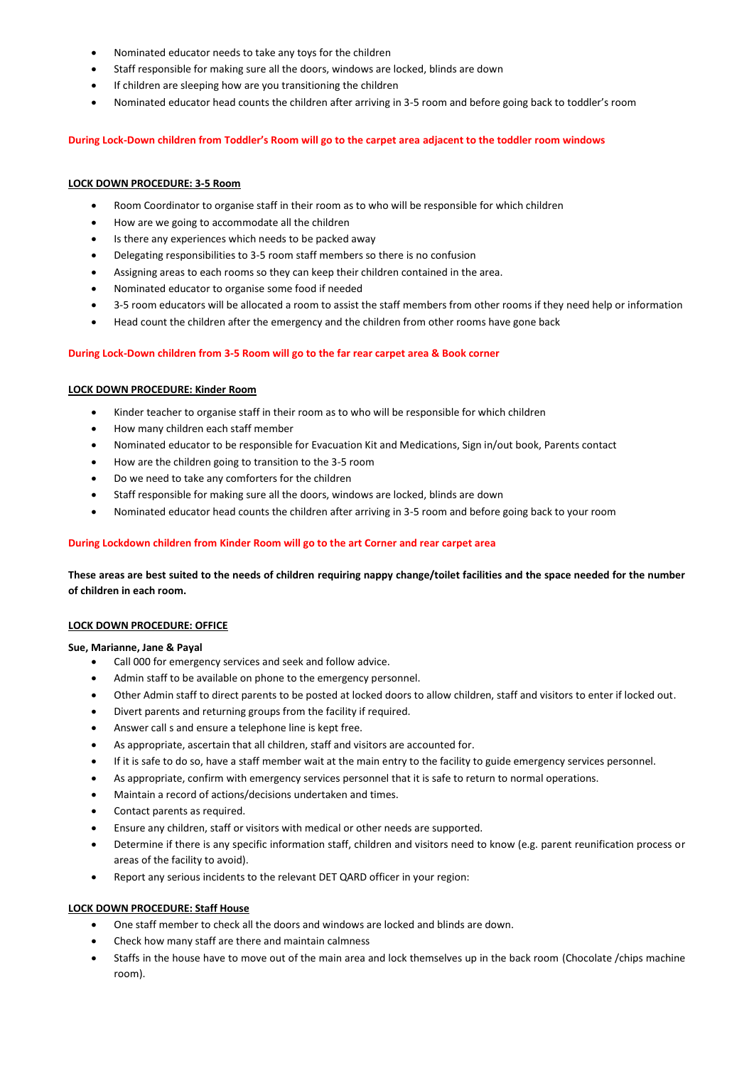- Nominated educator needs to take any toys for the children
- Staff responsible for making sure all the doors, windows are locked, blinds are down
- If children are sleeping how are you transitioning the children
- Nominated educator head counts the children after arriving in 3-5 room and before going back to toddler's room

### **During Lock-Down children from Toddler's Room will go to the carpet area adjacent to the toddler room windows**

# **LOCK DOWN PROCEDURE: 3-5 Room**

- Room Coordinator to organise staff in their room as to who will be responsible for which children
- How are we going to accommodate all the children
- Is there any experiences which needs to be packed away
- Delegating responsibilities to 3-5 room staff members so there is no confusion
- Assigning areas to each rooms so they can keep their children contained in the area.
- Nominated educator to organise some food if needed
- 3-5 room educators will be allocated a room to assist the staff members from other rooms if they need help or information
- Head count the children after the emergency and the children from other rooms have gone back

# **During Lock-Down children from 3-5 Room will go to the far rear carpet area & Book corner**

# **LOCK DOWN PROCEDURE: Kinder Room**

- Kinder teacher to organise staff in their room as to who will be responsible for which children
- How many children each staff member
- Nominated educator to be responsible for Evacuation Kit and Medications, Sign in/out book, Parents contact
- How are the children going to transition to the 3-5 room
- Do we need to take any comforters for the children
- Staff responsible for making sure all the doors, windows are locked, blinds are down
- Nominated educator head counts the children after arriving in 3-5 room and before going back to your room

# **During Lockdown children from Kinder Room will go to the art Corner and rear carpet area**

**These areas are best suited to the needs of children requiring nappy change/toilet facilities and the space needed for the number of children in each room.** 

# **LOCK DOWN PROCEDURE: OFFICE**

# **Sue, Marianne, Jane & Payal**

- Call 000 for emergency services and seek and follow advice.
- Admin staff to be available on phone to the emergency personnel.
- Other Admin staff to direct parents to be posted at locked doors to allow children, staff and visitors to enter if locked out.
- Divert parents and returning groups from the facility if required.
- Answer call s and ensure a telephone line is kept free.
- As appropriate, ascertain that all children, staff and visitors are accounted for.
- If it is safe to do so, have a staff member wait at the main entry to the facility to guide emergency services personnel.
- As appropriate, confirm with emergency services personnel that it is safe to return to normal operations.
- Maintain a record of actions/decisions undertaken and times.
- Contact parents as required.
- Ensure any children, staff or visitors with medical or other needs are supported.
- Determine if there is any specific information staff, children and visitors need to know (e.g. parent reunification process or areas of the facility to avoid).
- Report any serious incidents to the relevant DET QARD officer in your region:

# **LOCK DOWN PROCEDURE: Staff House**

- One staff member to check all the doors and windows are locked and blinds are down.
- Check how many staff are there and maintain calmness
- Staffs in the house have to move out of the main area and lock themselves up in the back room (Chocolate /chips machine room).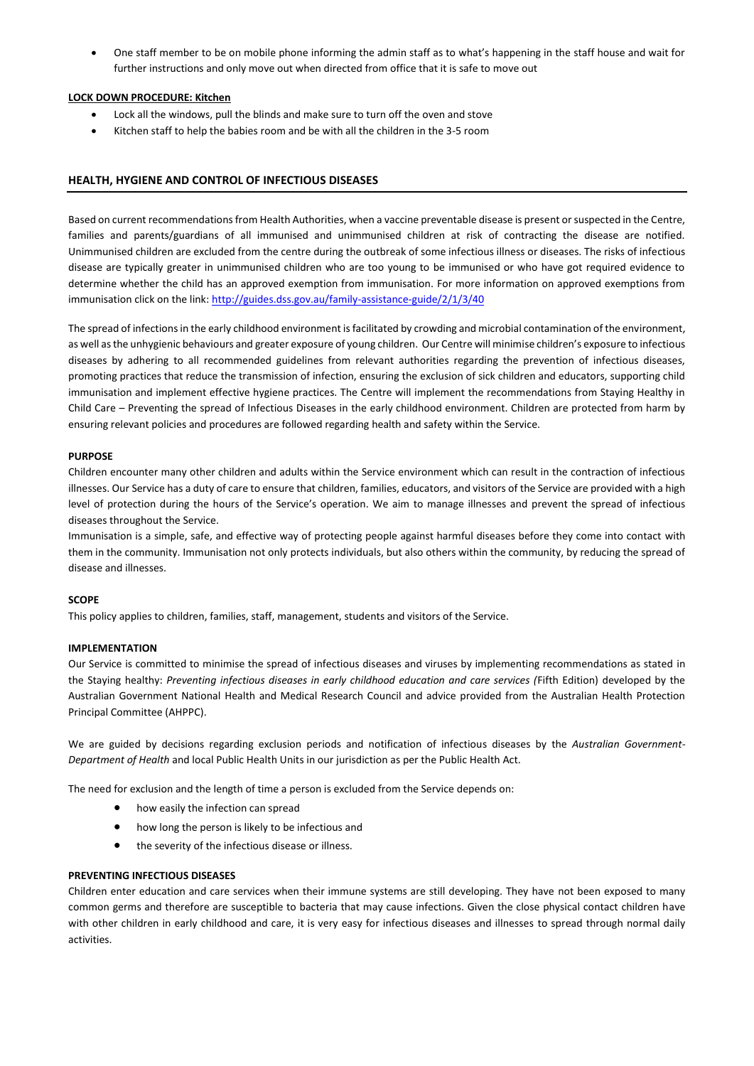One staff member to be on mobile phone informing the admin staff as to what's happening in the staff house and wait for further instructions and only move out when directed from office that it is safe to move out

# **LOCK DOWN PROCEDURE: Kitchen**

- Lock all the windows, pull the blinds and make sure to turn off the oven and stove
- Kitchen staff to help the babies room and be with all the children in the 3-5 room

# **HEALTH, HYGIENE AND CONTROL OF INFECTIOUS DISEASES**

Based on current recommendations from Health Authorities, when a vaccine preventable disease is present or suspected in the Centre, families and parents/guardians of all immunised and unimmunised children at risk of contracting the disease are notified. Unimmunised children are excluded from the centre during the outbreak of some infectious illness or diseases. The risks of infectious disease are typically greater in unimmunised children who are too young to be immunised or who have got required evidence to determine whether the child has an approved exemption from immunisation. For more information on approved exemptions from immunisation click on the link[: http://guides.dss.gov.au/family-assistance-guide/2/1/3/40](http://guides.dss.gov.au/family-assistance-guide/2/1/3/40)

The spread of infections in the early childhood environment is facilitated by crowding and microbial contamination of the environment, as well as the unhygienic behaviours and greater exposure of young children. Our Centre will minimise children's exposure to infectious diseases by adhering to all recommended guidelines from relevant authorities regarding the prevention of infectious diseases, promoting practices that reduce the transmission of infection, ensuring the exclusion of sick children and educators, supporting child immunisation and implement effective hygiene practices. The Centre will implement the recommendations from Staying Healthy in Child Care – Preventing the spread of Infectious Diseases in the early childhood environment. Children are protected from harm by ensuring relevant policies and procedures are followed regarding health and safety within the Service.

# **PURPOSE**

Children encounter many other children and adults within the Service environment which can result in the contraction of infectious illnesses. Our Service has a duty of care to ensure that children, families, educators, and visitors of the Service are provided with a high level of protection during the hours of the Service's operation. We aim to manage illnesses and prevent the spread of infectious diseases throughout the Service.

Immunisation is a simple, safe, and effective way of protecting people against harmful diseases before they come into contact with them in the community. Immunisation not only protects individuals, but also others within the community, by reducing the spread of disease and illnesses.

# **SCOPE**

This policy applies to children, families, staff, management, students and visitors of the Service.

# **IMPLEMENTATION**

Our Service is committed to minimise the spread of infectious diseases and viruses by implementing recommendations as stated in the Staying healthy: *Preventing infectious diseases in early childhood education and care services (*Fifth Edition) developed by the Australian Government National Health and Medical Research Council and advice provided from the Australian Health Protection Principal Committee (AHPPC).

We are guided by decisions regarding exclusion periods and notification of infectious diseases by the *Australian Government-Department of Health* and local Public Health Units in our jurisdiction as per the Public Health Act.

The need for exclusion and the length of time a person is excluded from the Service depends on:

- how easily the infection can spread
- how long the person is likely to be infectious and
- the severity of the infectious disease or illness.

# **PREVENTING INFECTIOUS DISEASES**

Children enter education and care services when their immune systems are still developing. They have not been exposed to many common germs and therefore are susceptible to bacteria that may cause infections. Given the close physical contact children have with other children in early childhood and care, it is very easy for infectious diseases and illnesses to spread through normal daily activities.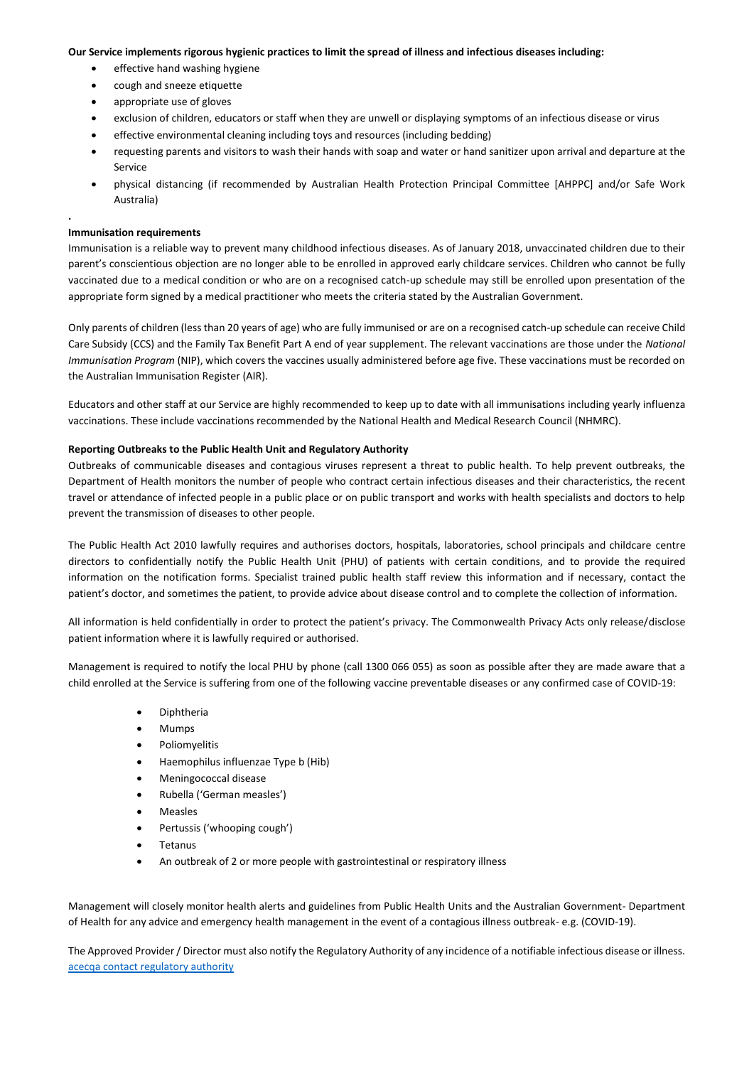#### **Our Service implements rigorous hygienic practices to limit the spread of illness and infectious diseases including:**

- effective hand washing hygiene
- cough and sneeze etiquette
- appropriate use of gloves
- exclusion of children, educators or staff when they are unwell or displaying symptoms of an infectious disease or virus
- effective environmental cleaning including toys and resources (including bedding)
- requesting parents and visitors to wash their hands with soap and water or hand sanitizer upon arrival and departure at the Service
- physical distancing (if recommended by Australian Health Protection Principal Committee [AHPPC] and/or Safe Work Australia)

# **Immunisation requirements**

**.** 

Immunisation is a reliable way to prevent many childhood infectious diseases. As of January 2018, unvaccinated children due to their parent's conscientious objection are no longer able to be enrolled in approved early childcare services. Children who cannot be fully vaccinated due to a medical condition or who are on a recognised catch-up schedule may still be enrolled upon presentation of the appropriate form signed by a medical practitioner who meets the criteria stated by the Australian Government.

Only parents of children (less than 20 years of age) who are fully immunised or are on a recognised catch-up schedule can receive Child Care Subsidy (CCS) and the Family Tax Benefit Part A end of year supplement. The relevant vaccinations are those under the *National Immunisation Program* (NIP), which covers the vaccines usually administered before age five. These vaccinations must be recorded on the Australian Immunisation Register (AIR).

Educators and other staff at our Service are highly recommended to keep up to date with all immunisations including yearly influenza vaccinations. These include vaccinations recommended by the National Health and Medical Research Council (NHMRC).

### **Reporting Outbreaks to the Public Health Unit and Regulatory Authority**

Outbreaks of communicable diseases and contagious viruses represent a threat to public health. To help prevent outbreaks, the Department of Health monitors the number of people who contract certain infectious diseases and their characteristics, the recent travel or attendance of infected people in a public place or on public transport and works with health specialists and doctors to help prevent the transmission of diseases to other people.

The Public Health Act 2010 lawfully requires and authorises doctors, hospitals, laboratories, school principals and childcare centre directors to confidentially notify the Public Health Unit (PHU) of patients with certain conditions, and to provide the required information on the notification forms. Specialist trained public health staff review this information and if necessary, contact the patient's doctor, and sometimes the patient, to provide advice about disease control and to complete the collection of information.

All information is held confidentially in order to protect the patient's privacy. The Commonwealth Privacy Acts only release/disclose patient information where it is lawfully required or authorised.

Management is required to notify the local PHU by phone (call 1300 066 055) as soon as possible after they are made aware that a child enrolled at the Service is suffering from one of the following vaccine preventable diseases or any confirmed case of COVID-19:

- Diphtheria
- Mumps
- Poliomyelitis
- Haemophilus influenzae Type b (Hib)
- Meningococcal disease
- Rubella ('German measles')
- Measles
- Pertussis ('whooping cough')
- Tetanus
- An outbreak of 2 or more people with gastrointestinal or respiratory illness

Management will closely monitor health alerts and guidelines from Public Health Units and the Australian Government- Department of Health for any advice and emergency health management in the event of a contagious illness outbreak- e.g. (COVID-19).

The Approved Provider / Director must also notify the Regulatory Authority of any incidence of a notifiable infectious disease or illness. [acecqa contact regulatory authority](https://www.acecqa.gov.au/help/contact-your-regulatory-authority)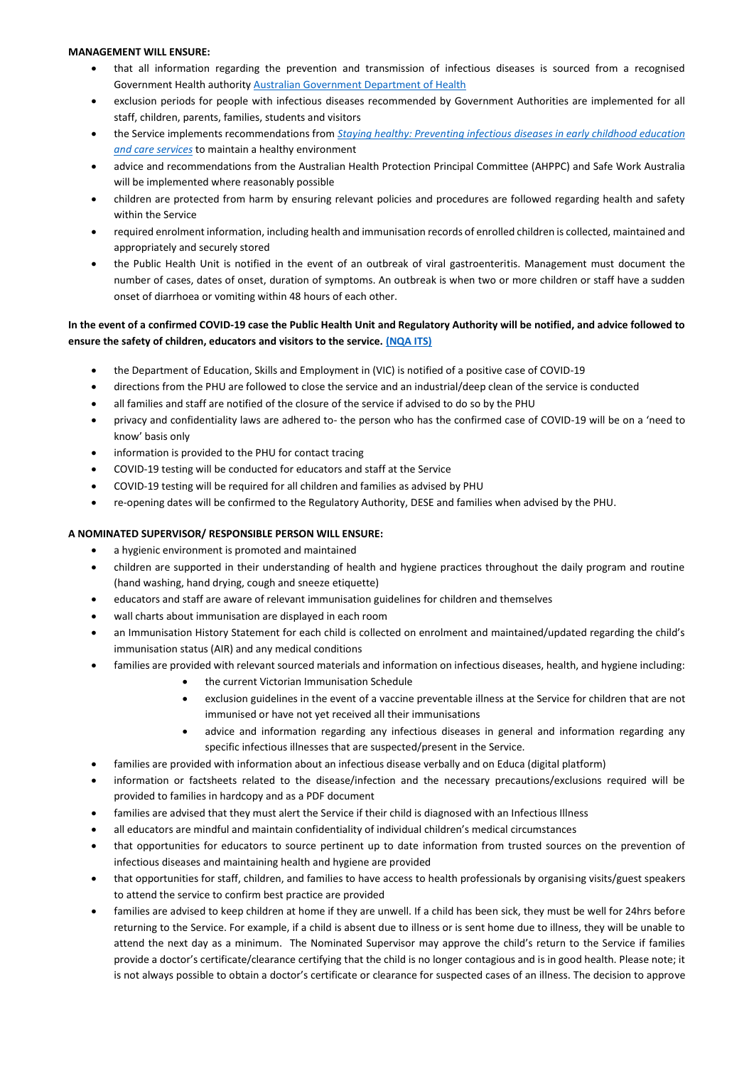# **MANAGEMENT WILL ENSURE:**

- that all information regarding the prevention and transmission of infectious diseases is sourced from a recognised Government Health authorit[y Australian Government Department of Health](https://www.health.gov.au/)
- exclusion periods for people with infectious diseases recommended by Government Authorities are implemented for all staff, children, parents, families, students and visitors
- the Service implements recommendations from *[Staying healthy: Preventing infectious diseases in early childhood education](https://nhmrc.govcms.gov.au/about-us/publications/staying-healthy-preventing-infectious-diseases-early-childhood-education-and-care-services)  [and care services](https://nhmrc.govcms.gov.au/about-us/publications/staying-healthy-preventing-infectious-diseases-early-childhood-education-and-care-services)* to maintain a healthy environment
- advice and recommendations from the Australian Health Protection Principal Committee (AHPPC) and Safe Work Australia will be implemented where reasonably possible
- children are protected from harm by ensuring relevant policies and procedures are followed regarding health and safety within the Service
- required enrolment information, including health and immunisation records of enrolled children is collected, maintained and appropriately and securely stored
- the Public Health Unit is notified in the event of an outbreak of viral gastroenteritis. Management must document the number of cases, dates of onset, duration of symptoms. An outbreak is when two or more children or staff have a sudden onset of diarrhoea or vomiting within 48 hours of each other.

# **In the event of a confirmed COVID-19 case the Public Health Unit and Regulatory Authority will be notified, and advice followed to ensure the safety of children, educators and visitors to the service. [\(NQA ITS\)](https://public.nqaits.acecqa.gov.au/Pages/Landing.aspx)**

- the Department of Education, Skills and Employment in (VIC) is notified of a positive case of COVID-19
- directions from the PHU are followed to close the service and an industrial/deep clean of the service is conducted
- all families and staff are notified of the closure of the service if advised to do so by the PHU
- privacy and confidentiality laws are adhered to- the person who has the confirmed case of COVID-19 will be on a 'need to know' basis only
- information is provided to the PHU for contact tracing
- COVID-19 testing will be conducted for educators and staff at the Service
- COVID-19 testing will be required for all children and families as advised by PHU
- re-opening dates will be confirmed to the Regulatory Authority, DESE and families when advised by the PHU.

# **A NOMINATED SUPERVISOR/ RESPONSIBLE PERSON WILL ENSURE:**

- a hygienic environment is promoted and maintained
- children are supported in their understanding of health and hygiene practices throughout the daily program and routine (hand washing, hand drying, cough and sneeze etiquette)
- educators and staff are aware of relevant immunisation guidelines for children and themselves
- wall charts about immunisation are displayed in each room
- an Immunisation History Statement for each child is collected on enrolment and maintained/updated regarding the child's immunisation status (AIR) and any medical conditions
- families are provided with relevant sourced materials and information on infectious diseases, health, and hygiene including:
	- the current Victorian Immunisation Schedule
	- exclusion guidelines in the event of a vaccine preventable illness at the Service for children that are not immunised or have not yet received all their immunisations
	- advice and information regarding any infectious diseases in general and information regarding any specific infectious illnesses that are suspected/present in the Service.
- families are provided with information about an infectious disease verbally and on Educa (digital platform)
- information or factsheets related to the disease/infection and the necessary precautions/exclusions required will be provided to families in hardcopy and as a PDF document
- families are advised that they must alert the Service if their child is diagnosed with an Infectious Illness
- all educators are mindful and maintain confidentiality of individual children's medical circumstances
- that opportunities for educators to source pertinent up to date information from trusted sources on the prevention of infectious diseases and maintaining health and hygiene are provided
- that opportunities for staff, children, and families to have access to health professionals by organising visits/guest speakers to attend the service to confirm best practice are provided
- families are advised to keep children at home if they are unwell. If a child has been sick, they must be well for 24hrs before returning to the Service. For example, if a child is absent due to illness or is sent home due to illness, they will be unable to attend the next day as a minimum. The Nominated Supervisor may approve the child's return to the Service if families provide a doctor's certificate/clearance certifying that the child is no longer contagious and is in good health. Please note; it is not always possible to obtain a doctor's certificate or clearance for suspected cases of an illness. The decision to approve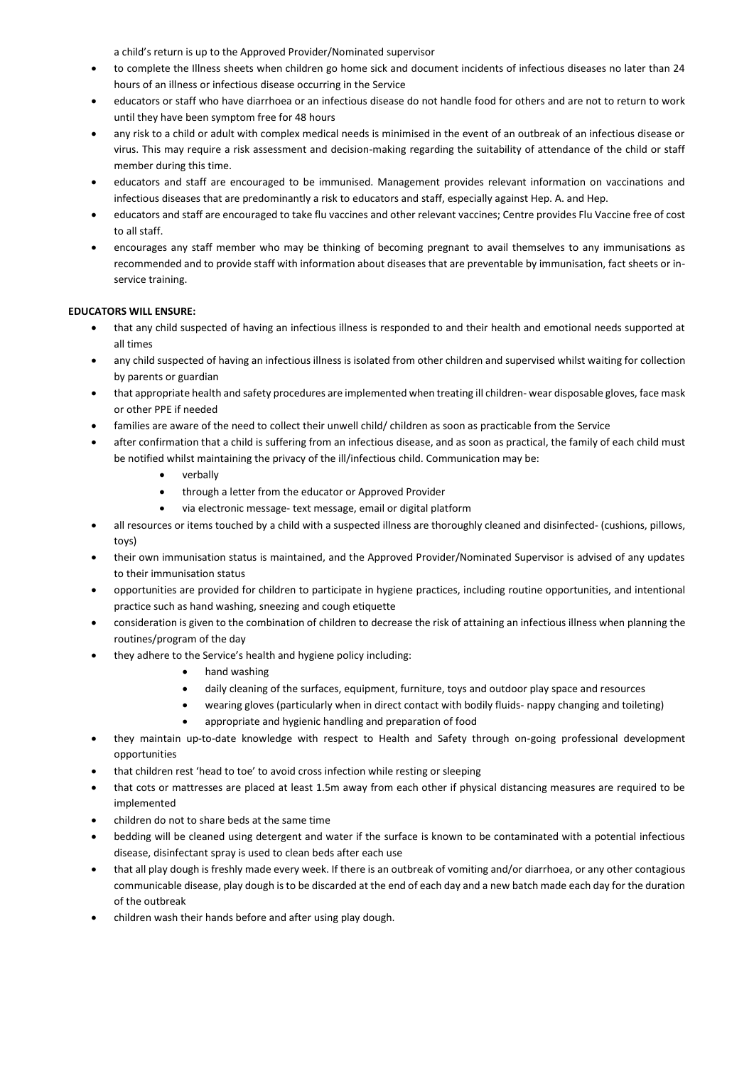a child's return is up to the Approved Provider/Nominated supervisor

- to complete the Illness sheets when children go home sick and document incidents of infectious diseases no later than 24 hours of an illness or infectious disease occurring in the Service
- educators or staff who have diarrhoea or an infectious disease do not handle food for others and are not to return to work until they have been symptom free for 48 hours
- any risk to a child or adult with complex medical needs is minimised in the event of an outbreak of an infectious disease or virus. This may require a risk assessment and decision-making regarding the suitability of attendance of the child or staff member during this time.
- educators and staff are encouraged to be immunised. Management provides relevant information on vaccinations and infectious diseases that are predominantly a risk to educators and staff, especially against Hep. A. and Hep.
- educators and staff are encouraged to take flu vaccines and other relevant vaccines; Centre provides Flu Vaccine free of cost to all staff.
- encourages any staff member who may be thinking of becoming pregnant to avail themselves to any immunisations as recommended and to provide staff with information about diseases that are preventable by immunisation, fact sheets or inservice training.

# **EDUCATORS WILL ENSURE:**

- that any child suspected of having an infectious illness is responded to and their health and emotional needs supported at all times
- any child suspected of having an infectious illness is isolated from other children and supervised whilst waiting for collection by parents or guardian
- that appropriate health and safety procedures are implemented when treating ill children- wear disposable gloves, face mask or other PPE if needed
- families are aware of the need to collect their unwell child/ children as soon as practicable from the Service
- after confirmation that a child is suffering from an infectious disease, and as soon as practical, the family of each child must be notified whilst maintaining the privacy of the ill/infectious child. Communication may be:
	- verbally
	- through a letter from the educator or Approved Provider
	- via electronic message- text message, email or digital platform
- all resources or items touched by a child with a suspected illness are thoroughly cleaned and disinfected- (cushions, pillows, toys)
- their own immunisation status is maintained, and the Approved Provider/Nominated Supervisor is advised of any updates to their immunisation status
- opportunities are provided for children to participate in hygiene practices, including routine opportunities, and intentional practice such as hand washing, sneezing and cough etiquette
- consideration is given to the combination of children to decrease the risk of attaining an infectious illness when planning the routines/program of the day
- they adhere to the Service's health and hygiene policy including:
	- hand washing
	- daily cleaning of the surfaces, equipment, furniture, toys and outdoor play space and resources
	- wearing gloves (particularly when in direct contact with bodily fluids- nappy changing and toileting)
		- appropriate and hygienic handling and preparation of food
- they maintain up-to-date knowledge with respect to Health and Safety through on-going professional development opportunities
- that children rest 'head to toe' to avoid cross infection while resting or sleeping
- that cots or mattresses are placed at least 1.5m away from each other if physical distancing measures are required to be implemented
- children do not to share beds at the same time
- bedding will be cleaned using detergent and water if the surface is known to be contaminated with a potential infectious disease, disinfectant spray is used to clean beds after each use
- that all play dough is freshly made every week. If there is an outbreak of vomiting and/or diarrhoea, or any other contagious communicable disease, play dough is to be discarded at the end of each day and a new batch made each day for the duration of the outbreak
- children wash their hands before and after using play dough.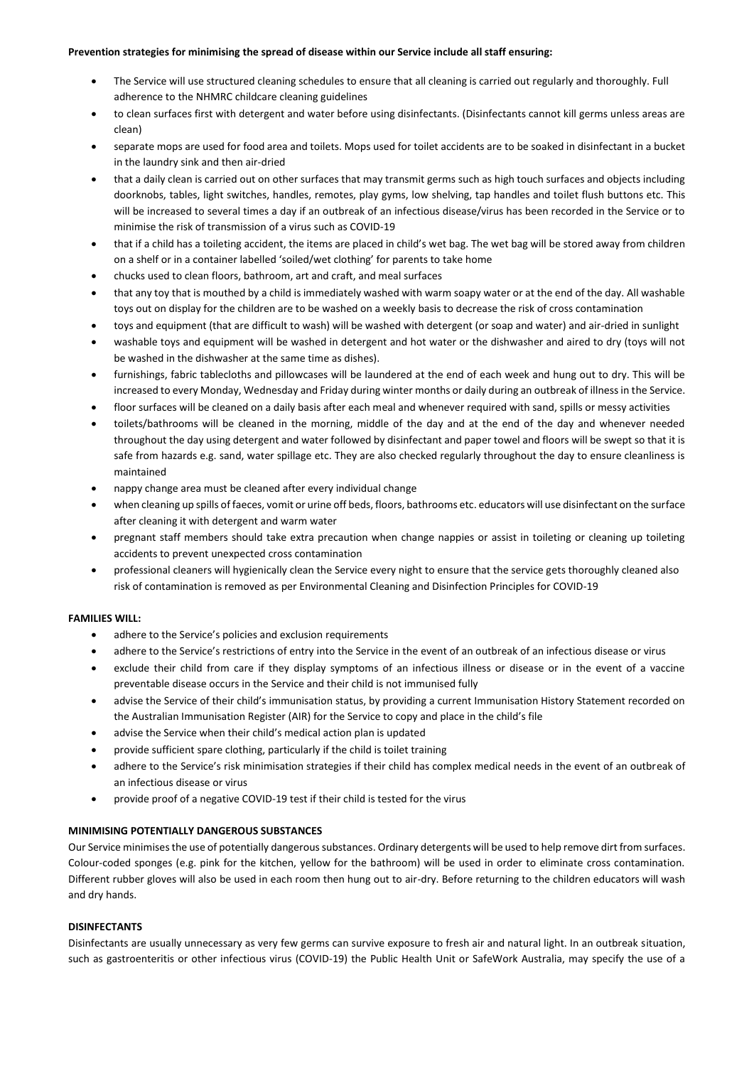### **Prevention strategies for minimising the spread of disease within our Service include all staff ensuring:**

- The Service will use structured cleaning schedules to ensure that all cleaning is carried out regularly and thoroughly. Full adherence to the NHMRC childcare cleaning guidelines
- to clean surfaces first with detergent and water before using disinfectants. (Disinfectants cannot kill germs unless areas are clean)
- separate mops are used for food area and toilets. Mops used for toilet accidents are to be soaked in disinfectant in a bucket in the laundry sink and then air-dried
- that a daily clean is carried out on other surfaces that may transmit germs such as high touch surfaces and objects including doorknobs, tables, light switches, handles, remotes, play gyms, low shelving, tap handles and toilet flush buttons etc. This will be increased to several times a day if an outbreak of an infectious disease/virus has been recorded in the Service or to minimise the risk of transmission of a virus such as COVID-19
- that if a child has a toileting accident, the items are placed in child's wet bag. The wet bag will be stored away from children on a shelf or in a container labelled 'soiled/wet clothing' for parents to take home
- chucks used to clean floors, bathroom, art and craft, and meal surfaces
- that any toy that is mouthed by a child is immediately washed with warm soapy water or at the end of the day. All washable toys out on display for the children are to be washed on a weekly basis to decrease the risk of cross contamination
- toys and equipment (that are difficult to wash) will be washed with detergent (or soap and water) and air-dried in sunlight
- washable toys and equipment will be washed in detergent and hot water or the dishwasher and aired to dry (toys will not be washed in the dishwasher at the same time as dishes).
- furnishings, fabric tablecloths and pillowcases will be laundered at the end of each week and hung out to dry. This will be increased to every Monday, Wednesday and Friday during winter months or daily during an outbreak of illness in the Service.
- floor surfaces will be cleaned on a daily basis after each meal and whenever required with sand, spills or messy activities
- toilets/bathrooms will be cleaned in the morning, middle of the day and at the end of the day and whenever needed throughout the day using detergent and water followed by disinfectant and paper towel and floors will be swept so that it is safe from hazards e.g. sand, water spillage etc. They are also checked regularly throughout the day to ensure cleanliness is maintained
- nappy change area must be cleaned after every individual change
- when cleaning up spills of faeces, vomit or urine off beds, floors, bathrooms etc. educators will use disinfectant on the surface after cleaning it with detergent and warm water
- pregnant staff members should take extra precaution when change nappies or assist in toileting or cleaning up toileting accidents to prevent unexpected cross contamination
- professional cleaners will hygienically clean the Service every night to ensure that the service gets thoroughly cleaned also risk of contamination is removed as per Environmental Cleaning and Disinfection Principles for COVID-19

# **FAMILIES WILL:**

- adhere to the Service's policies and exclusion requirements
- adhere to the Service's restrictions of entry into the Service in the event of an outbreak of an infectious disease or virus
- exclude their child from care if they display symptoms of an infectious illness or disease or in the event of a vaccine preventable disease occurs in the Service and their child is not immunised fully
- advise the Service of their child's immunisation status, by providing a current Immunisation History Statement recorded on the Australian Immunisation Register (AIR) for the Service to copy and place in the child's file
- advise the Service when their child's medical action plan is updated
- provide sufficient spare clothing, particularly if the child is toilet training
- adhere to the Service's risk minimisation strategies if their child has complex medical needs in the event of an outbreak of an infectious disease or virus
- provide proof of a negative COVID-19 test if their child is tested for the virus

# **MINIMISING POTENTIALLY DANGEROUS SUBSTANCES**

Our Service minimises the use of potentially dangerous substances. Ordinary detergents will be used to help remove dirt from surfaces. Colour-coded sponges (e.g. pink for the kitchen, yellow for the bathroom) will be used in order to eliminate cross contamination. Different rubber gloves will also be used in each room then hung out to air-dry. Before returning to the children educators will wash and dry hands.

# **DISINFECTANTS**

Disinfectants are usually unnecessary as very few germs can survive exposure to fresh air and natural light. In an outbreak situation, such as gastroenteritis or other infectious virus (COVID-19) the Public Health Unit or SafeWork Australia, may specify the use of a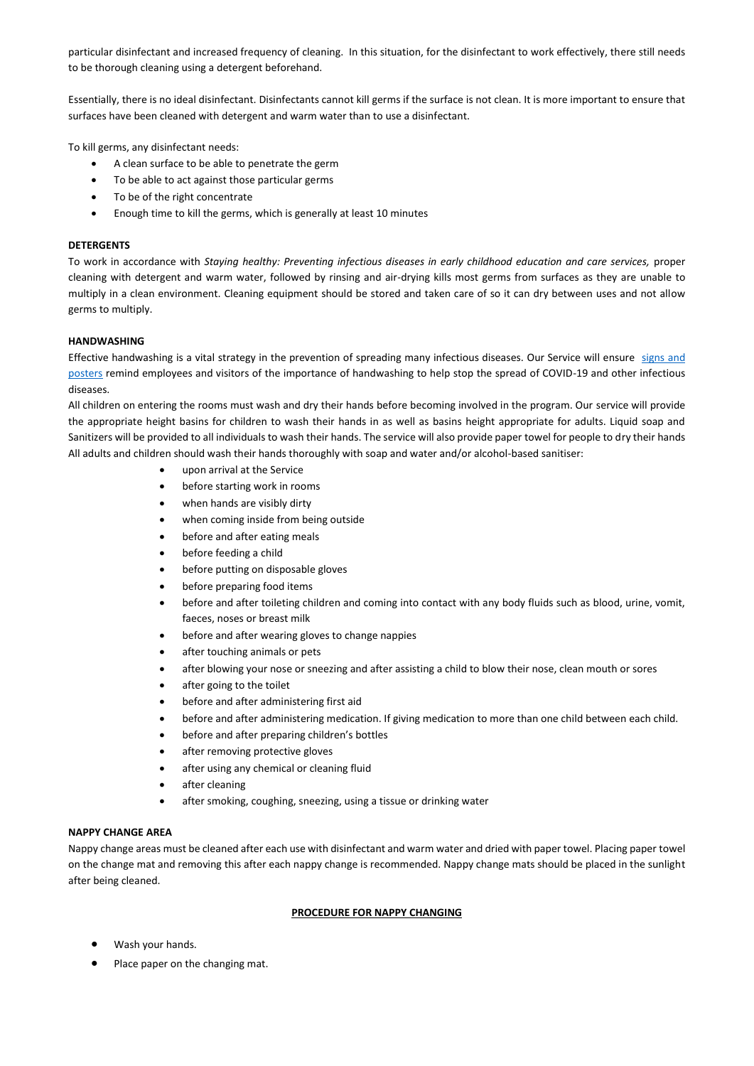particular disinfectant and increased frequency of cleaning. In this situation, for the disinfectant to work effectively, there still needs to be thorough cleaning using a detergent beforehand.

Essentially, there is no ideal disinfectant. Disinfectants cannot kill germs if the surface is not clean. It is more important to ensure that surfaces have been cleaned with detergent and warm water than to use a disinfectant.

To kill germs, any disinfectant needs:

- A clean surface to be able to penetrate the germ
- To be able to act against those particular germs
- To be of the right concentrate
- Enough time to kill the germs, which is generally at least 10 minutes

### **DETERGENTS**

To work in accordance with *Staying healthy: Preventing infectious diseases in early childhood education and care services,* proper cleaning with detergent and warm water, followed by rinsing and air-drying kills most germs from surfaces as they are unable to multiply in a clean environment. Cleaning equipment should be stored and taken care of so it can dry between uses and not allow germs to multiply.

### **HANDWASHING**

Effective handwashing is a vital strategy in the prevention of spreading many infectious diseases. Our Service will ensure signs and [posters](https://www.safeworkaustralia.gov.au/doc/signage-and-posters-covid-19) remind employees and visitors of the importance of handwashing to help stop the spread of COVID-19 and other infectious diseases.

All children on entering the rooms must wash and dry their hands before becoming involved in the program. Our service will provide the appropriate height basins for children to wash their hands in as well as basins height appropriate for adults. Liquid soap and Sanitizers will be provided to all individuals to wash their hands. The service will also provide paper towel for people to dry their hands All adults and children should wash their hands thoroughly with soap and water and/or alcohol-based sanitiser:

- upon arrival at the Service
- before starting work in rooms
- when hands are visibly dirty
- when coming inside from being outside
- before and after eating meals
- before feeding a child
- before putting on disposable gloves
- before preparing food items
- before and after toileting children and coming into contact with any body fluids such as blood, urine, vomit, faeces, noses or breast milk
- before and after wearing gloves to change nappies
- after touching animals or pets
- after blowing your nose or sneezing and after assisting a child to blow their nose, clean mouth or sores
- after going to the toilet
- before and after administering first aid
- before and after administering medication. If giving medication to more than one child between each child.
- before and after preparing children's bottles
- after removing protective gloves
- after using any chemical or cleaning fluid
- after cleaning
- after smoking, coughing, sneezing, using a tissue or drinking water

# **NAPPY CHANGE AREA**

Nappy change areas must be cleaned after each use with disinfectant and warm water and dried with paper towel. Placing paper towel on the change mat and removing this after each nappy change is recommended. Nappy change mats should be placed in the sunlight after being cleaned.

#### **PROCEDURE FOR NAPPY CHANGING**

- Wash your hands.
- Place paper on the changing mat.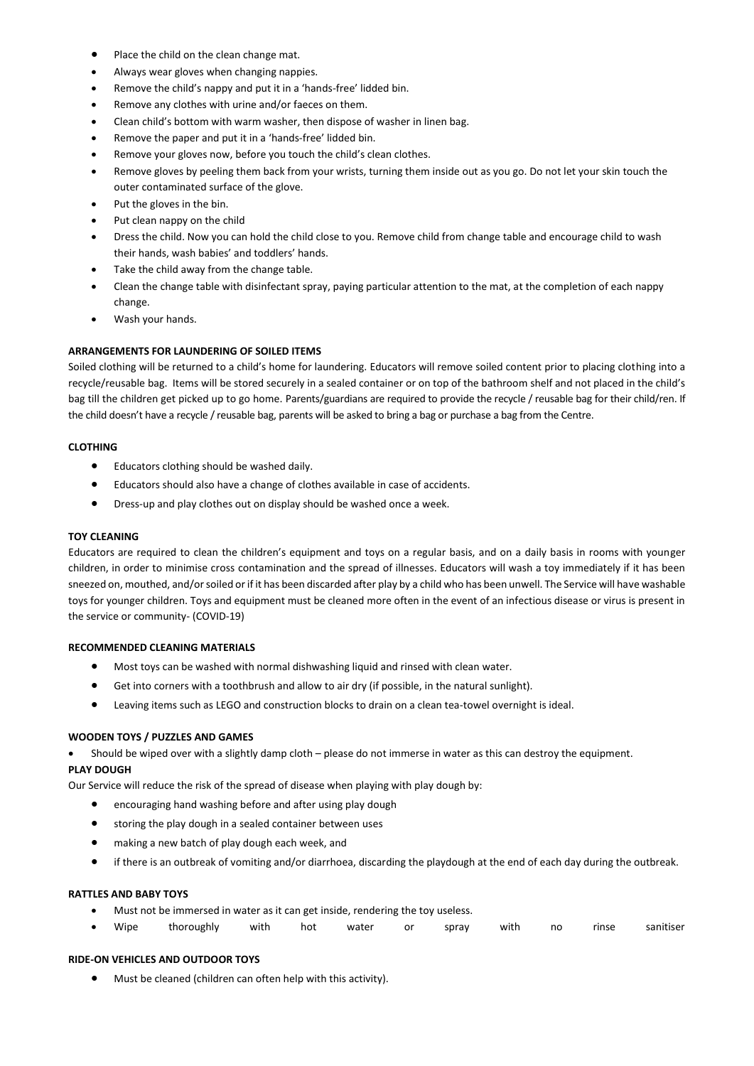- Place the child on the clean change mat.
- Always wear gloves when changing nappies.
- Remove the child's nappy and put it in a 'hands-free' lidded bin.
- Remove any clothes with urine and/or faeces on them.
- Clean child's bottom with warm washer, then dispose of washer in linen bag.
- Remove the paper and put it in a 'hands-free' lidded bin.
- Remove your gloves now, before you touch the child's clean clothes.
- Remove gloves by peeling them back from your wrists, turning them inside out as you go. Do not let your skin touch the outer contaminated surface of the glove.
- Put the gloves in the bin.
- Put clean nappy on the child
- Dress the child. Now you can hold the child close to you. Remove child from change table and encourage child to wash their hands, wash babies' and toddlers' hands.
- Take the child away from the change table.
- Clean the change table with disinfectant spray, paying particular attention to the mat, at the completion of each nappy change.
- Wash your hands.

#### **ARRANGEMENTS FOR LAUNDERING OF SOILED ITEMS**

Soiled clothing will be returned to a child's home for laundering. Educators will remove soiled content prior to placing clothing into a recycle/reusable bag. Items will be stored securely in a sealed container or on top of the bathroom shelf and not placed in the child's bag till the children get picked up to go home. Parents/guardians are required to provide the recycle / reusable bag for their child/ren. If the child doesn't have a recycle / reusable bag, parents will be asked to bring a bag or purchase a bag from the Centre.

### **CLOTHING**

- Educators clothing should be washed daily.
- Educators should also have a change of clothes available in case of accidents.
- Dress-up and play clothes out on display should be washed once a week.

### **TOY CLEANING**

Educators are required to clean the children's equipment and toys on a regular basis, and on a daily basis in rooms with younger children, in order to minimise cross contamination and the spread of illnesses. Educators will wash a toy immediately if it has been sneezed on, mouthed, and/or soiled or if it has been discarded after play by a child who has been unwell. The Service will have washable toys for younger children. Toys and equipment must be cleaned more often in the event of an infectious disease or virus is present in the service or community- (COVID-19)

### **RECOMMENDED CLEANING MATERIALS**

- Most toys can be washed with normal dishwashing liquid and rinsed with clean water.
- Get into corners with a toothbrush and allow to air dry (if possible, in the natural sunlight).
- Leaving items such as LEGO and construction blocks to drain on a clean tea-towel overnight is ideal.

### **WOODEN TOYS / PUZZLES AND GAMES**

Should be wiped over with a slightly damp cloth – please do not immerse in water as this can destroy the equipment.

# **PLAY DOUGH**

Our Service will reduce the risk of the spread of disease when playing with play dough by:

- encouraging hand washing before and after using play dough
- storing the play dough in a sealed container between uses
- making a new batch of play dough each week, and
- if there is an outbreak of vomiting and/or diarrhoea, discarding the playdough at the end of each day during the outbreak.

#### **RATTLES AND BABY TOYS**

- Must not be immersed in water as it can get inside, rendering the toy useless.
- Wipe thoroughly with hot water or spray with no rinse sanitiser

#### **RIDE-ON VEHICLES AND OUTDOOR TOYS**

Must be cleaned (children can often help with this activity).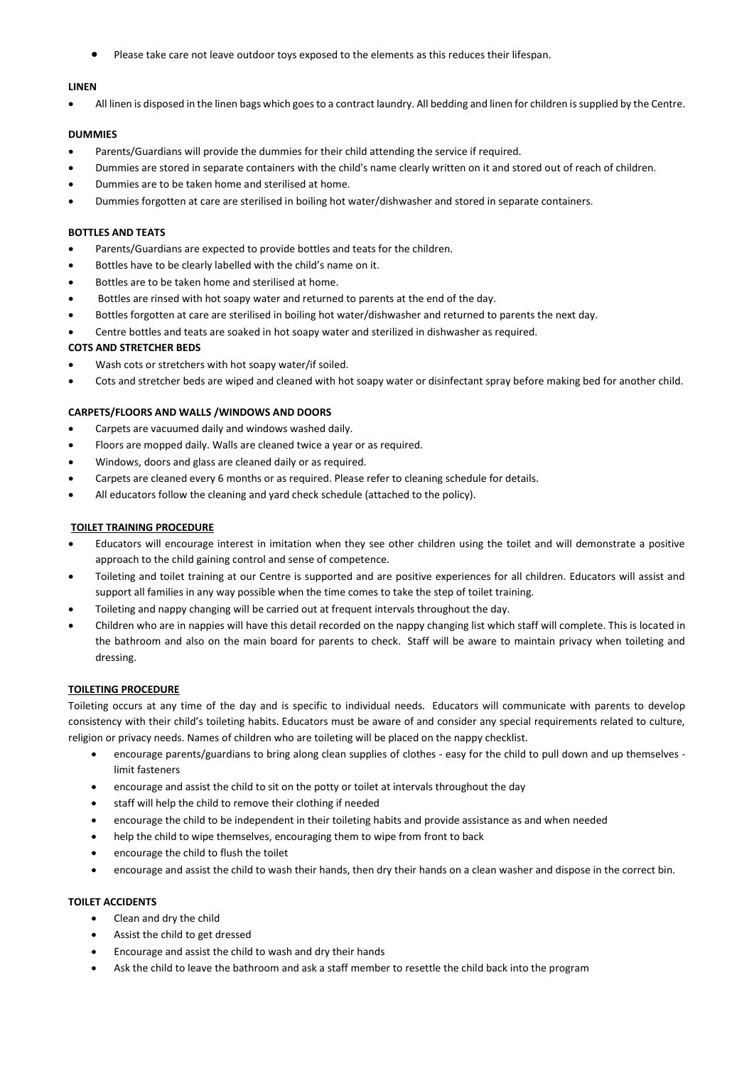Please take care not leave outdoor toys exposed to the elements as this reduces their lifespan.

### **LINEN**

All linen is disposed in the linen bags which goes to a contract laundry. All bedding and linen for children is supplied by the Centre.

# **DUMMIES**

- Parents/Guardians will provide the dummies for their child attending the service if required.
- Dummies are stored in separate containers with the child's name clearly written on it and stored out of reach of children.
- Dummies are to be taken home and sterilised at home.
- Dummies forgotten at care are sterilised in boiling hot water/dishwasher and stored in separate containers.

### **BOTTLES AND TEATS**

- Parents/Guardians are expected to provide bottles and teats for the children.
- Bottles have to be clearly labelled with the child's name on it.
- Bottles are to be taken home and sterilised at home.
- Bottles are rinsed with hot soapy water and returned to parents at the end of the day.
- Bottles forgotten at care are sterilised in boiling hot water/dishwasher and returned to parents the next day.
- Centre bottles and teats are soaked in hot soapy water and sterilized in dishwasher as required.

### **COTS AND STRETCHER BEDS**

- Wash cots or stretchers with hot soapy water/if soiled.
- Cots and stretcher beds are wiped and cleaned with hot soapy water or disinfectant spray before making bed for another child.

# **CARPETS/FLOORS AND WALLS /WINDOWS AND DOORS**

- Carpets are vacuumed daily and windows washed daily.
- Floors are mopped daily. Walls are cleaned twice a year or as required.
- Windows, doors and glass are cleaned daily or as required.
- Carpets are cleaned every 6 months or as required. Please refer to cleaning schedule for details.
- All educators follow the cleaning and yard check schedule (attached to the policy).

# **TOILET TRAINING PROCEDURE**

- Educators will encourage interest in imitation when they see other children using the toilet and will demonstrate a positive approach to the child gaining control and sense of competence.
- Toileting and toilet training at our Centre is supported and are positive experiences for all children. Educators will assist and support all families in any way possible when the time comes to take the step of toilet training.
- Toileting and nappy changing will be carried out at frequent intervals throughout the day.
- Children who are in nappies will have this detail recorded on the nappy changing list which staff will complete. This is located in the bathroom and also on the main board for parents to check. Staff will be aware to maintain privacy when toileting and dressing.

#### **TOILETING PROCEDURE**

Toileting occurs at any time of the day and is specific to individual needs. Educators will communicate with parents to develop consistency with their child's toileting habits. Educators must be aware of and consider any special requirements related to culture, religion or privacy needs. Names of children who are toileting will be placed on the nappy checklist.

- encourage parents/guardians to bring along clean supplies of clothes easy for the child to pull down and up themselves limit fasteners
- encourage and assist the child to sit on the potty or toilet at intervals throughout the day
- staff will help the child to remove their clothing if needed
- encourage the child to be independent in their toileting habits and provide assistance as and when needed
- help the child to wipe themselves, encouraging them to wipe from front to back
- encourage the child to flush the toilet
- encourage and assist the child to wash their hands, then dry their hands on a clean washer and dispose in the correct bin.

# **TOILET ACCIDENTS**

- Clean and dry the child
- Assist the child to get dressed
- Encourage and assist the child to wash and dry their hands
- Ask the child to leave the bathroom and ask a staff member to resettle the child back into the program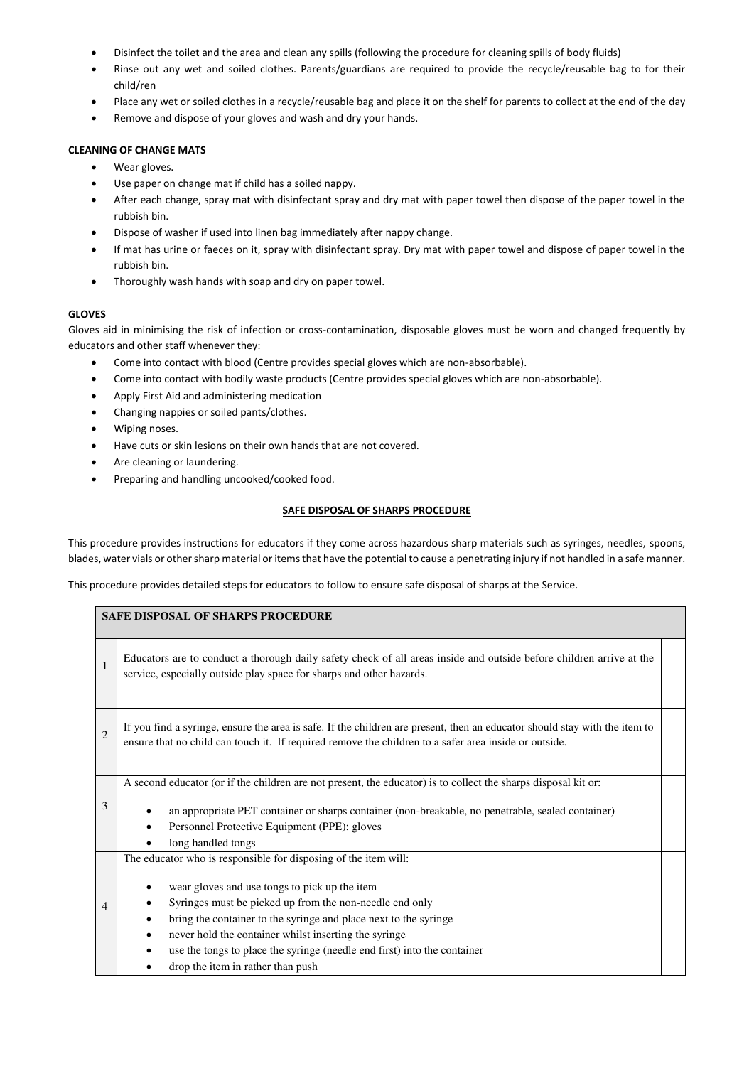- Disinfect the toilet and the area and clean any spills (following the procedure for cleaning spills of body fluids)
- Rinse out any wet and soiled clothes. Parents/guardians are required to provide the recycle/reusable bag to for their child/ren
- Place any wet or soiled clothes in a recycle/reusable bag and place it on the shelf for parents to collect at the end of the day
- Remove and dispose of your gloves and wash and dry your hands.

# **CLEANING OF CHANGE MATS**

- Wear gloves.
- Use paper on change mat if child has a soiled nappy.
- After each change, spray mat with disinfectant spray and dry mat with paper towel then dispose of the paper towel in the rubbish bin.
- Dispose of washer if used into linen bag immediately after nappy change.
- If mat has urine or faeces on it, spray with disinfectant spray. Dry mat with paper towel and dispose of paper towel in the rubbish bin.
- Thoroughly wash hands with soap and dry on paper towel.

# **GLOVES**

Gloves aid in minimising the risk of infection or cross-contamination, disposable gloves must be worn and changed frequently by educators and other staff whenever they:

- Come into contact with blood (Centre provides special gloves which are non-absorbable).
- Come into contact with bodily waste products (Centre provides special gloves which are non-absorbable).
- Apply First Aid and administering medication
- Changing nappies or soiled pants/clothes.
- Wiping noses.
- Have cuts or skin lesions on their own hands that are not covered.
- Are cleaning or laundering.
- Preparing and handling uncooked/cooked food.

# **SAFE DISPOSAL OF SHARPS PROCEDURE**

This procedure provides instructions for educators if they come across hazardous sharp materials such as syringes, needles, spoons, blades, water vials or other sharp material or items that have the potential to cause a penetrating injury if not handled in a safe manner.

This procedure provides detailed steps for educators to follow to ensure safe disposal of sharps at the Service.

| <b>SAFE DISPOSAL OF SHARPS PROCEDURE</b> |                                                                                                                                                                                                                                                                                                                                                                                                                           |  |  |  |  |  |
|------------------------------------------|---------------------------------------------------------------------------------------------------------------------------------------------------------------------------------------------------------------------------------------------------------------------------------------------------------------------------------------------------------------------------------------------------------------------------|--|--|--|--|--|
| $\mathbf{1}$                             | Educators are to conduct a thorough daily safety check of all areas inside and outside before children arrive at the<br>service, especially outside play space for sharps and other hazards.                                                                                                                                                                                                                              |  |  |  |  |  |
| $\overline{c}$                           | If you find a syringe, ensure the area is safe. If the children are present, then an educator should stay with the item to<br>ensure that no child can touch it. If required remove the children to a safer area inside or outside.                                                                                                                                                                                       |  |  |  |  |  |
| 3                                        | A second educator (or if the children are not present, the educator) is to collect the sharps disposal kit or:<br>an appropriate PET container or sharps container (non-breakable, no penetrable, sealed container)<br>Personnel Protective Equipment (PPE): gloves<br>$\bullet$<br>long handled tongs                                                                                                                    |  |  |  |  |  |
| $\overline{4}$                           | The educator who is responsible for disposing of the item will:<br>wear gloves and use tongs to pick up the item<br>Syringes must be picked up from the non-needle end only<br>bring the container to the syringe and place next to the syringe<br>never hold the container whilst inserting the syringe<br>use the tongs to place the syringe (needle end first) into the container<br>drop the item in rather than push |  |  |  |  |  |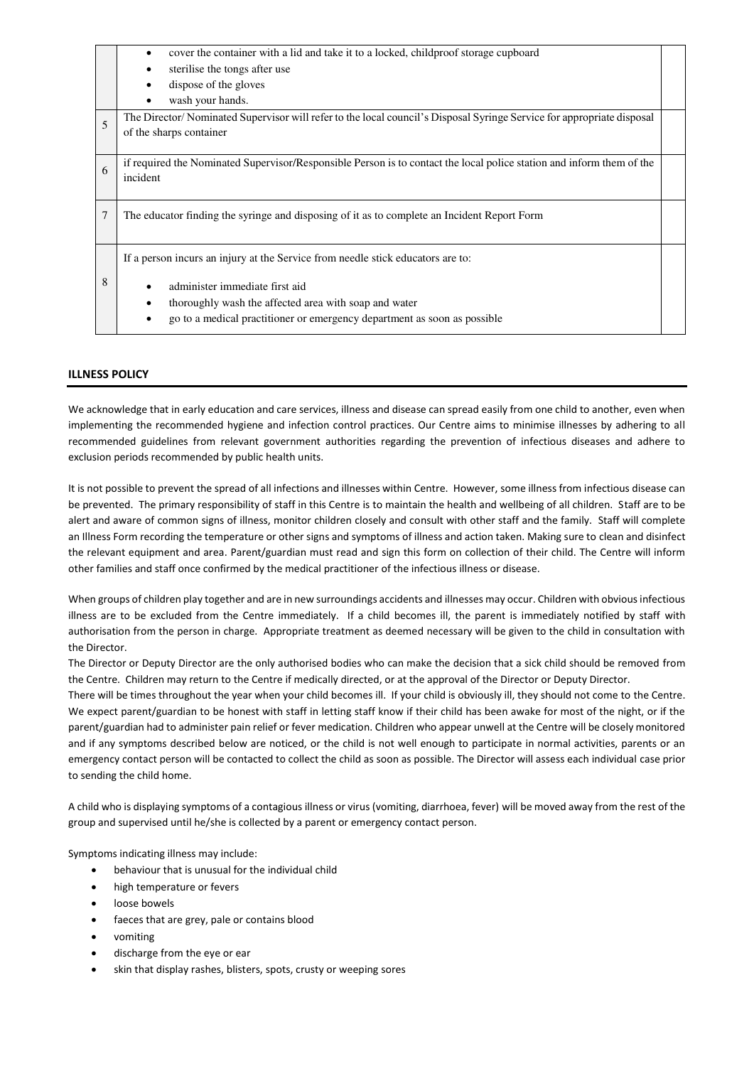| cover the container with a lid and take it to a locked, childproof storage cupboard                                   |                                                                                                                                                                                    |  |  |  |  |
|-----------------------------------------------------------------------------------------------------------------------|------------------------------------------------------------------------------------------------------------------------------------------------------------------------------------|--|--|--|--|
| sterilise the tongs after use                                                                                         |                                                                                                                                                                                    |  |  |  |  |
| dispose of the gloves                                                                                                 |                                                                                                                                                                                    |  |  |  |  |
| wash your hands.                                                                                                      |                                                                                                                                                                                    |  |  |  |  |
| The Director/Nominated Supervisor will refer to the local council's Disposal Syringe Service for appropriate disposal |                                                                                                                                                                                    |  |  |  |  |
|                                                                                                                       |                                                                                                                                                                                    |  |  |  |  |
| 6                                                                                                                     |                                                                                                                                                                                    |  |  |  |  |
| incident                                                                                                              |                                                                                                                                                                                    |  |  |  |  |
|                                                                                                                       |                                                                                                                                                                                    |  |  |  |  |
| 7<br>The educator finding the syringe and disposing of it as to complete an Incident Report Form                      |                                                                                                                                                                                    |  |  |  |  |
|                                                                                                                       |                                                                                                                                                                                    |  |  |  |  |
| If a person incurs an injury at the Service from needle stick educators are to:                                       |                                                                                                                                                                                    |  |  |  |  |
|                                                                                                                       |                                                                                                                                                                                    |  |  |  |  |
|                                                                                                                       |                                                                                                                                                                                    |  |  |  |  |
| thoroughly wash the affected area with soap and water                                                                 |                                                                                                                                                                                    |  |  |  |  |
| go to a medical practitioner or emergency department as soon as possible                                              |                                                                                                                                                                                    |  |  |  |  |
|                                                                                                                       | of the sharps container<br>if required the Nominated Supervisor/Responsible Person is to contact the local police station and inform them of the<br>administer immediate first aid |  |  |  |  |

# **ILLNESS POLICY**

We acknowledge that in early education and care services, illness and disease can spread easily from one child to another, even when implementing the recommended hygiene and infection control practices. Our Centre aims to minimise illnesses by adhering to all recommended guidelines from relevant government authorities regarding the prevention of infectious diseases and adhere to exclusion periods recommended by public health units.

It is not possible to prevent the spread of all infections and illnesses within Centre. However, some illness from infectious disease can be prevented. The primary responsibility of staff in this Centre is to maintain the health and wellbeing of all children. Staff are to be alert and aware of common signs of illness, monitor children closely and consult with other staff and the family. Staff will complete an Illness Form recording the temperature or other signs and symptoms of illness and action taken. Making sure to clean and disinfect the relevant equipment and area. Parent/guardian must read and sign this form on collection of their child. The Centre will inform other families and staff once confirmed by the medical practitioner of the infectious illness or disease.

When groups of children play together and are in new surroundings accidents and illnesses may occur. Children with obvious infectious illness are to be excluded from the Centre immediately. If a child becomes ill, the parent is immediately notified by staff with authorisation from the person in charge. Appropriate treatment as deemed necessary will be given to the child in consultation with the Director.

The Director or Deputy Director are the only authorised bodies who can make the decision that a sick child should be removed from the Centre. Children may return to the Centre if medically directed, or at the approval of the Director or Deputy Director.

There will be times throughout the year when your child becomes ill. If your child is obviously ill, they should not come to the Centre. We expect parent/guardian to be honest with staff in letting staff know if their child has been awake for most of the night, or if the parent/guardian had to administer pain relief or fever medication. Children who appear unwell at the Centre will be closely monitored and if any symptoms described below are noticed, or the child is not well enough to participate in normal activities, parents or an emergency contact person will be contacted to collect the child as soon as possible. The Director will assess each individual case prior to sending the child home.

A child who is displaying symptoms of a contagious illness or virus (vomiting, diarrhoea, fever) will be moved away from the rest of the group and supervised until he/she is collected by a parent or emergency contact person.

Symptoms indicating illness may include:

- behaviour that is unusual for the individual child
- high temperature or fevers
- loose bowels
- faeces that are grey, pale or contains blood
- vomiting
- discharge from the eye or ear
- skin that display rashes, blisters, spots, crusty or weeping sores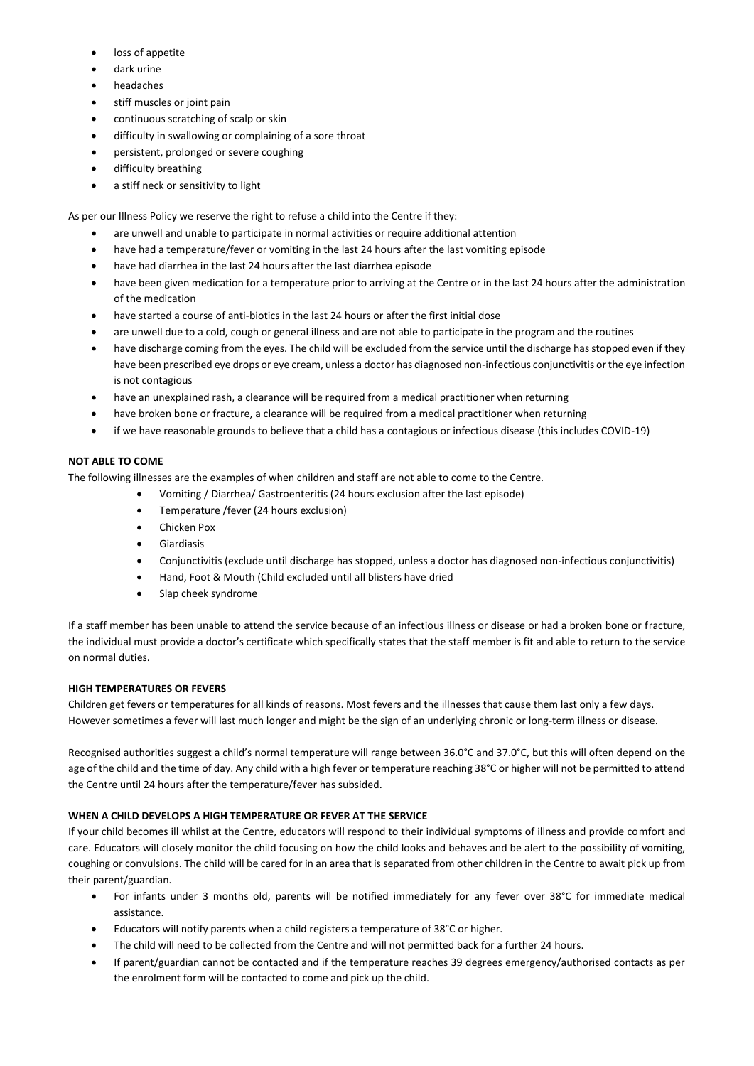- loss of appetite
- dark urine
- headaches
- stiff muscles or joint pain
- continuous scratching of scalp or skin
- difficulty in swallowing or complaining of a sore throat
- persistent, prolonged or severe coughing
- difficulty breathing
- a stiff neck or sensitivity to light

As per our Illness Policy we reserve the right to refuse a child into the Centre if they:

- are unwell and unable to participate in normal activities or require additional attention
- have had a temperature/fever or vomiting in the last 24 hours after the last vomiting episode
- have had diarrhea in the last 24 hours after the last diarrhea episode
- have been given medication for a temperature prior to arriving at the Centre or in the last 24 hours after the administration of the medication
- have started a course of anti-biotics in the last 24 hours or after the first initial dose
- are unwell due to a cold, cough or general illness and are not able to participate in the program and the routines
- have discharge coming from the eyes. The child will be excluded from the service until the discharge has stopped even if they have been prescribed eye drops or eye cream, unless a doctor has diagnosed non-infectious conjunctivitis or the eye infection is not contagious
- have an unexplained rash, a clearance will be required from a medical practitioner when returning
- have broken bone or fracture, a clearance will be required from a medical practitioner when returning
- if we have reasonable grounds to believe that a child has a contagious or infectious disease (this includes COVID-19)

# **NOT ABLE TO COME**

The following illnesses are the examples of when children and staff are not able to come to the Centre.

- Vomiting / Diarrhea/ Gastroenteritis (24 hours exclusion after the last episode)
- Temperature /fever (24 hours exclusion)
- Chicken Pox
- Giardiasis
- Conjunctivitis (exclude until discharge has stopped, unless a doctor has diagnosed non-infectious conjunctivitis)
- Hand, Foot & Mouth (Child excluded until all blisters have dried
- Slap cheek syndrome

If a staff member has been unable to attend the service because of an infectious illness or disease or had a broken bone or fracture, the individual must provide a doctor's certificate which specifically states that the staff member is fit and able to return to the service on normal duties.

# **HIGH TEMPERATURES OR FEVERS**

Children get fevers or temperatures for all kinds of reasons. Most fevers and the illnesses that cause them last only a few days. However sometimes a fever will last much longer and might be the sign of an underlying chronic or long-term illness or disease.

Recognised authorities suggest a child's normal temperature will range between 36.0°C and 37.0°C, but this will often depend on the age of the child and the time of day. Any child with a high fever or temperature reaching 38°C or higher will not be permitted to attend the Centre until 24 hours after the temperature/fever has subsided.

# **WHEN A CHILD DEVELOPS A HIGH TEMPERATURE OR FEVER AT THE SERVICE**

If your child becomes ill whilst at the Centre, educators will respond to their individual symptoms of illness and provide comfort and care. Educators will closely monitor the child focusing on how the child looks and behaves and be alert to the possibility of vomiting, coughing or convulsions. The child will be cared for in an area that is separated from other children in the Centre to await pick up from their parent/guardian.

- For infants under 3 months old, parents will be notified immediately for any fever over 38°C for immediate medical assistance.
- Educators will notify parents when a child registers a temperature of 38°C or higher.
- The child will need to be collected from the Centre and will not permitted back for a further 24 hours.
- If parent/guardian cannot be contacted and if the temperature reaches 39 degrees emergency/authorised contacts as per the enrolment form will be contacted to come and pick up the child.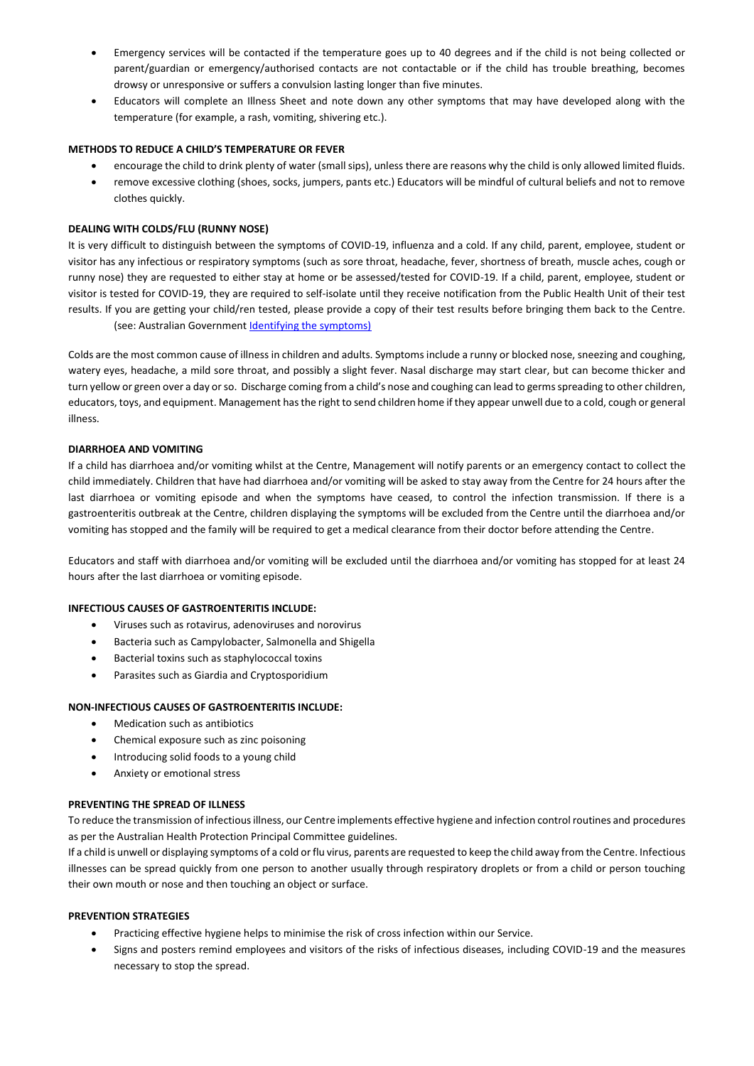- Emergency services will be contacted if the temperature goes up to 40 degrees and if the child is not being collected or parent/guardian or emergency/authorised contacts are not contactable or if the child has trouble breathing, becomes drowsy or unresponsive or suffers a convulsion lasting longer than five minutes.
- Educators will complete an Illness Sheet and note down any other symptoms that may have developed along with the temperature (for example, a rash, vomiting, shivering etc.).

# **METHODS TO REDUCE A CHILD'S TEMPERATURE OR FEVER**

- encourage the child to drink plenty of water (small sips), unless there are reasons why the child is only allowed limited fluids.
- remove excessive clothing (shoes, socks, jumpers, pants etc.) Educators will be mindful of cultural beliefs and not to remove clothes quickly.

# **DEALING WITH COLDS/FLU (RUNNY NOSE)**

It is very difficult to distinguish between the symptoms of COVID-19, influenza and a cold. If any child, parent, employee, student or visitor has any infectious or respiratory symptoms (such as sore throat, headache, fever, shortness of breath, muscle aches, cough or runny nose) they are requested to either stay at home or be assessed/tested for COVID-19. If a child, parent, employee, student or visitor is tested for COVID-19, they are required to self-isolate until they receive notification from the Public Health Unit of their test results. If you are getting your child/ren tested, please provide a copy of their test results before bringing them back to the Centre.

(see: Australian Government **Identifying the symptoms)** 

Colds are the most common cause of illness in children and adults. Symptoms include a runny or blocked nose, sneezing and coughing, watery eyes, headache, a mild sore throat, and possibly a slight fever. Nasal discharge may start clear, but can become thicker and turn yellow or green over a day or so. Discharge coming from a child's nose and coughing can lead to germs spreading to other children, educators, toys, and equipment. Management has the right to send children home if they appear unwell due to a cold, cough or general illness.

# **DIARRHOEA AND VOMITING**

If a child has diarrhoea and/or vomiting whilst at the Centre, Management will notify parents or an emergency contact to collect the child immediately. Children that have had diarrhoea and/or vomiting will be asked to stay away from the Centre for 24 hours after the last diarrhoea or vomiting episode and when the symptoms have ceased, to control the infection transmission. If there is a gastroenteritis outbreak at the Centre, children displaying the symptoms will be excluded from the Centre until the diarrhoea and/or vomiting has stopped and the family will be required to get a medical clearance from their doctor before attending the Centre.

Educators and staff with diarrhoea and/or vomiting will be excluded until the diarrhoea and/or vomiting has stopped for at least 24 hours after the last diarrhoea or vomiting episode.

# **INFECTIOUS CAUSES OF GASTROENTERITIS INCLUDE:**

- Viruses such as rotavirus, adenoviruses and norovirus
- Bacteria such as Campylobacter, Salmonella and Shigella
- Bacterial toxins such as staphylococcal toxins
- Parasites such as Giardia and Cryptosporidium

# **NON-INFECTIOUS CAUSES OF GASTROENTERITIS INCLUDE:**

- Medication such as antibiotics
- Chemical exposure such as zinc poisoning
- Introducing solid foods to a young child
- Anxiety or emotional stress

# **PREVENTING THE SPREAD OF ILLNESS**

To reduce the transmission of infectious illness, our Centre implements effective hygiene and infection control routines and procedures as per the Australian Health Protection Principal Committee guidelines.

If a child is unwell or displaying symptoms of a cold or flu virus, parents are requested to keep the child away from the Centre. Infectious illnesses can be spread quickly from one person to another usually through respiratory droplets or from a child or person touching their own mouth or nose and then touching an object or surface.

# **PREVENTION STRATEGIES**

- Practicing effective hygiene helps to minimise the risk of cross infection within our Service.
- Signs and posters remind employees and visitors of the risks of infectious diseases, including COVID-19 and the measures necessary to stop the spread.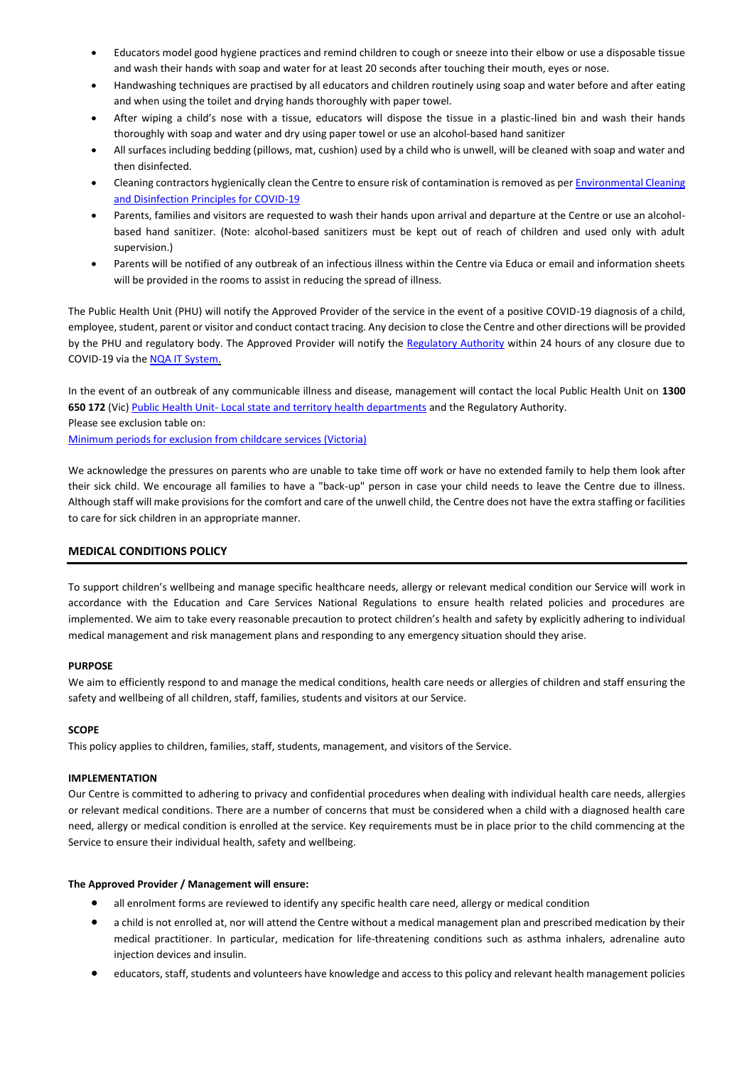- Educators model good hygiene practices and remind children to cough or sneeze into their elbow or use a disposable tissue and wash their hands with soap and water for at least 20 seconds after touching their mouth, eyes or nose.
- Handwashing techniques are practised by all educators and children routinely using soap and water before and after eating and when using the toilet and drying hands thoroughly with paper towel.
- After wiping a child's nose with a tissue, educators will dispose the tissue in a plastic-lined bin and wash their hands thoroughly with soap and water and dry using paper towel or use an alcohol-based hand sanitizer
- All surfaces including bedding (pillows, mat, cushion) used by a child who is unwell, will be cleaned with soap and water and then disinfected.
- Cleaning contractors hygienically clean the Centre to ensure risk of contamination is removed as per *Environmental Cleaning* [and Disinfection Principles for COVID-19](https://www.health.gov.au/sites/default/files/documents/2020/03/environmental-cleaning-and-disinfection-principles-for-covid-19.pdf)
- Parents, families and visitors are requested to wash their hands upon arrival and departure at the Centre or use an alcoholbased hand sanitizer. (Note: alcohol-based sanitizers must be kept out of reach of children and used only with adult supervision.)
- Parents will be notified of any outbreak of an infectious illness within the Centre via Educa or email and information sheets will be provided in the rooms to assist in reducing the spread of illness.

The Public Health Unit (PHU) will notify the Approved Provider of the service in the event of a positive COVID-19 diagnosis of a child, employee, student, parent or visitor and conduct contact tracing. Any decision to close the Centre and other directions will be provided by the PHU and regulatory body. The Approved Provider will notify the [Regulatory Authority w](https://www.acecqa.gov.au/help/contact-your-regulatory-authority)ithin 24 hours of any closure due to COVID-19 via th[e NQA IT System.](https://www.acecqa.gov.au/resources/national-quality-agenda-it-system) 

In the event of an outbreak of any communicable illness and disease, management will contact the local Public Health Unit on **1300 650 172** (Vic) [Public Health Unit- Local state and territory health departments](https://www.health.gov.au/about-us/contact-us/local-state-and-territory-health-departments) and the Regulatory Authority. Please see exclusion table on: [Minimum periods for exclusion from childcare services \(Victoria\)](https://www2.health.vic.gov.au/Api/downloadmedia/%7B8B903A66-28C3-452E-B5A1-AE234D3365E5%7D)

We acknowledge the pressures on parents who are unable to take time off work or have no extended family to help them look after their sick child. We encourage all families to have a "back-up" person in case your child needs to leave the Centre due to illness. Although staff will make provisions for the comfort and care of the unwell child, the Centre does not have the extra staffing or facilities to care for sick children in an appropriate manner.

# **MEDICAL CONDITIONS POLICY**

To support children's wellbeing and manage specific healthcare needs, allergy or relevant medical condition our Service will work in accordance with the Education and Care Services National Regulations to ensure health related policies and procedures are implemented. We aim to take every reasonable precaution to protect children's health and safety by explicitly adhering to individual medical management and risk management plans and responding to any emergency situation should they arise.

# **PURPOSE**

We aim to efficiently respond to and manage the medical conditions, health care needs or allergies of children and staff ensuring the safety and wellbeing of all children, staff, families, students and visitors at our Service.

# **SCOPE**

This policy applies to children, families, staff, students, management, and visitors of the Service.

# **IMPLEMENTATION**

Our Centre is committed to adhering to privacy and confidential procedures when dealing with individual health care needs, allergies or relevant medical conditions. There are a number of concerns that must be considered when a child with a diagnosed health care need, allergy or medical condition is enrolled at the service. Key requirements must be in place prior to the child commencing at the Service to ensure their individual health, safety and wellbeing.

# **The Approved Provider / Management will ensure:**

- all enrolment forms are reviewed to identify any specific health care need, allergy or medical condition
- a child is not enrolled at, nor will attend the Centre without a medical management plan and prescribed medication by their medical practitioner. In particular, medication for life-threatening conditions such as asthma inhalers, adrenaline auto injection devices and insulin.
- educators, staff, students and volunteers have knowledge and access to this policy and relevant health management policies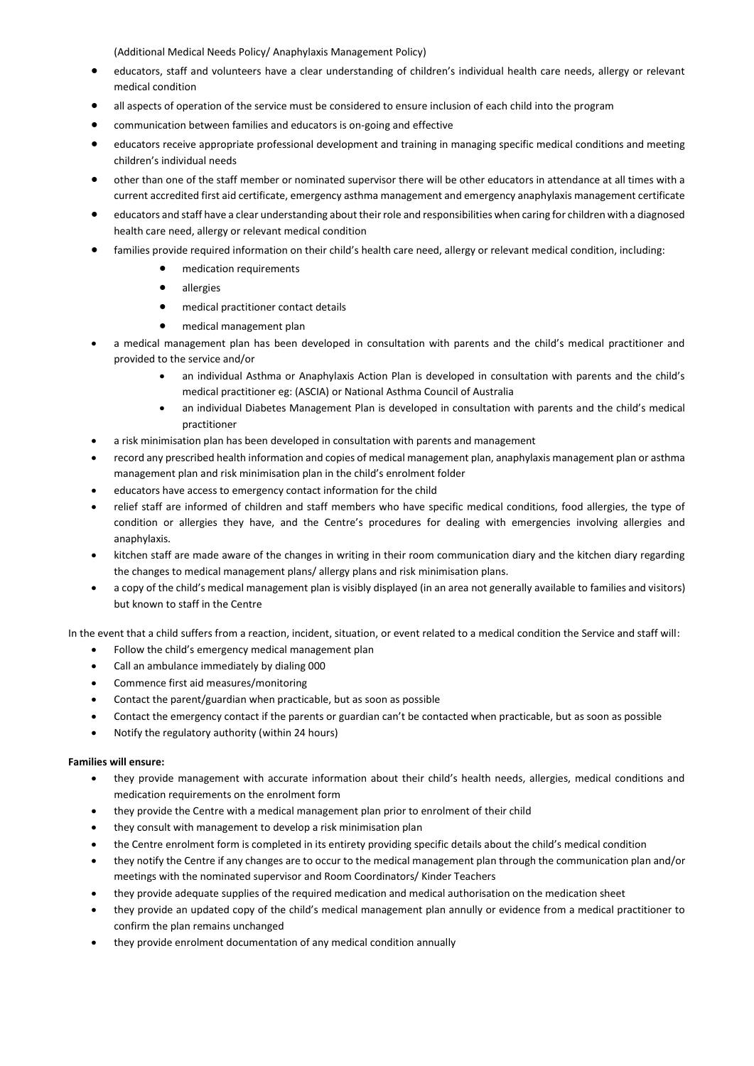(Additional Medical Needs Policy/ Anaphylaxis Management Policy)

- educators, staff and volunteers have a clear understanding of children's individual health care needs, allergy or relevant medical condition
- all aspects of operation of the service must be considered to ensure inclusion of each child into the program
- communication between families and educators is on-going and effective
- educators receive appropriate professional development and training in managing specific medical conditions and meeting children's individual needs
- other than one of the staff member or nominated supervisor there will be other educators in attendance at all times with a current accredited first aid certificate, emergency asthma management and emergency anaphylaxis management certificate
- educators and staff have a clear understanding about their role and responsibilities when caring for children with a diagnosed health care need, allergy or relevant medical condition
- families provide required information on their child's health care need, allergy or relevant medical condition, including:
	- medication requirements
	- allergies
	- medical practitioner contact details
	- medical management plan
- a medical management plan has been developed in consultation with parents and the child's medical practitioner and provided to the service and/or
	- an individual Asthma or Anaphylaxis Action Plan is developed in consultation with parents and the child's medical practitioner eg: (ASCIA) or National Asthma Council of Australia
	- an individual Diabetes Management Plan is developed in consultation with parents and the child's medical practitioner
- a risk minimisation plan has been developed in consultation with parents and management
- record any prescribed health information and copies of medical management plan, anaphylaxis management plan or asthma management plan and risk minimisation plan in the child's enrolment folder
- educators have access to emergency contact information for the child
- relief staff are informed of children and staff members who have specific medical conditions, food allergies, the type of condition or allergies they have, and the Centre's procedures for dealing with emergencies involving allergies and anaphylaxis.
- kitchen staff are made aware of the changes in writing in their room communication diary and the kitchen diary regarding the changes to medical management plans/ allergy plans and risk minimisation plans.
- a copy of the child's medical management plan is visibly displayed (in an area not generally available to families and visitors) but known to staff in the Centre

In the event that a child suffers from a reaction, incident, situation, or event related to a medical condition the Service and staff will:

- Follow the child's emergency medical management plan
- Call an ambulance immediately by dialing 000
- Commence first aid measures/monitoring
- Contact the parent/guardian when practicable, but as soon as possible
- Contact the emergency contact if the parents or guardian can't be contacted when practicable, but as soon as possible
- Notify the regulatory authority (within 24 hours)

# **Families will ensure:**

- they provide management with accurate information about their child's health needs, allergies, medical conditions and medication requirements on the enrolment form
- they provide the Centre with a medical management plan prior to enrolment of their child
- they consult with management to develop a risk minimisation plan
- the Centre enrolment form is completed in its entirety providing specific details about the child's medical condition
- they notify the Centre if any changes are to occur to the medical management plan through the communication plan and/or meetings with the nominated supervisor and Room Coordinators/ Kinder Teachers
- they provide adequate supplies of the required medication and medical authorisation on the medication sheet
- they provide an updated copy of the child's medical management plan annully or evidence from a medical practitioner to confirm the plan remains unchanged
- they provide enrolment documentation of any medical condition annually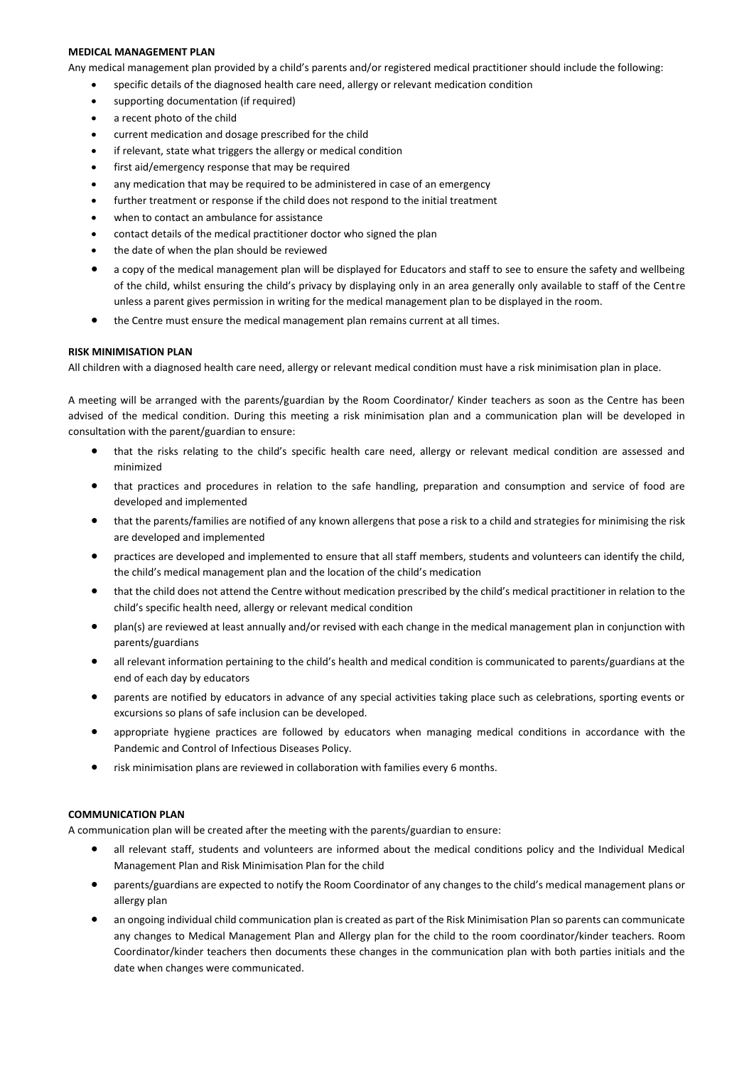# **MEDICAL MANAGEMENT PLAN**

Any medical management plan provided by a child's parents and/or registered medical practitioner should include the following:

- specific details of the diagnosed health care need, allergy or relevant medication condition
- supporting documentation (if required)
- a recent photo of the child
- current medication and dosage prescribed for the child
- if relevant, state what triggers the allergy or medical condition
- first aid/emergency response that may be required
- any medication that may be required to be administered in case of an emergency
- further treatment or response if the child does not respond to the initial treatment
- when to contact an ambulance for assistance
- contact details of the medical practitioner doctor who signed the plan
- the date of when the plan should be reviewed
- a copy of the medical management plan will be displayed for Educators and staff to see to ensure the safety and wellbeing of the child, whilst ensuring the child's privacy by displaying only in an area generally only available to staff of the Centre unless a parent gives permission in writing for the medical management plan to be displayed in the room.
- the Centre must ensure the medical management plan remains current at all times.

# **RISK MINIMISATION PLAN**

All children with a diagnosed health care need, allergy or relevant medical condition must have a risk minimisation plan in place.

A meeting will be arranged with the parents/guardian by the Room Coordinator/ Kinder teachers as soon as the Centre has been advised of the medical condition. During this meeting a risk minimisation plan and a communication plan will be developed in consultation with the parent/guardian to ensure:

- that the risks relating to the child's specific health care need, allergy or relevant medical condition are assessed and minimized
- that practices and procedures in relation to the safe handling, preparation and consumption and service of food are developed and implemented
- that the parents/families are notified of any known allergens that pose a risk to a child and strategies for minimising the risk are developed and implemented
- practices are developed and implemented to ensure that all staff members, students and volunteers can identify the child, the child's medical management plan and the location of the child's medication
- that the child does not attend the Centre without medication prescribed by the child's medical practitioner in relation to the child's specific health need, allergy or relevant medical condition
- plan(s) are reviewed at least annually and/or revised with each change in the medical management plan in conjunction with parents/guardians
- all relevant information pertaining to the child's health and medical condition is communicated to parents/guardians at the end of each day by educators
- parents are notified by educators in advance of any special activities taking place such as celebrations, sporting events or excursions so plans of safe inclusion can be developed.
- appropriate hygiene practices are followed by educators when managing medical conditions in accordance with the Pandemic and Control of Infectious Diseases Policy.
- risk minimisation plans are reviewed in collaboration with families every 6 months.

### **COMMUNICATION PLAN**

A communication plan will be created after the meeting with the parents/guardian to ensure:

- all relevant staff, students and volunteers are informed about the medical conditions policy and the Individual Medical Management Plan and Risk Minimisation Plan for the child
- parents/guardians are expected to notify the Room Coordinator of any changes to the child's medical management plans or allergy plan
- an ongoing individual child communication plan is created as part of the Risk Minimisation Plan so parents can communicate any changes to Medical Management Plan and Allergy plan for the child to the room coordinator/kinder teachers. Room Coordinator/kinder teachers then documents these changes in the communication plan with both parties initials and the date when changes were communicated.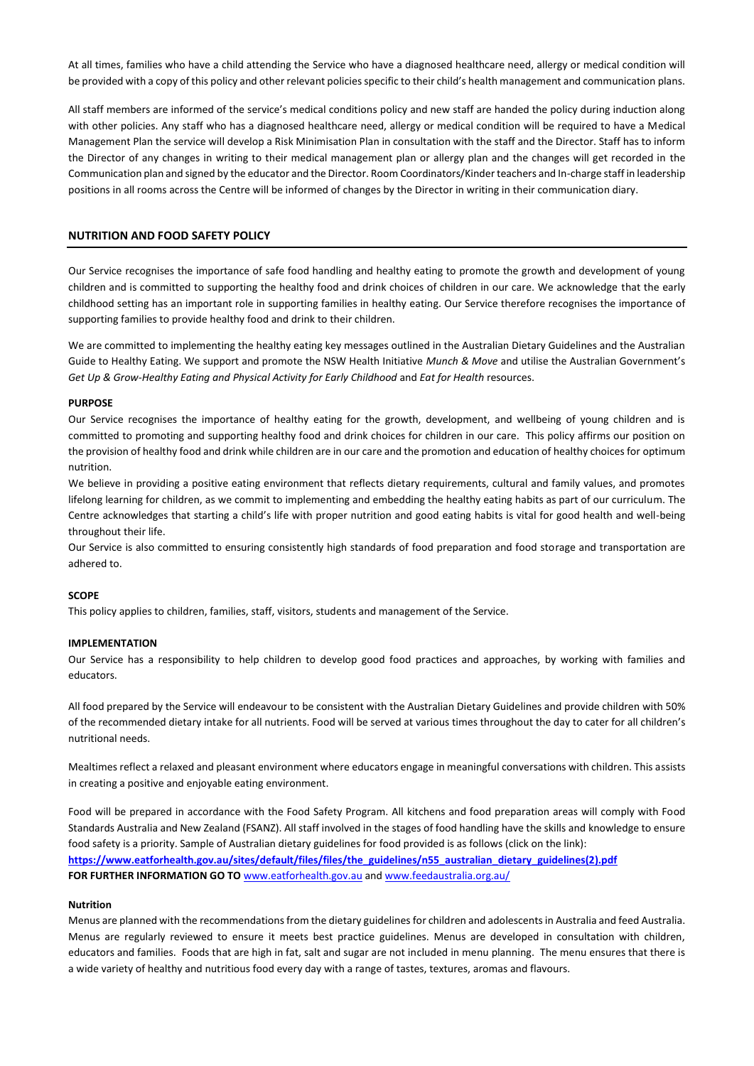At all times, families who have a child attending the Service who have a diagnosed healthcare need, allergy or medical condition will be provided with a copy of this policy and other relevant policies specific to their child's health management and communication plans.

All staff members are informed of the service's medical conditions policy and new staff are handed the policy during induction along with other policies. Any staff who has a diagnosed healthcare need, allergy or medical condition will be required to have a Medical Management Plan the service will develop a Risk Minimisation Plan in consultation with the staff and the Director. Staff has to inform the Director of any changes in writing to their medical management plan or allergy plan and the changes will get recorded in the Communication plan and signed by the educator and the Director. Room Coordinators/Kinder teachers and In-charge staff in leadership positions in all rooms across the Centre will be informed of changes by the Director in writing in their communication diary.

### **NUTRITION AND FOOD SAFETY POLICY**

Our Service recognises the importance of safe food handling and healthy eating to promote the growth and development of young children and is committed to supporting the healthy food and drink choices of children in our care. We acknowledge that the early childhood setting has an important role in supporting families in healthy eating. Our Service therefore recognises the importance of supporting families to provide healthy food and drink to their children.

We are committed to implementing the healthy eating key messages outlined in the Australian Dietary Guidelines and the Australian Guide to Healthy Eating. We support and promote the NSW Health Initiative *Munch & Move* and utilise the Australian Government's *Get Up & Grow-Healthy Eating and Physical Activity for Early Childhood* and *Eat for Health* resources.

#### **PURPOSE**

Our Service recognises the importance of healthy eating for the growth, development, and wellbeing of young children and is committed to promoting and supporting healthy food and drink choices for children in our care. This policy affirms our position on the provision of healthy food and drink while children are in our care and the promotion and education of healthy choices for optimum nutrition.

We believe in providing a positive eating environment that reflects dietary requirements, cultural and family values, and promotes lifelong learning for children, as we commit to implementing and embedding the healthy eating habits as part of our curriculum. The Centre acknowledges that starting a child's life with proper nutrition and good eating habits is vital for good health and well-being throughout their life.

Our Service is also committed to ensuring consistently high standards of food preparation and food storage and transportation are adhered to.

#### **SCOPE**

This policy applies to children, families, staff, visitors, students and management of the Service.

#### **IMPLEMENTATION**

Our Service has a responsibility to help children to develop good food practices and approaches, by working with families and educators.

All food prepared by the Service will endeavour to be consistent with the Australian Dietary Guidelines and provide children with 50% of the recommended dietary intake for all nutrients. Food will be served at various times throughout the day to cater for all children's nutritional needs.

Mealtimes reflect a relaxed and pleasant environment where educators engage in meaningful conversations with children. This assists in creating a positive and enjoyable eating environment.

Food will be prepared in accordance with the Food Safety Program. All kitchens and food preparation areas will comply with Food Standards Australia and New Zealand (FSANZ). All staff involved in the stages of food handling have the skills and knowledge to ensure food safety is a priority. Sample of Australian dietary guidelines for food provided is as follows (click on the link): **[https://www.eatforhealth.gov.au/sites/default/files/files/the\\_guidelines/n55\\_australian\\_dietary\\_guidelines\(2\).pdf](https://www.eatforhealth.gov.au/sites/default/files/files/the_guidelines/n55_australian_dietary_guidelines(2).pdf) FOR FURTHER INFORMATION GO TO** [www.eatforhealth.gov.au](http://www.eatforhealth.gov.au/) an[d www.feedaustralia.org.au/](http://www.feedaustralia.org.au/)

#### **Nutrition**

Menus are planned with the recommendations from the dietary guidelines for children and adolescents in Australia and feed Australia. Menus are regularly reviewed to ensure it meets best practice guidelines. Menus are developed in consultation with children, educators and families. Foods that are high in fat, salt and sugar are not included in menu planning. The menu ensures that there is a wide variety of healthy and nutritious food every day with a range of tastes, textures, aromas and flavours.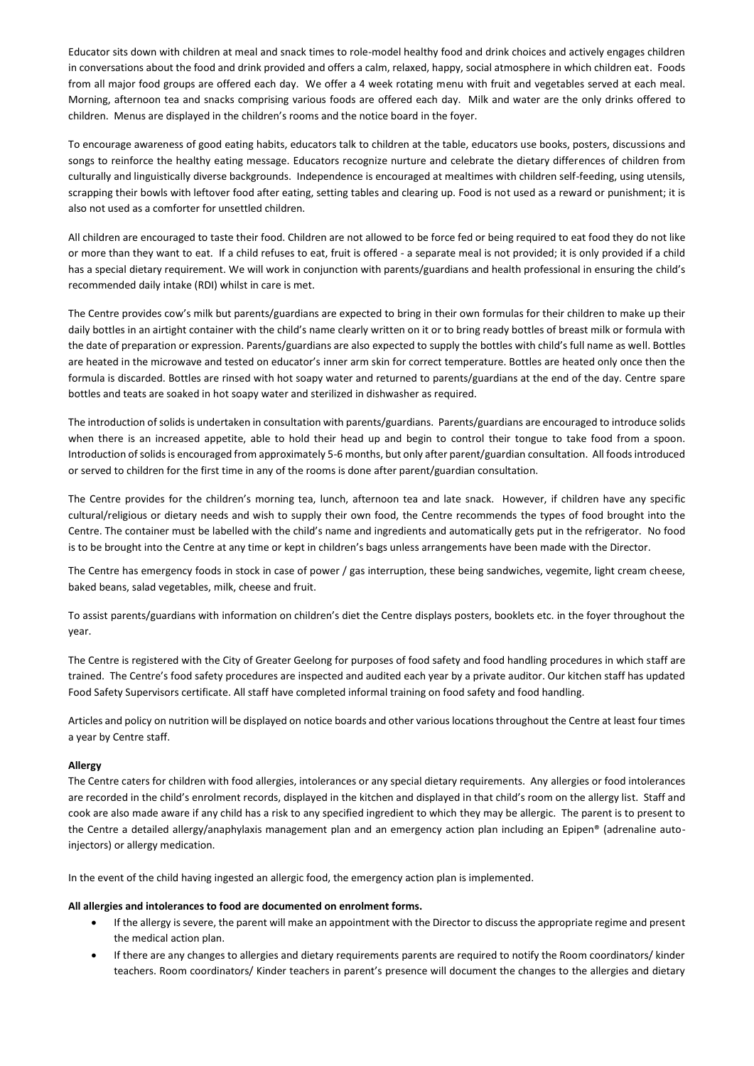Educator sits down with children at meal and snack times to role-model healthy food and drink choices and actively engages children in conversations about the food and drink provided and offers a calm, relaxed, happy, social atmosphere in which children eat. Foods from all major food groups are offered each day. We offer a 4 week rotating menu with fruit and vegetables served at each meal. Morning, afternoon tea and snacks comprising various foods are offered each day. Milk and water are the only drinks offered to children. Menus are displayed in the children's rooms and the notice board in the foyer.

To encourage awareness of good eating habits, educators talk to children at the table, educators use books, posters, discussions and songs to reinforce the healthy eating message. Educators recognize nurture and celebrate the dietary differences of children from culturally and linguistically diverse backgrounds. Independence is encouraged at mealtimes with children self-feeding, using utensils, scrapping their bowls with leftover food after eating, setting tables and clearing up. Food is not used as a reward or punishment; it is also not used as a comforter for unsettled children.

All children are encouraged to taste their food. Children are not allowed to be force fed or being required to eat food they do not like or more than they want to eat. If a child refuses to eat, fruit is offered - a separate meal is not provided; it is only provided if a child has a special dietary requirement. We will work in conjunction with parents/guardians and health professional in ensuring the child's recommended daily intake (RDI) whilst in care is met.

The Centre provides cow's milk but parents/guardians are expected to bring in their own formulas for their children to make up their daily bottles in an airtight container with the child's name clearly written on it or to bring ready bottles of breast milk or formula with the date of preparation or expression. Parents/guardians are also expected to supply the bottles with child's full name as well. Bottles are heated in the microwave and tested on educator's inner arm skin for correct temperature. Bottles are heated only once then the formula is discarded. Bottles are rinsed with hot soapy water and returned to parents/guardians at the end of the day. Centre spare bottles and teats are soaked in hot soapy water and sterilized in dishwasher as required.

The introduction of solids is undertaken in consultation with parents/guardians. Parents/guardians are encouraged to introduce solids when there is an increased appetite, able to hold their head up and begin to control their tongue to take food from a spoon. Introduction of solids is encouraged from approximately 5-6 months, but only after parent/guardian consultation. All foods introduced or served to children for the first time in any of the rooms is done after parent/guardian consultation.

The Centre provides for the children's morning tea, lunch, afternoon tea and late snack. However, if children have any specific cultural/religious or dietary needs and wish to supply their own food, the Centre recommends the types of food brought into the Centre. The container must be labelled with the child's name and ingredients and automatically gets put in the refrigerator. No food is to be brought into the Centre at any time or kept in children's bags unless arrangements have been made with the Director.

The Centre has emergency foods in stock in case of power / gas interruption, these being sandwiches, vegemite, light cream cheese, baked beans, salad vegetables, milk, cheese and fruit.

To assist parents/guardians with information on children's diet the Centre displays posters, booklets etc. in the foyer throughout the year.

The Centre is registered with the City of Greater Geelong for purposes of food safety and food handling procedures in which staff are trained. The Centre's food safety procedures are inspected and audited each year by a private auditor. Our kitchen staff has updated Food Safety Supervisors certificate. All staff have completed informal training on food safety and food handling.

Articles and policy on nutrition will be displayed on notice boards and other various locations throughout the Centre at least four times a year by Centre staff.

# **Allergy**

The Centre caters for children with food allergies, intolerances or any special dietary requirements. Any allergies or food intolerances are recorded in the child's enrolment records, displayed in the kitchen and displayed in that child's room on the allergy list. Staff and cook are also made aware if any child has a risk to any specified ingredient to which they may be allergic. The parent is to present to the Centre a detailed allergy/anaphylaxis management plan and an emergency action plan including an Epipen® (adrenaline autoinjectors) or allergy medication.

In the event of the child having ingested an allergic food, the emergency action plan is implemented.

# **All allergies and intolerances to food are documented on enrolment forms.**

- If the allergy is severe, the parent will make an appointment with the Director to discuss the appropriate regime and present the medical action plan.
- If there are any changes to allergies and dietary requirements parents are required to notify the Room coordinators/ kinder teachers. Room coordinators/ Kinder teachers in parent's presence will document the changes to the allergies and dietary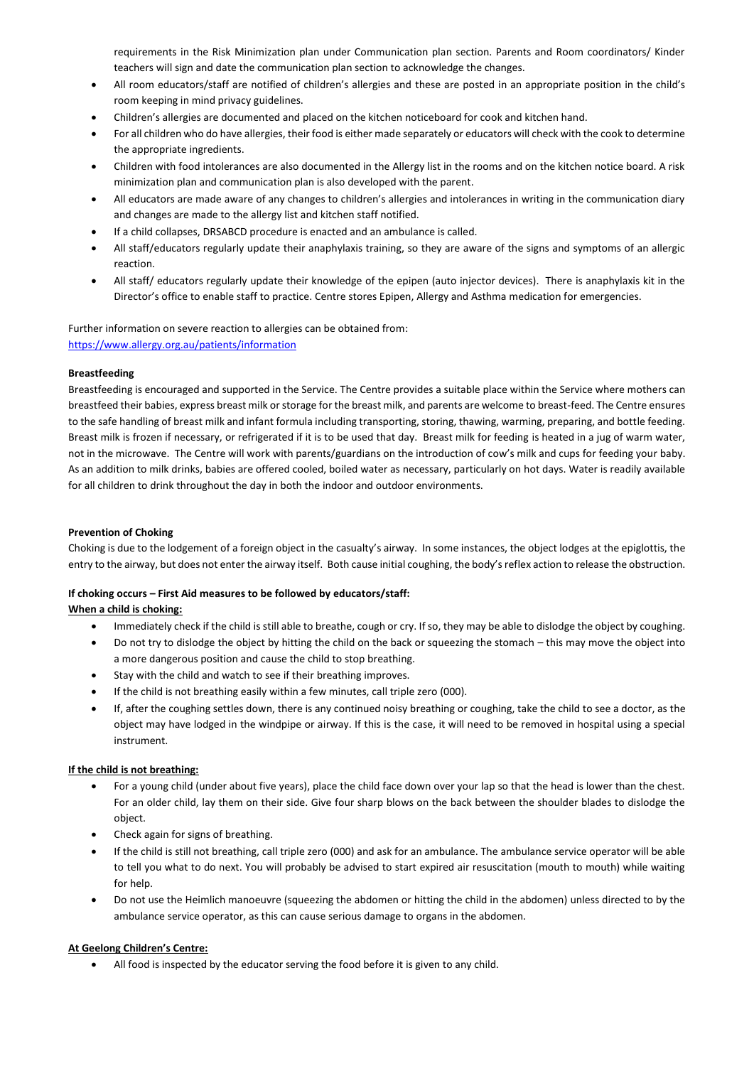requirements in the Risk Minimization plan under Communication plan section. Parents and Room coordinators/ Kinder teachers will sign and date the communication plan section to acknowledge the changes.

- All room educators/staff are notified of children's allergies and these are posted in an appropriate position in the child's room keeping in mind privacy guidelines.
- Children's allergies are documented and placed on the kitchen noticeboard for cook and kitchen hand.
- For all children who do have allergies, their food is either made separately or educators will check with the cook to determine the appropriate ingredients.
- Children with food intolerances are also documented in the Allergy list in the rooms and on the kitchen notice board. A risk minimization plan and communication plan is also developed with the parent.
- All educators are made aware of any changes to children's allergies and intolerances in writing in the communication diary and changes are made to the allergy list and kitchen staff notified.
- If a child collapses, DRSABCD procedure is enacted and an ambulance is called.
- All staff/educators regularly update their anaphylaxis training, so they are aware of the signs and symptoms of an allergic reaction.
- All staff/ educators regularly update their knowledge of the epipen (auto injector devices). There is anaphylaxis kit in the Director's office to enable staff to practice. Centre stores Epipen, Allergy and Asthma medication for emergencies.

Further information on severe reaction to allergies can be obtained from: <https://www.allergy.org.au/patients/information>

# **Breastfeeding**

Breastfeeding is encouraged and supported in the Service. The Centre provides a suitable place within the Service where mothers can breastfeed their babies, express breast milk or storage for the breast milk, and parents are welcome to breast-feed. The Centre ensures to the safe handling of breast milk and infant formula including transporting, storing, thawing, warming, preparing, and bottle feeding. Breast milk is frozen if necessary, or refrigerated if it is to be used that day. Breast milk for feeding is heated in a jug of warm water, not in the microwave. The Centre will work with parents/guardians on the introduction of cow's milk and cups for feeding your baby. As an addition to milk drinks, babies are offered cooled, boiled water as necessary, particularly on hot days. Water is readily available for all children to drink throughout the day in both the indoor and outdoor environments.

# **Prevention of Choking**

Choking is due to the lodgement of a foreign object in the casualty's airway. In some instances, the object lodges at the epiglottis, the entry to the airway, but does not enter the airway itself. Both cause initial coughing, the body's reflex action to release the obstruction.

# **If choking occurs – First Aid measures to be followed by educators/staff:**

# **When a child is choking:**

- Immediately check if the child is still able to breathe, cough or cry. If so, they may be able to dislodge the object by coughing.
- Do not try to dislodge the object by hitting the child on the back or squeezing the stomach this may move the object into a more dangerous position and cause the child to stop breathing.
- Stay with the child and watch to see if their breathing improves.
- If the child is not breathing easily within a few minutes, call triple zero (000).
- If, after the coughing settles down, there is any continued noisy breathing or coughing, take the child to see a doctor, as the object may have lodged in the windpipe or airway. If this is the case, it will need to be removed in hospital using a special instrument.

# **If the child is not breathing:**

- For a young child (under about five years), place the child face down over your lap so that the head is lower than the chest. For an older child, lay them on their side. Give four sharp blows on the back between the shoulder blades to dislodge the object.
- Check again for signs of breathing.
- If the child is still not breathing, call triple zero (000) and ask for an ambulance. The ambulance service operator will be able to tell you what to do next. You will probably be advised to start expired air resuscitation (mouth to mouth) while waiting for help.
- Do not use the Heimlich manoeuvre (squeezing the abdomen or hitting the child in the abdomen) unless directed to by the ambulance service operator, as this can cause serious damage to organs in the abdomen.

# **At Geelong Children's Centre:**

All food is inspected by the educator serving the food before it is given to any child.